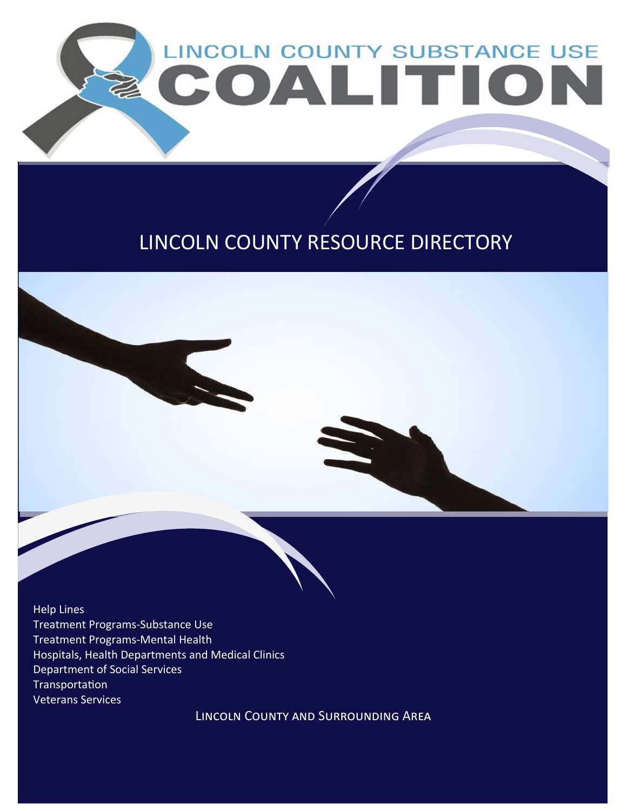

### LINCOLN COUNTY RESOURCE DIRECTORY

Help Lines Treatment Programs-Substance Use Treatment Programs-Mental Health Hospitals, Health Departments and Medical Clinics Department of Social Services Transportation Veterans Services

Lincoln County and Surrounding Area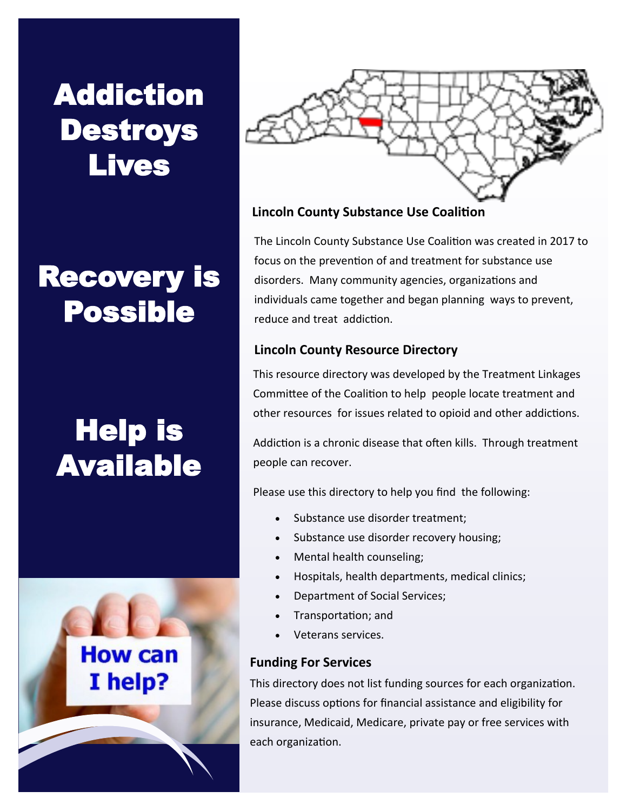# Addiction Destroys Lives

# Recovery is Possible

# Help is Available





#### **Lincoln County Substance Use Coalition**

The Lincoln County Substance Use Coalition was created in 2017 to focus on the prevention of and treatment for substance use disorders. Many community agencies, organizations and individuals came together and began planning ways to prevent, reduce and treat addiction.

#### **Lincoln County Resource Directory**

This resource directory was developed by the Treatment Linkages Committee of the Coalition to help people locate treatment and other resources for issues related to opioid and other addictions.

Addiction is a chronic disease that often kills. Through treatment people can recover.

Please use this directory to help you find the following:

- Substance use disorder treatment;
- Substance use disorder recovery housing;
- Mental health counseling;
- Hospitals, health departments, medical clinics;
- Department of Social Services;
- Transportation; and
- Veterans services.

#### **Funding For Services**

This directory does not list funding sources for each organization. Please discuss options for financial assistance and eligibility for insurance, Medicaid, Medicare, private pay or free services with each organization.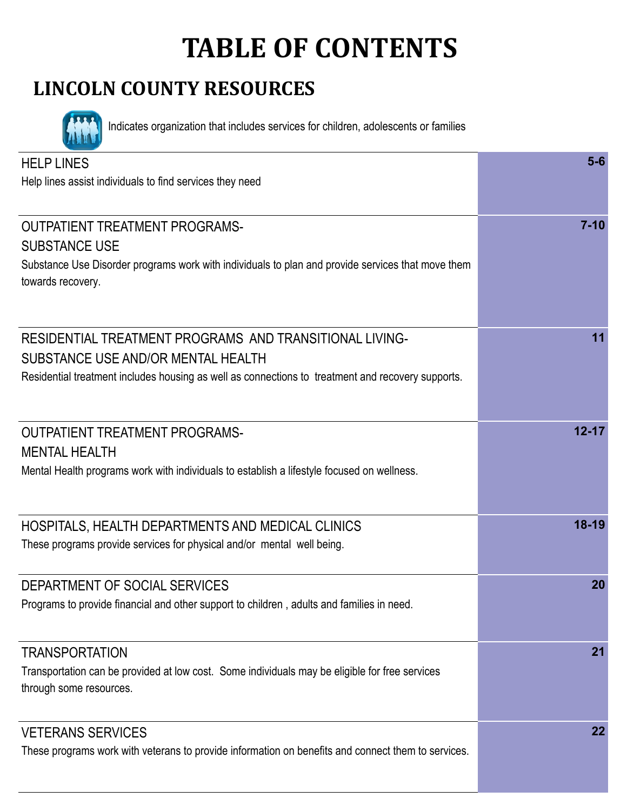# **TABLE OF CONTENTS**

### **LINCOLN COUNTY RESOURCES**



Indicates organization that includes services for children, adolescents or families

| <b>HELP LINES</b>                                                                                                  | $5-6$     |
|--------------------------------------------------------------------------------------------------------------------|-----------|
| Help lines assist individuals to find services they need                                                           |           |
|                                                                                                                    |           |
| <b>OUTPATIENT TREATMENT PROGRAMS-</b>                                                                              | $7 - 10$  |
| <b>SUBSTANCE USE</b>                                                                                               |           |
| Substance Use Disorder programs work with individuals to plan and provide services that move them                  |           |
| towards recovery.                                                                                                  |           |
|                                                                                                                    |           |
|                                                                                                                    |           |
| RESIDENTIAL TREATMENT PROGRAMS AND TRANSITIONAL LIVING-                                                            | 11        |
| SUBSTANCE USE AND/OR MENTAL HEALTH                                                                                 |           |
| Residential treatment includes housing as well as connections to treatment and recovery supports.                  |           |
|                                                                                                                    |           |
| <b>OUTPATIENT TREATMENT PROGRAMS-</b>                                                                              | $12 - 17$ |
|                                                                                                                    |           |
| <b>MENTAL HEALTH</b><br>Mental Health programs work with individuals to establish a lifestyle focused on wellness. |           |
|                                                                                                                    |           |
|                                                                                                                    |           |
| HOSPITALS, HEALTH DEPARTMENTS AND MEDICAL CLINICS                                                                  | $18 - 19$ |
| These programs provide services for physical and/or mental well being.                                             |           |
|                                                                                                                    |           |
| DEPARTMENT OF SOCIAL SERVICES                                                                                      | 20        |
| Programs to provide financial and other support to children, adults and families in need.                          |           |
|                                                                                                                    |           |
| <b>TRANSPORTATION</b>                                                                                              | 21        |
| Transportation can be provided at low cost. Some individuals may be eligible for free services                     |           |
| through some resources.                                                                                            |           |
|                                                                                                                    |           |
| <b>VETERANS SERVICES</b>                                                                                           | 22        |
| These programs work with veterans to provide information on benefits and connect them to services.                 |           |
|                                                                                                                    |           |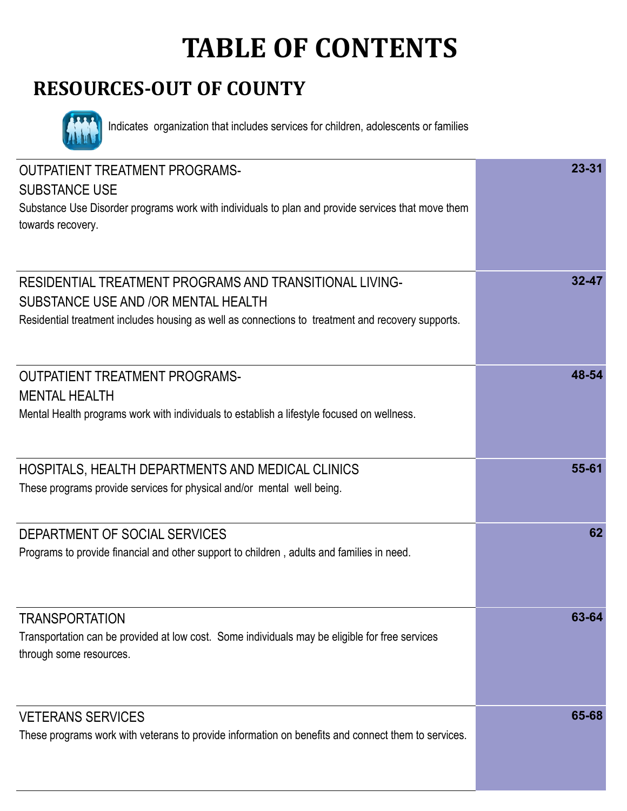# **TABLE OF CONTENTS**

### **RESOURCES-OUT OF COUNTY**



Indicates organization that includes services for children, adolescents or families

| <b>OUTPATIENT TREATMENT PROGRAMS-</b><br><b>SUBSTANCE USE</b><br>Substance Use Disorder programs work with individuals to plan and provide services that move them<br>towards recovery.             | $23 - 31$ |
|-----------------------------------------------------------------------------------------------------------------------------------------------------------------------------------------------------|-----------|
| RESIDENTIAL TREATMENT PROGRAMS AND TRANSITIONAL LIVING-<br>SUBSTANCE USE AND /OR MENTAL HEALTH<br>Residential treatment includes housing as well as connections to treatment and recovery supports. | $32 - 47$ |
| <b>OUTPATIENT TREATMENT PROGRAMS-</b><br><b>MENTAL HEALTH</b><br>Mental Health programs work with individuals to establish a lifestyle focused on wellness.                                         | 48-54     |
| HOSPITALS, HEALTH DEPARTMENTS AND MEDICAL CLINICS<br>These programs provide services for physical and/or mental well being.                                                                         | 55-61     |
| DEPARTMENT OF SOCIAL SERVICES<br>Programs to provide financial and other support to children, adults and families in need.                                                                          | 62        |
| <b>TRANSPORTATION</b><br>Transportation can be provided at low cost. Some individuals may be eligible for free services<br>through some resources.                                                  | 63-64     |
| <b>VETERANS SERVICES</b><br>These programs work with veterans to provide information on benefits and connect them to services.                                                                      | 65-68     |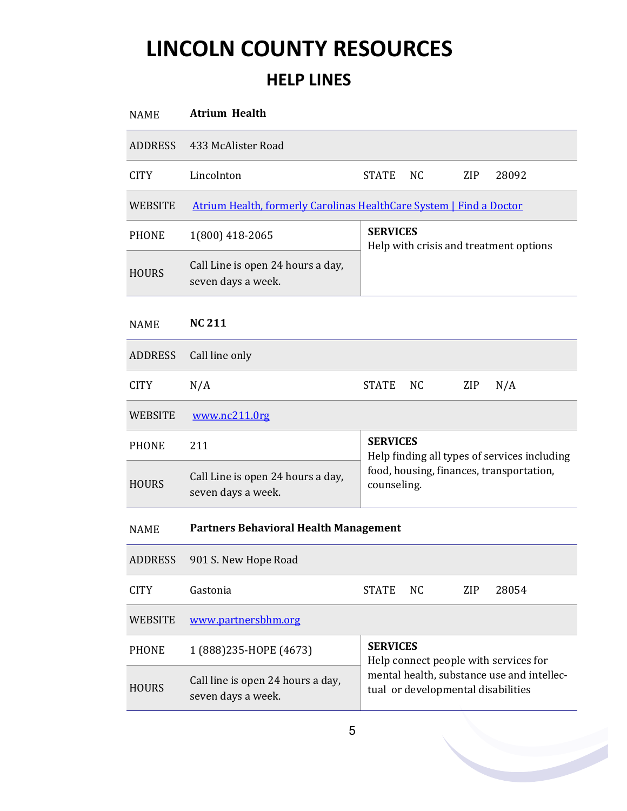### **HELP LINES**

| <b>NAME</b>    | <b>Atrium Health</b>                                                |                                                                                  |  |  |  |
|----------------|---------------------------------------------------------------------|----------------------------------------------------------------------------------|--|--|--|
| <b>ADDRESS</b> | 433 McAlister Road                                                  |                                                                                  |  |  |  |
| <b>CITY</b>    | Lincolnton                                                          | <b>STATE</b><br>NC<br>ZIP<br>28092                                               |  |  |  |
| <b>WEBSITE</b> | Atrium Health, formerly Carolinas HealthCare System   Find a Doctor |                                                                                  |  |  |  |
| <b>PHONE</b>   | 1(800) 418-2065                                                     | <b>SERVICES</b><br>Help with crisis and treatment options                        |  |  |  |
| <b>HOURS</b>   | Call Line is open 24 hours a day,<br>seven days a week.             |                                                                                  |  |  |  |
| NAME           | <b>NC 211</b>                                                       |                                                                                  |  |  |  |
| <b>ADDRESS</b> | Call line only                                                      |                                                                                  |  |  |  |
| <b>CITY</b>    | N/A                                                                 | <b>STATE</b><br>ZIP<br>NC.<br>N/A                                                |  |  |  |
| <b>WEBSITE</b> | www.nc211.0rg                                                       |                                                                                  |  |  |  |
| <b>PHONE</b>   | 211                                                                 | <b>SERVICES</b><br>Help finding all types of services including                  |  |  |  |
| <b>HOURS</b>   | Call Line is open 24 hours a day,<br>seven days a week.             | food, housing, finances, transportation,<br>counseling.                          |  |  |  |
| <b>NAME</b>    | <b>Partners Behavioral Health Management</b>                        |                                                                                  |  |  |  |
| <b>ADDRESS</b> | 901 S. New Hope Road                                                |                                                                                  |  |  |  |
| <b>CITY</b>    | Gastonia                                                            | <b>STATE</b><br><b>NC</b><br>ZIP<br>28054                                        |  |  |  |
| <b>WEBSITE</b> | www.partnersbhm.org                                                 |                                                                                  |  |  |  |
| <b>PHONE</b>   | 1 (888) 235-HOPE (4673)                                             | <b>SERVICES</b><br>Help connect people with services for                         |  |  |  |
| <b>HOURS</b>   | Call line is open 24 hours a day,<br>seven days a week.             | mental health, substance use and intellec-<br>tual or developmental disabilities |  |  |  |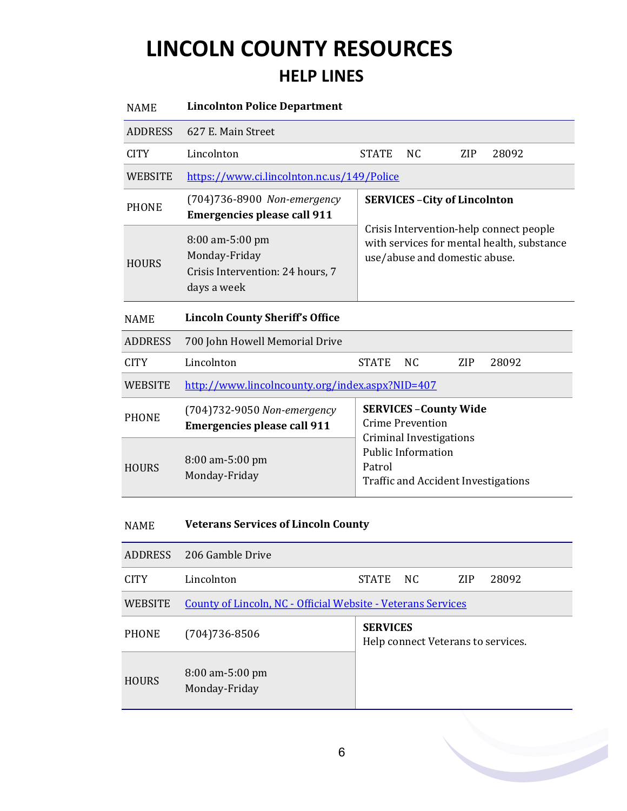### **HELP LINES**

| <b>NAME</b>    | <b>Lincolnton Police Department</b>                                                 |                                                                                                                                                                |                                    |            |       |  |
|----------------|-------------------------------------------------------------------------------------|----------------------------------------------------------------------------------------------------------------------------------------------------------------|------------------------------------|------------|-------|--|
| <b>ADDRESS</b> | 627 E. Main Street                                                                  |                                                                                                                                                                |                                    |            |       |  |
| <b>CITY</b>    | Lincolnton                                                                          | <b>STATE</b>                                                                                                                                                   | <b>NC</b>                          | <b>ZIP</b> | 28092 |  |
| WEBSITE        | https://www.ci.lincolnton.nc.us/149/Police                                          |                                                                                                                                                                |                                    |            |       |  |
| <b>PHONE</b>   | (704)736-8900 Non-emergency<br><b>Emergencies please call 911</b>                   | <b>SERVICES - City of Lincolnton</b><br>Crisis Intervention-help connect people<br>with services for mental health, substance<br>use/abuse and domestic abuse. |                                    |            |       |  |
| <b>HOURS</b>   | 8:00 am-5:00 pm<br>Monday-Friday<br>Crisis Intervention: 24 hours, 7<br>days a week |                                                                                                                                                                |                                    |            |       |  |
| <b>NAME</b>    | <b>Lincoln County Sheriff's Office</b>                                              |                                                                                                                                                                |                                    |            |       |  |
| <b>ADDRESS</b> | 700 John Howell Memorial Drive                                                      |                                                                                                                                                                |                                    |            |       |  |
| <b>CITY</b>    | Lincolnton                                                                          | <b>STATE</b>                                                                                                                                                   | <b>NC</b>                          | ZIP        | 28092 |  |
| <b>WEBSITE</b> | http://www.lincolncounty.org/index.aspx?NID=407                                     |                                                                                                                                                                |                                    |            |       |  |
| <b>PHONE</b>   | (704)732-9050 Non-emergency<br><b>Emergencies please call 911</b>                   | <b>Crime Prevention</b>                                                                                                                                        | <b>SERVICES - County Wide</b>      |            |       |  |
| <b>HOURS</b>   | 8:00 am-5:00 pm<br>Monday-Friday                                                    | <b>Criminal Investigations</b><br><b>Public Information</b><br>Patrol<br><b>Traffic and Accident Investigations</b>                                            |                                    |            |       |  |
| <b>NAME</b>    | <b>Veterans Services of Lincoln County</b>                                          |                                                                                                                                                                |                                    |            |       |  |
| <b>ADDRESS</b> | 206 Gamble Drive                                                                    |                                                                                                                                                                |                                    |            |       |  |
| <b>CITY</b>    | Lincolnton                                                                          | <b>STATE</b>                                                                                                                                                   | <b>NC</b>                          | ZIP        | 28092 |  |
| <b>WEBSITE</b> | <b>County of Lincoln, NC - Official Website - Veterans Services</b>                 |                                                                                                                                                                |                                    |            |       |  |
| <b>PHONE</b>   | $(704)736 - 8506$                                                                   | <b>SERVICES</b>                                                                                                                                                | Help connect Veterans to services. |            |       |  |
| <b>HOURS</b>   | 8:00 am-5:00 pm<br>Monday-Friday                                                    |                                                                                                                                                                |                                    |            |       |  |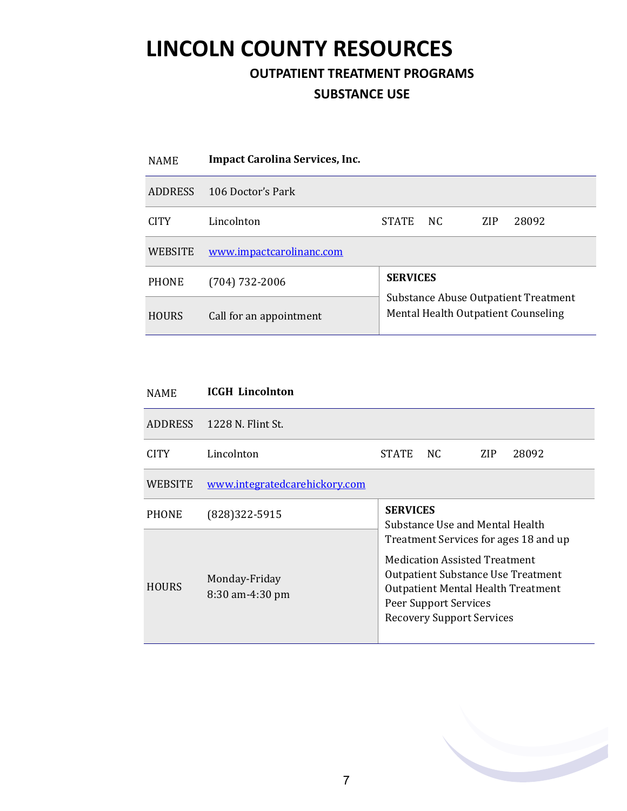**OUTPATIENT TREATMENT PROGRAMS** 

#### **SUBSTANCE USE**

| <b>NAME</b>    | <b>Impact Carolina Services, Inc.</b> |                 |                                                                             |            |       |  |
|----------------|---------------------------------------|-----------------|-----------------------------------------------------------------------------|------------|-------|--|
| <b>ADDRESS</b> | 106 Doctor's Park                     |                 |                                                                             |            |       |  |
| <b>CITY</b>    | Lincolnton                            | <b>STATE</b>    | NC.                                                                         | <b>ZIP</b> | 28092 |  |
| <b>WEBSITE</b> | www.impactcarolinanc.com              |                 |                                                                             |            |       |  |
| <b>PHONE</b>   | $(704)$ 732-2006                      | <b>SERVICES</b> |                                                                             |            |       |  |
| <b>HOURS</b>   | Call for an appointment               |                 | Substance Abuse Outpatient Treatment<br>Mental Health Outpatient Counseling |            |       |  |

| <b>NAME</b>    | <b>ICGH</b> Lincolnton           |                                                                                                                                                                                                                                                                                     |     |     |       |  |  |
|----------------|----------------------------------|-------------------------------------------------------------------------------------------------------------------------------------------------------------------------------------------------------------------------------------------------------------------------------------|-----|-----|-------|--|--|
| ADDRESS        | 1228 N. Flint St.                |                                                                                                                                                                                                                                                                                     |     |     |       |  |  |
| <b>CITY</b>    | Lincolnton                       | <b>STATE</b>                                                                                                                                                                                                                                                                        | NC. | ZIP | 28092 |  |  |
| <b>WEBSITE</b> | www.integratedcarehickory.com    |                                                                                                                                                                                                                                                                                     |     |     |       |  |  |
| <b>PHONE</b>   | (828) 322-5915                   | <b>SERVICES</b><br>Substance Use and Mental Health<br>Treatment Services for ages 18 and up<br><b>Medication Assisted Treatment</b><br>Outpatient Substance Use Treatment<br><b>Outpatient Mental Health Treatment</b><br>Peer Support Services<br><b>Recovery Support Services</b> |     |     |       |  |  |
| <b>HOURS</b>   | Monday-Friday<br>8:30 am-4:30 pm |                                                                                                                                                                                                                                                                                     |     |     |       |  |  |

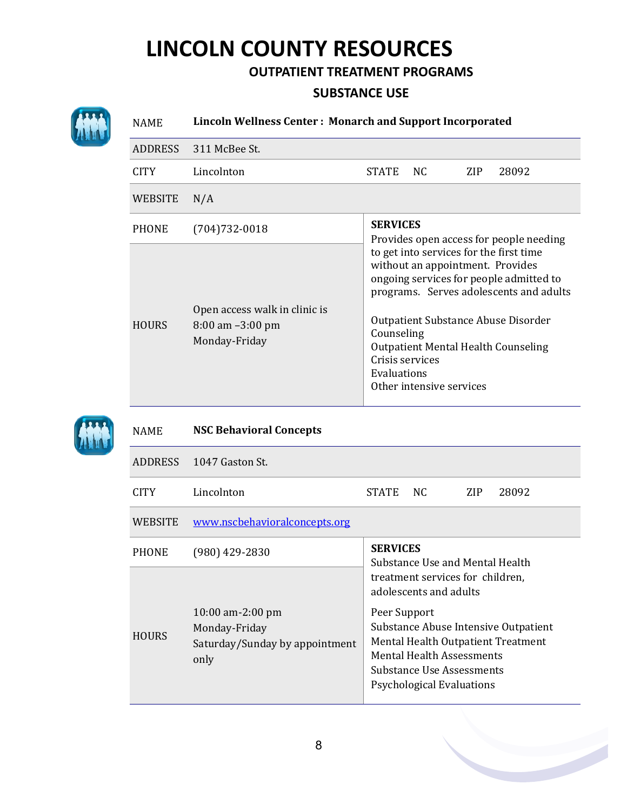#### **OUTPATIENT TREATMENT PROGRAMS**

#### **SUBSTANCE USE**



### NAME **Lincoln Wellness Center : Monarch and Support Incorporated** ADDRESS 311 McBee St.

| <b>CITY</b>    | Lincolnton                                                             | <b>STATE</b>                                                                                                                                                                                                                                                         | NC. | ZIP. | 28092 |  |  |
|----------------|------------------------------------------------------------------------|----------------------------------------------------------------------------------------------------------------------------------------------------------------------------------------------------------------------------------------------------------------------|-----|------|-------|--|--|
| <b>WEBSITE</b> | N/A                                                                    |                                                                                                                                                                                                                                                                      |     |      |       |  |  |
| <b>PHONE</b>   | $(704)732-0018$                                                        | <b>SERVICES</b><br>Provides open access for people needing                                                                                                                                                                                                           |     |      |       |  |  |
| <b>HOURS</b>   | Open access walk in clinic is<br>$8:00$ am $-3:00$ pm<br>Monday-Friday | to get into services for the first time<br>without an appointment. Provides<br>ongoing services for people admitted to<br>programs. Serves adolescents and adults<br>Outpatient Substance Abuse Disorder<br>Counseling<br><b>Outpatient Mental Health Counseling</b> |     |      |       |  |  |
|                |                                                                        | Crisis services<br>Evaluations<br>Other intensive services                                                                                                                                                                                                           |     |      |       |  |  |



#### NAME **NSC Behavioral Concepts**

| ADDRESS        | 1047 Gaston St.                                                               |                                                                                                                          |                                                                            |      |       |  |  |
|----------------|-------------------------------------------------------------------------------|--------------------------------------------------------------------------------------------------------------------------|----------------------------------------------------------------------------|------|-------|--|--|
| <b>CITY</b>    | Lincolnton                                                                    | <b>STATE</b>                                                                                                             | NC.                                                                        | ZIP. | 28092 |  |  |
| <b>WEBSITE</b> | www.nscbehavioralconcepts.org                                                 |                                                                                                                          |                                                                            |      |       |  |  |
| <b>PHONE</b>   | (980) 429-2830                                                                | <b>SERVICES</b><br>Substance Use and Mental Health                                                                       |                                                                            |      |       |  |  |
|                |                                                                               | treatment services for children,<br>adolescents and adults                                                               |                                                                            |      |       |  |  |
| <b>HOURS</b>   | $10:00$ am-2:00 pm<br>Monday-Friday<br>Saturday/Sunday by appointment<br>only | Peer Support<br><b>Mental Health Assessments</b><br><b>Substance Use Assessments</b><br><b>Psychological Evaluations</b> | Substance Abuse Intensive Outpatient<br>Mental Health Outpatient Treatment |      |       |  |  |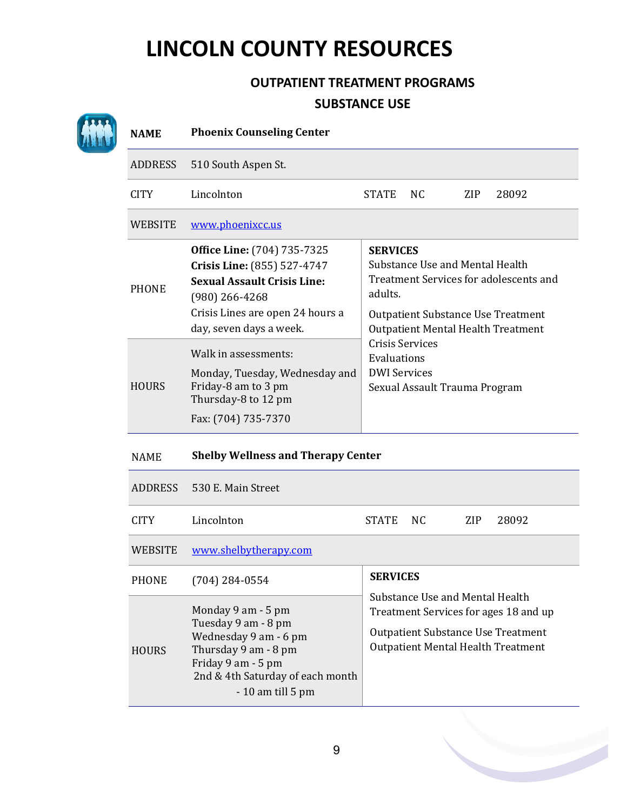### **OUTPATIENT TREATMENT PROGRAMS SUBSTANCE USE**

| <b>NAME</b>    | <b>Phoenix Counseling Center</b>                                                                                                                                                           |                                                                                                                                                                                                                                                                                                    |     |     |       |  |  |
|----------------|--------------------------------------------------------------------------------------------------------------------------------------------------------------------------------------------|----------------------------------------------------------------------------------------------------------------------------------------------------------------------------------------------------------------------------------------------------------------------------------------------------|-----|-----|-------|--|--|
| <b>ADDRESS</b> | 510 South Aspen St.                                                                                                                                                                        |                                                                                                                                                                                                                                                                                                    |     |     |       |  |  |
| <b>CITY</b>    | Lincolnton                                                                                                                                                                                 | <b>STATE</b>                                                                                                                                                                                                                                                                                       | NC. | ZIP | 28092 |  |  |
| WEBSITE        | www.phoenixcc.us                                                                                                                                                                           |                                                                                                                                                                                                                                                                                                    |     |     |       |  |  |
| <b>PHONE</b>   | <b>Office Line:</b> (704) 735-7325<br>Crisis Line: (855) 527-4747<br><b>Sexual Assault Crisis Line:</b><br>$(980)$ 266-4268<br>Crisis Lines are open 24 hours a<br>day, seven days a week. | <b>SERVICES</b><br>Substance Use and Mental Health<br>Treatment Services for adolescents and<br>adults.<br><b>Outpatient Substance Use Treatment</b><br><b>Outpatient Mental Health Treatment</b><br><b>Crisis Services</b><br>Evaluations<br><b>DWI Services</b><br>Sexual Assault Trauma Program |     |     |       |  |  |
| <b>HOURS</b>   | Walk in assessments:<br>Monday, Tuesday, Wednesday and<br>Friday-8 am to 3 pm<br>Thursday-8 to 12 pm<br>Fax: (704) 735-7370                                                                |                                                                                                                                                                                                                                                                                                    |     |     |       |  |  |

NAME **Shelby Wellness and Therapy Center**

| ADDRESS        | 530 E. Main Street                                                                                                                                                         |                                                                                                                                                                    |     |     |       |  |  |
|----------------|----------------------------------------------------------------------------------------------------------------------------------------------------------------------------|--------------------------------------------------------------------------------------------------------------------------------------------------------------------|-----|-----|-------|--|--|
| CITY.          | Lincolnton                                                                                                                                                                 | <b>STATE</b>                                                                                                                                                       | NC. | ZIP | 28092 |  |  |
| <b>WEBSITE</b> | www.shelbytherapy.com                                                                                                                                                      |                                                                                                                                                                    |     |     |       |  |  |
| <b>PHONE</b>   | $(704)$ 284-0554                                                                                                                                                           | <b>SERVICES</b>                                                                                                                                                    |     |     |       |  |  |
| <b>HOURS</b>   | Monday 9 am - 5 pm<br>Tuesday 9 am - 8 pm<br>Wednesday 9 am - 6 pm<br>Thursday 9 am - 8 pm<br>Friday 9 am - 5 pm<br>2nd & 4th Saturday of each month<br>$-10$ am till 5 pm | Substance Use and Mental Health<br>Treatment Services for ages 18 and up<br><b>Outpatient Substance Use Treatment</b><br><b>Outpatient Mental Health Treatment</b> |     |     |       |  |  |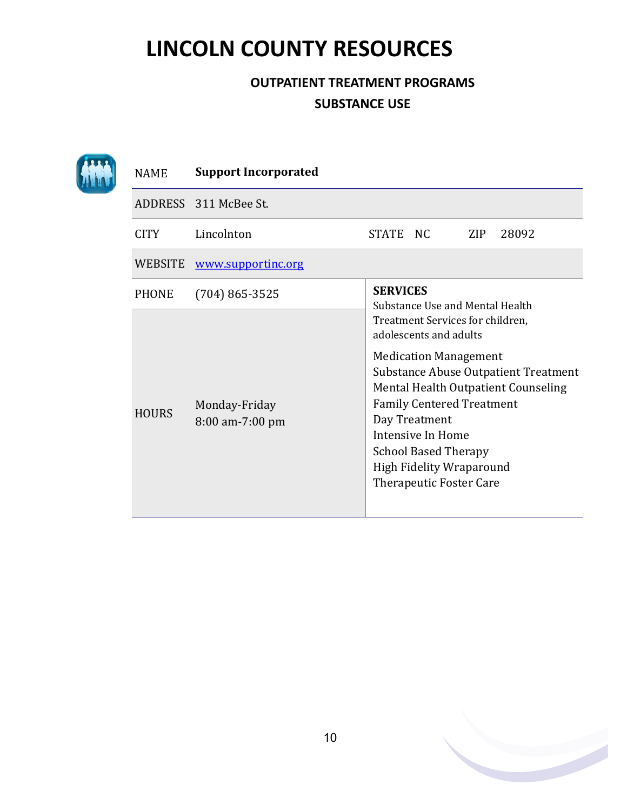### **OUTPATIENT TREATMENT PROGRAMS SUBSTANCE USE**

| <b>NAME</b>  | <b>Support Incorporated</b>      |                 |                                                                                                                                                                                                                                                                          |            |                                                                                    |
|--------------|----------------------------------|-----------------|--------------------------------------------------------------------------------------------------------------------------------------------------------------------------------------------------------------------------------------------------------------------------|------------|------------------------------------------------------------------------------------|
|              | ADDRESS 311 McBee St.            |                 |                                                                                                                                                                                                                                                                          |            |                                                                                    |
| <b>CITY</b>  | Lincolnton                       | STATE NC        |                                                                                                                                                                                                                                                                          | <b>ZIP</b> | 28092                                                                              |
| WEBSITE      | www.supportinc.org               |                 |                                                                                                                                                                                                                                                                          |            |                                                                                    |
| <b>PHONE</b> | $(704)865 - 3525$                | <b>SERVICES</b> | Substance Use and Mental Health                                                                                                                                                                                                                                          |            |                                                                                    |
| <b>HOURS</b> | Monday-Friday<br>8:00 am-7:00 pm |                 | Treatment Services for children,<br>adolescents and adults<br><b>Medication Management</b><br><b>Family Centered Treatment</b><br>Day Treatment<br>Intensive In Home<br><b>School Based Therapy</b><br><b>High Fidelity Wraparound</b><br><b>Therapeutic Foster Care</b> |            | <b>Substance Abuse Outpatient Treatment</b><br>Mental Health Outpatient Counseling |

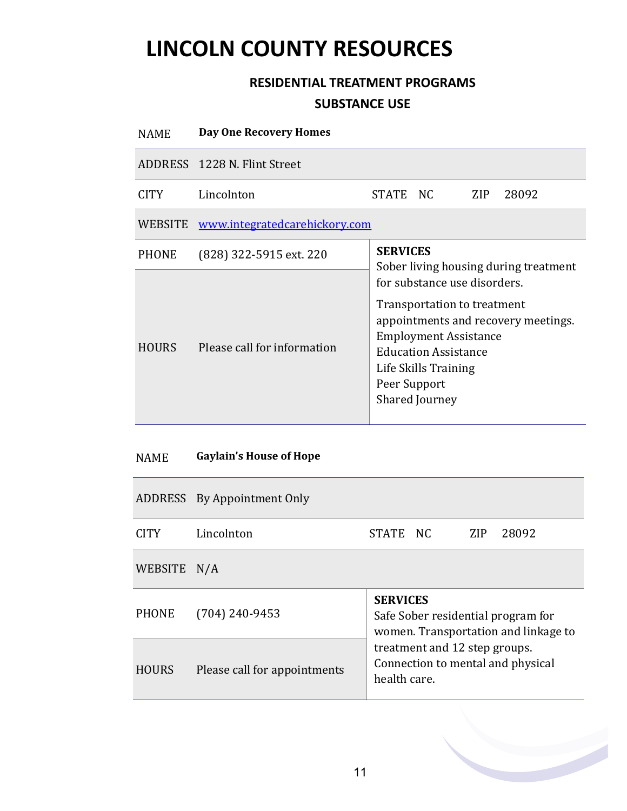### **RESIDENTIAL TREATMENT PROGRAMS SUBSTANCE USE**

| <b>NAME</b>  | <b>Day One Recovery Homes</b>        |                                                          |                                                                                                                                                                             |     |                                     |  |  |
|--------------|--------------------------------------|----------------------------------------------------------|-----------------------------------------------------------------------------------------------------------------------------------------------------------------------------|-----|-------------------------------------|--|--|
|              | ADDRESS 1228 N. Flint Street         |                                                          |                                                                                                                                                                             |     |                                     |  |  |
| CITY.        | Lincolnton                           | STATE NC                                                 |                                                                                                                                                                             | ZIP | 28092                               |  |  |
| WEBSITE      | <u>www.integratedcarehickory.com</u> |                                                          |                                                                                                                                                                             |     |                                     |  |  |
| <b>PHONE</b> | (828) 322-5915 ext. 220              | <b>SERVICES</b><br>Sober living housing during treatment |                                                                                                                                                                             |     |                                     |  |  |
| <b>HOURS</b> | Please call for information          | Peer Support                                             | for substance use disorders.<br>Transportation to treatment<br><b>Employment Assistance</b><br><b>Education Assistance</b><br>Life Skills Training<br><b>Shared Journey</b> |     | appointments and recovery meetings. |  |  |

#### NAME **Gaylain's House of Hope**

|              | ADDRESS By Appointment Only  |                                                                                                                                                                                     |  |      |       |  |  |
|--------------|------------------------------|-------------------------------------------------------------------------------------------------------------------------------------------------------------------------------------|--|------|-------|--|--|
| <b>CITY</b>  | Lincolnton                   | STATE NC                                                                                                                                                                            |  | ZIP. | 28092 |  |  |
| WEBSITE      | N/A                          |                                                                                                                                                                                     |  |      |       |  |  |
| <b>PHONE</b> | $(704)$ 240-9453             | <b>SERVICES</b><br>Safe Sober residential program for<br>women. Transportation and linkage to<br>treatment and 12 step groups.<br>Connection to mental and physical<br>health care. |  |      |       |  |  |
| <b>HOURS</b> | Please call for appointments |                                                                                                                                                                                     |  |      |       |  |  |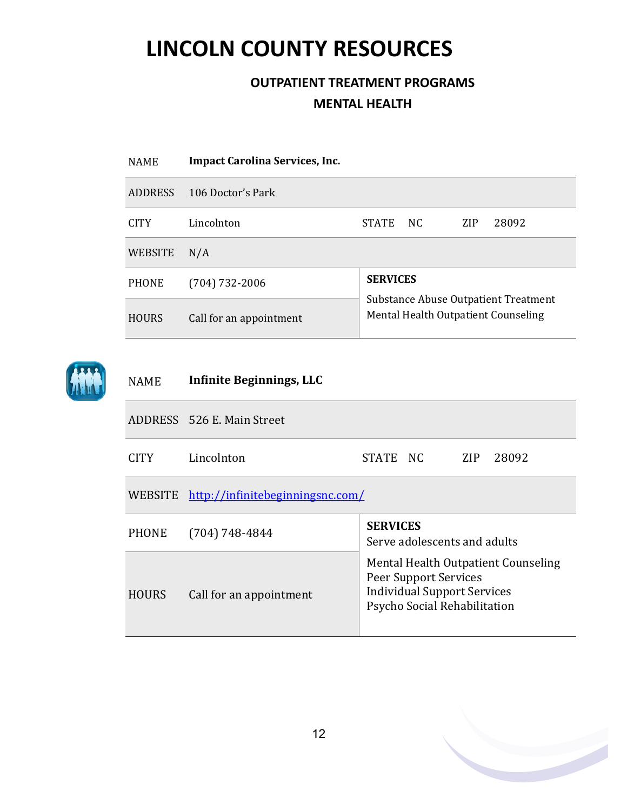<span id="page-11-0"></span>

| <b>NAME</b>    | <b>Impact Carolina Services, Inc.</b> |                                                                             |     |            |       |  |  |
|----------------|---------------------------------------|-----------------------------------------------------------------------------|-----|------------|-------|--|--|
| <b>ADDRESS</b> | 106 Doctor's Park                     |                                                                             |     |            |       |  |  |
| <b>CITY</b>    | Lincolnton                            | <b>STATE</b>                                                                | NC. | <b>ZIP</b> | 28092 |  |  |
| WEBSITE        | N/A                                   |                                                                             |     |            |       |  |  |
| <b>PHONE</b>   | $(704) 732 - 2006$                    | <b>SERVICES</b>                                                             |     |            |       |  |  |
| <b>HOURS</b>   | Call for an appointment               | Substance Abuse Outpatient Treatment<br>Mental Health Outpatient Counseling |     |            |       |  |  |
|                |                                       |                                                                             |     |            |       |  |  |



| <b>NAME</b>  | Infinite Beginnings, LLC                 |                                                                                                                                           |  |  |  |  |  |
|--------------|------------------------------------------|-------------------------------------------------------------------------------------------------------------------------------------------|--|--|--|--|--|
|              | ADDRESS 526 E. Main Street               |                                                                                                                                           |  |  |  |  |  |
| <b>CITY</b>  | Lincolnton                               | STATE NC<br>ZIP<br>28092                                                                                                                  |  |  |  |  |  |
|              | WEBSITE http://infinitebeginningsnc.com/ |                                                                                                                                           |  |  |  |  |  |
| <b>PHONE</b> | $(704) 748 - 4844$                       | <b>SERVICES</b><br>Serve adolescents and adults                                                                                           |  |  |  |  |  |
| <b>HOURS</b> | Call for an appointment                  | Mental Health Outpatient Counseling<br><b>Peer Support Services</b><br><b>Individual Support Services</b><br>Psycho Social Rehabilitation |  |  |  |  |  |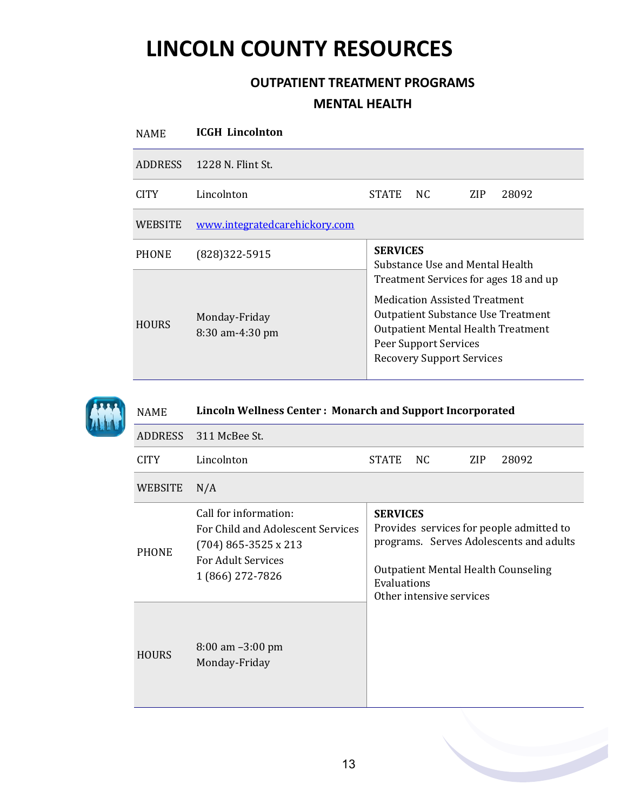| <b>NAME</b>  | <b>ICGH</b> Lincolnton           |                                                                                                                                                                                                                                                                         |     |     |       |  |  |  |
|--------------|----------------------------------|-------------------------------------------------------------------------------------------------------------------------------------------------------------------------------------------------------------------------------------------------------------------------|-----|-----|-------|--|--|--|
|              | ADDRESS 1228 N. Flint St.        |                                                                                                                                                                                                                                                                         |     |     |       |  |  |  |
| CITY         | Lincolnton                       | <b>STATE</b>                                                                                                                                                                                                                                                            | NC. | ZIP | 28092 |  |  |  |
| WEBSITE      | www.integratedcarehickory.com    |                                                                                                                                                                                                                                                                         |     |     |       |  |  |  |
| <b>PHONE</b> | (828) 322-5915                   | <b>SERVICES</b>                                                                                                                                                                                                                                                         |     |     |       |  |  |  |
| <b>HOURS</b> | Monday-Friday<br>8:30 am-4:30 pm | Substance Use and Mental Health<br>Treatment Services for ages 18 and up<br><b>Medication Assisted Treatment</b><br><b>Outpatient Substance Use Treatment</b><br><b>Outpatient Mental Health Treatment</b><br>Peer Support Services<br><b>Recovery Support Services</b> |     |     |       |  |  |  |



| <b>NAME</b>  | <b>Lincoln Wellness Center: Monarch and Support Incorporated</b>                                                                      |                                                                                                                                                                                                 |  |  |  |  |  |
|--------------|---------------------------------------------------------------------------------------------------------------------------------------|-------------------------------------------------------------------------------------------------------------------------------------------------------------------------------------------------|--|--|--|--|--|
| ADDRESS      | 311 McBee St.                                                                                                                         |                                                                                                                                                                                                 |  |  |  |  |  |
| <b>CITY</b>  | Lincolnton                                                                                                                            | <b>STATE</b><br>NC.<br>ZIP<br>28092                                                                                                                                                             |  |  |  |  |  |
| WEBSITE      | N/A                                                                                                                                   |                                                                                                                                                                                                 |  |  |  |  |  |
| <b>PHONE</b> | Call for information:<br>For Child and Adolescent Services<br>$(704)$ 865-3525 x 213<br><b>For Adult Services</b><br>1 (866) 272-7826 | <b>SERVICES</b><br>Provides services for people admitted to<br>programs. Serves Adolescents and adults<br><b>Outpatient Mental Health Counseling</b><br>Evaluations<br>Other intensive services |  |  |  |  |  |
| <b>HOURS</b> | $8:00$ am $-3:00$ pm<br>Monday-Friday                                                                                                 |                                                                                                                                                                                                 |  |  |  |  |  |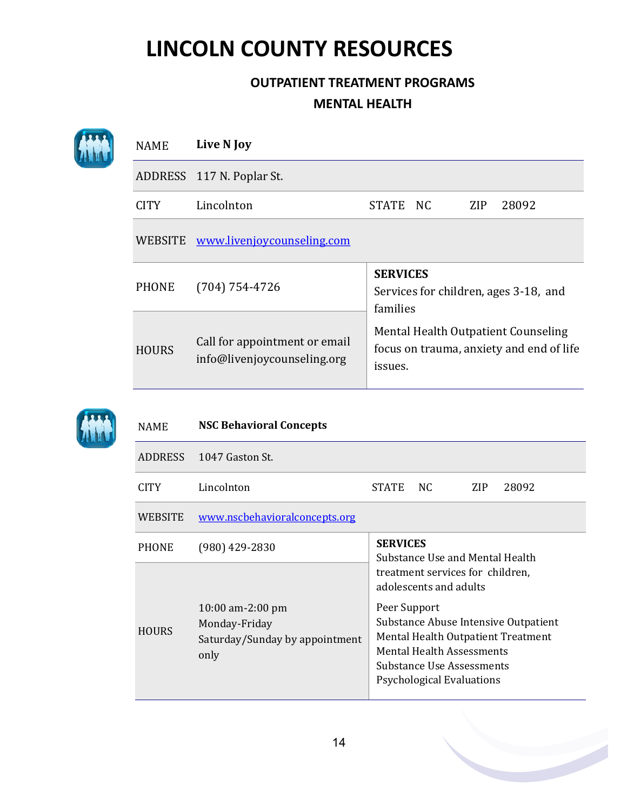| <b>NAME</b>    | Live N Joy                                                   |                                                                                                                                                                    |      |     |       |  |
|----------------|--------------------------------------------------------------|--------------------------------------------------------------------------------------------------------------------------------------------------------------------|------|-----|-------|--|
|                | ADDRESS 117 N. Poplar St.                                    |                                                                                                                                                                    |      |     |       |  |
| <b>CITY</b>    | Lincolnton                                                   | <b>STATE</b>                                                                                                                                                       | - NC | ZIP | 28092 |  |
| WEBSITE        | www.livenjoycounseling.com                                   |                                                                                                                                                                    |      |     |       |  |
| <b>PHONE</b>   | $(704) 754 - 4726$                                           | <b>SERVICES</b><br>Services for children, ages 3-18, and<br>families<br>Mental Health Outpatient Counseling<br>focus on trauma, anxiety and end of life<br>issues. |      |     |       |  |
| <b>HOURS</b>   | Call for appointment or email<br>info@livenjoycounseling.org |                                                                                                                                                                    |      |     |       |  |
| <b>NAME</b>    | <b>NSC Behavioral Concepts</b>                               |                                                                                                                                                                    |      |     |       |  |
| <b>ADDRESS</b> | 1047 Gaston St.                                              |                                                                                                                                                                    |      |     |       |  |

| CITY         | Lincolnton                                                                    | <b>STATE</b>                                                                                                                                                                                                                                                  | NC. | ZIP | 28092 |  |  |  |  |
|--------------|-------------------------------------------------------------------------------|---------------------------------------------------------------------------------------------------------------------------------------------------------------------------------------------------------------------------------------------------------------|-----|-----|-------|--|--|--|--|
| WEBSITE      | www.nscbehavioralconcepts.org                                                 |                                                                                                                                                                                                                                                               |     |     |       |  |  |  |  |
| <b>PHONE</b> | $(980)$ 429-2830                                                              | <b>SERVICES</b><br>Substance Use and Mental Health                                                                                                                                                                                                            |     |     |       |  |  |  |  |
| <b>HOURS</b> | $10:00$ am-2:00 pm<br>Monday-Friday<br>Saturday/Sunday by appointment<br>only | treatment services for children,<br>adolescents and adults<br>Peer Support<br>Substance Abuse Intensive Outpatient<br>Mental Health Outpatient Treatment<br><b>Mental Health Assessments</b><br>Substance Use Assessments<br><b>Psychological Evaluations</b> |     |     |       |  |  |  |  |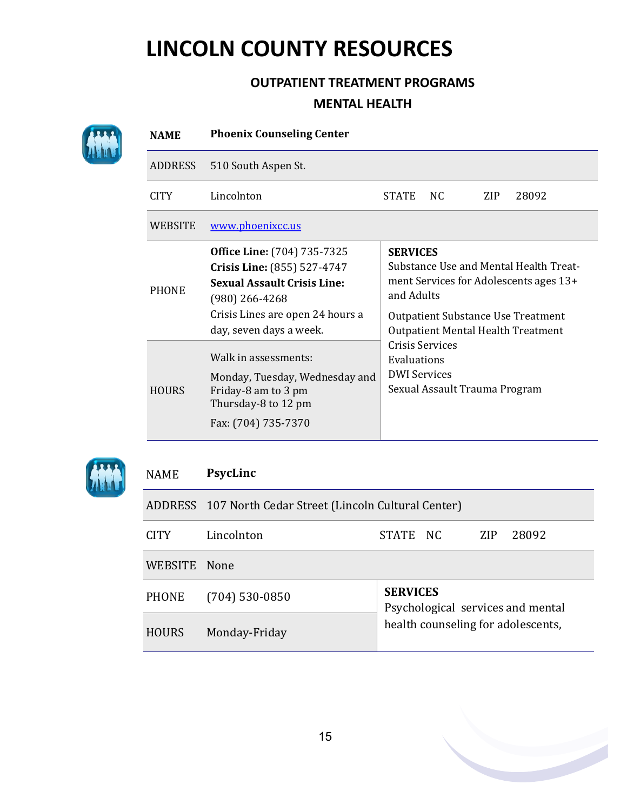### **OUTPATIENT TREATMENT PROGRAMS MENTAL HEALTH**





#### NAME **PsycLinc**

|              | ADDRESS 107 North Cedar Street (Lincoln Cultural Center) |                                                      |  |     |       |  |  |  |
|--------------|----------------------------------------------------------|------------------------------------------------------|--|-----|-------|--|--|--|
| CITY         | Lincolnton                                               | STATE NC                                             |  | ZIP | 28092 |  |  |  |
| WEBSITE      | - None                                                   |                                                      |  |     |       |  |  |  |
| <b>PHONE</b> | $(704)$ 530-0850                                         | <b>SERVICES</b><br>Psychological services and mental |  |     |       |  |  |  |
| <b>HOURS</b> | Monday-Friday                                            | health counseling for adolescents,                   |  |     |       |  |  |  |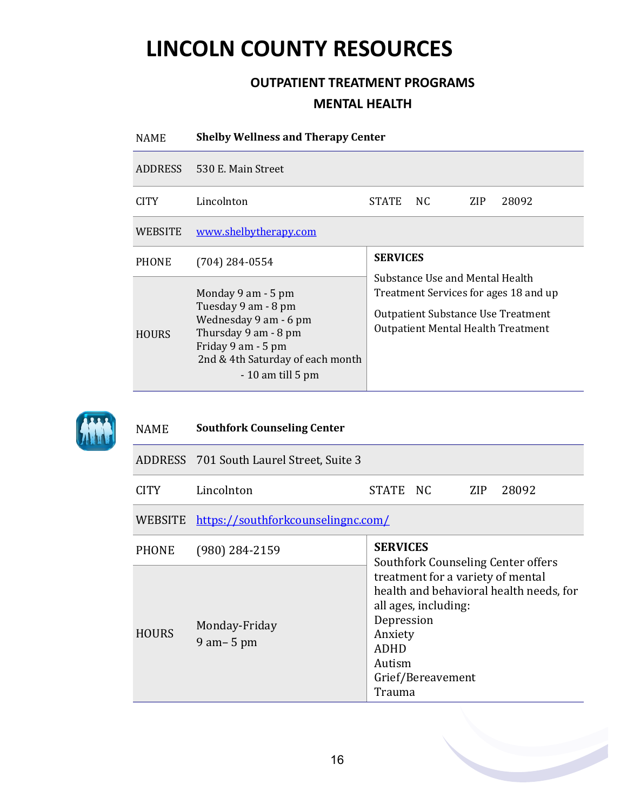### **OUTPATIENT TREATMENT PROGRAMS MENTAL HEALTH**

| <b>NAME</b>  | <b>Shelby Wellness and Therapy Center</b>                                                                                                                                  |                                                                                                                                                                                |     |      |       |  |  |  |
|--------------|----------------------------------------------------------------------------------------------------------------------------------------------------------------------------|--------------------------------------------------------------------------------------------------------------------------------------------------------------------------------|-----|------|-------|--|--|--|
|              | ADDRESS 530 E. Main Street                                                                                                                                                 |                                                                                                                                                                                |     |      |       |  |  |  |
| CITY.        | Lincolnton                                                                                                                                                                 | <b>STATE</b>                                                                                                                                                                   | NC. | ZIP. | 28092 |  |  |  |
| WEBSITE      | www.shelbytherapy.com                                                                                                                                                      |                                                                                                                                                                                |     |      |       |  |  |  |
| <b>PHONE</b> | $(704)$ 284-0554                                                                                                                                                           | <b>SERVICES</b><br>Substance Use and Mental Health<br>Treatment Services for ages 18 and up<br>Outpatient Substance Use Treatment<br><b>Outpatient Mental Health Treatment</b> |     |      |       |  |  |  |
| <b>HOURS</b> | Monday 9 am - 5 pm<br>Tuesday 9 am - 8 pm<br>Wednesday 9 am - 6 pm<br>Thursday 9 am - 8 pm<br>Friday 9 am - 5 pm<br>2nd & 4th Saturday of each month<br>$-10$ am till 5 pm |                                                                                                                                                                                |     |      |       |  |  |  |



#### NAME **Southfork Counseling Center**

|             | ADDRESS 701 South Laurel Street, Suite 3 |          |  |           |
|-------------|------------------------------------------|----------|--|-----------|
| <b>CITY</b> | Lincolnton                               | STATE NC |  | ZIP 28092 |

### WEBSITE <https://southforkcounselingnc.com/>

| <b>PHONE</b> | (980) 284-2159                   | <b>SERVICES</b><br>Southfork Counseling Center offers                                                                                                                                 |
|--------------|----------------------------------|---------------------------------------------------------------------------------------------------------------------------------------------------------------------------------------|
| <b>HOURS</b> | Monday-Friday<br>$9$ am $-$ 5 pm | treatment for a variety of mental<br>health and behavioral health needs, for<br>all ages, including:<br>Depression<br>Anxiety<br><b>ADHD</b><br>Autism<br>Grief/Bereavement<br>Trauma |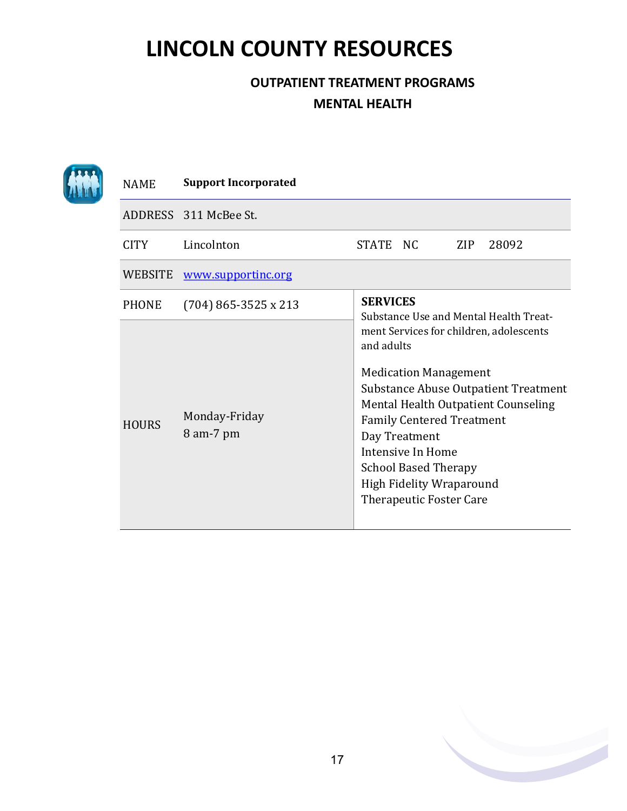| <b>NAME</b>    | <b>Support Incorporated</b> |                 |                                                                                                                                                                                                            |     |                                                                                                                               |
|----------------|-----------------------------|-----------------|------------------------------------------------------------------------------------------------------------------------------------------------------------------------------------------------------------|-----|-------------------------------------------------------------------------------------------------------------------------------|
|                | ADDRESS 311 McBee St.       |                 |                                                                                                                                                                                                            |     |                                                                                                                               |
| <b>CITY</b>    | Lincolnton                  | STATE NC        |                                                                                                                                                                                                            | ZIP | 28092                                                                                                                         |
| <b>WEBSITE</b> | www.supportinc.org          |                 |                                                                                                                                                                                                            |     |                                                                                                                               |
| <b>PHONE</b>   | $(704)$ 865-3525 x 213      | <b>SERVICES</b> |                                                                                                                                                                                                            |     | Substance Use and Mental Health Treat-                                                                                        |
| <b>HOURS</b>   | Monday-Friday<br>8 am-7 pm  | and adults      | <b>Medication Management</b><br><b>Family Centered Treatment</b><br>Day Treatment<br>Intensive In Home<br><b>School Based Therapy</b><br><b>High Fidelity Wraparound</b><br><b>Therapeutic Foster Care</b> |     | ment Services for children, adolescents<br><b>Substance Abuse Outpatient Treatment</b><br>Mental Health Outpatient Counseling |

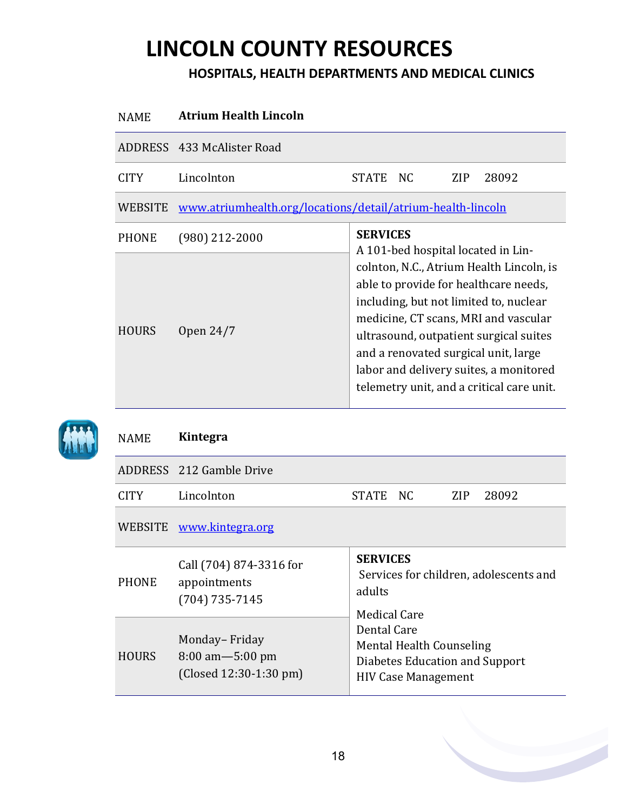### **HOSPITALS, HEALTH DEPARTMENTS AND MEDICAL CLINICS**

| <b>NAME</b>    | <b>Atrium Health Lincoln</b>                                |                                                                                                                                                                                                                                                                                                                                              |  |  |  |
|----------------|-------------------------------------------------------------|----------------------------------------------------------------------------------------------------------------------------------------------------------------------------------------------------------------------------------------------------------------------------------------------------------------------------------------------|--|--|--|
|                | ADDRESS 433 McAlister Road                                  |                                                                                                                                                                                                                                                                                                                                              |  |  |  |
| <b>CITY</b>    | Lincolnton                                                  | NC.<br><b>ZIP</b><br>28092<br><b>STATE</b>                                                                                                                                                                                                                                                                                                   |  |  |  |
| <b>WEBSITE</b> | www.atriumhealth.org/locations/detail/atrium-health-lincoln |                                                                                                                                                                                                                                                                                                                                              |  |  |  |
| <b>PHONE</b>   | $(980)$ 212-2000                                            | <b>SERVICES</b><br>A 101-bed hospital located in Lin-                                                                                                                                                                                                                                                                                        |  |  |  |
| <b>HOURS</b>   | Open 24/7                                                   | colnton, N.C., Atrium Health Lincoln, is<br>able to provide for healthcare needs,<br>including, but not limited to, nuclear<br>medicine, CT scans, MRI and vascular<br>ultrasound, outpatient surgical suites<br>and a renovated surgical unit, large<br>labor and delivery suites, a monitored<br>telemetry unit, and a critical care unit. |  |  |  |



#### NAME **Kintegra**

|              | ADDRESS 212 Gamble Drive                                          |                                                                                                         |  |  |  |
|--------------|-------------------------------------------------------------------|---------------------------------------------------------------------------------------------------------|--|--|--|
| <b>CITY</b>  | Lincolnton                                                        | 28092<br>STATE NC<br>ZIP.                                                                               |  |  |  |
|              | WEBSITE www.kintegra.org                                          |                                                                                                         |  |  |  |
| <b>PHONE</b> | Call (704) 874-3316 for<br>appointments<br>$(704)$ 735-7145       | <b>SERVICES</b><br>Services for children, adolescents and<br>adults<br><b>Medical Care</b>              |  |  |  |
| <b>HOURS</b> | Monday-Friday<br>$8:00$ am $-5:00$ pm<br>$(Closed 12:30-1:30 pm)$ | Dental Care<br>Mental Health Counseling<br>Diabetes Education and Support<br><b>HIV Case Management</b> |  |  |  |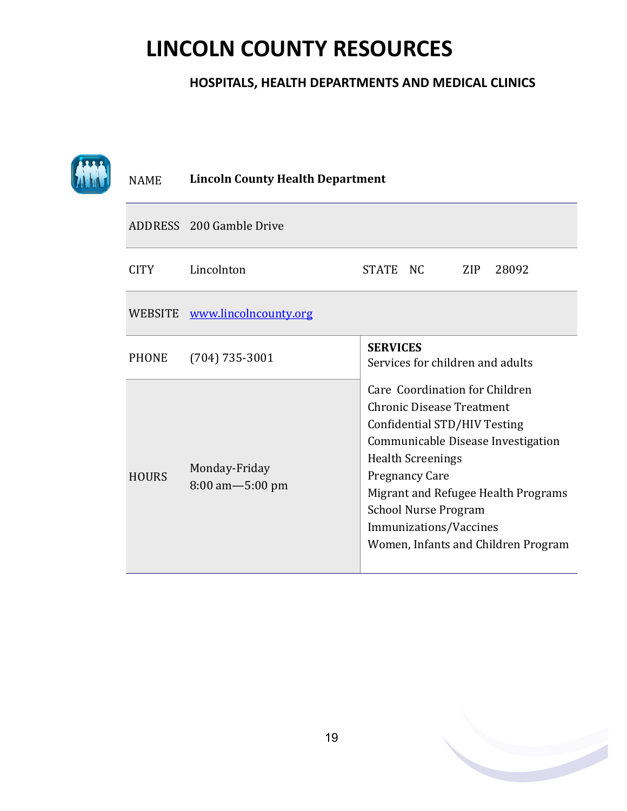#### **HOSPITALS, HEALTH DEPARTMENTS AND MEDICAL CLINICS**

| <b>NAME</b>  | <b>Lincoln County Health Department</b> |                                                                                                                                                                                                                                                                                                                                      |  |  |  |  |
|--------------|-----------------------------------------|--------------------------------------------------------------------------------------------------------------------------------------------------------------------------------------------------------------------------------------------------------------------------------------------------------------------------------------|--|--|--|--|
|              | ADDRESS 200 Gamble Drive                |                                                                                                                                                                                                                                                                                                                                      |  |  |  |  |
| <b>CITY</b>  | Lincolnton                              | STATE NC<br><b>ZIP</b><br>28092                                                                                                                                                                                                                                                                                                      |  |  |  |  |
|              | WEBSITE www.lincolncounty.org           |                                                                                                                                                                                                                                                                                                                                      |  |  |  |  |
| <b>PHONE</b> | $(704) 735 - 3001$                      | <b>SERVICES</b><br>Services for children and adults                                                                                                                                                                                                                                                                                  |  |  |  |  |
| <b>HOURS</b> | Monday-Friday<br>8:00 am-5:00 pm        | Care Coordination for Children<br><b>Chronic Disease Treatment</b><br>Confidential STD/HIV Testing<br>Communicable Disease Investigation<br><b>Health Screenings</b><br><b>Pregnancy Care</b><br>Migrant and Refugee Health Programs<br><b>School Nurse Program</b><br>Immunizations/Vaccines<br>Women, Infants and Children Program |  |  |  |  |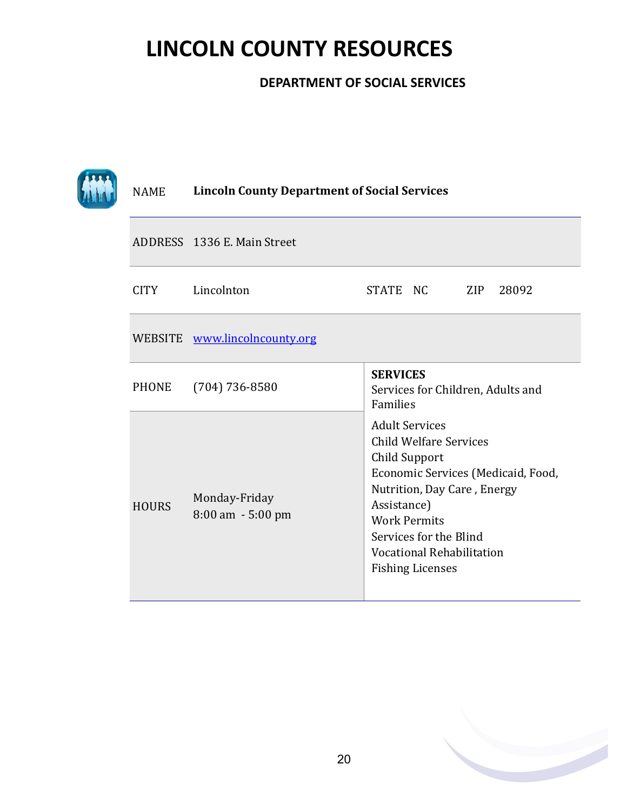#### **DEPARTMENT OF SOCIAL SERVICES**

|  | <b>NAME</b>  | <b>Lincoln County Department of Social Services</b> |                                                                                                                                                                                                                                                                             |  |  |  |
|--|--------------|-----------------------------------------------------|-----------------------------------------------------------------------------------------------------------------------------------------------------------------------------------------------------------------------------------------------------------------------------|--|--|--|
|  |              | ADDRESS 1336 E. Main Street                         |                                                                                                                                                                                                                                                                             |  |  |  |
|  | <b>CITY</b>  | Lincolnton                                          | STATE NC<br>ZIP<br>28092                                                                                                                                                                                                                                                    |  |  |  |
|  |              | WEBSITE www.lincolncounty.org                       |                                                                                                                                                                                                                                                                             |  |  |  |
|  | <b>PHONE</b> | $(704) 736 - 8580$                                  | <b>SERVICES</b><br>Services for Children, Adults and<br>Families                                                                                                                                                                                                            |  |  |  |
|  | <b>HOURS</b> | Monday-Friday<br>8:00 am - 5:00 pm                  | <b>Adult Services</b><br><b>Child Welfare Services</b><br>Child Support<br>Economic Services (Medicaid, Food,<br>Nutrition, Day Care, Energy<br>Assistance)<br><b>Work Permits</b><br>Services for the Blind<br><b>Vocational Rehabilitation</b><br><b>Fishing Licenses</b> |  |  |  |

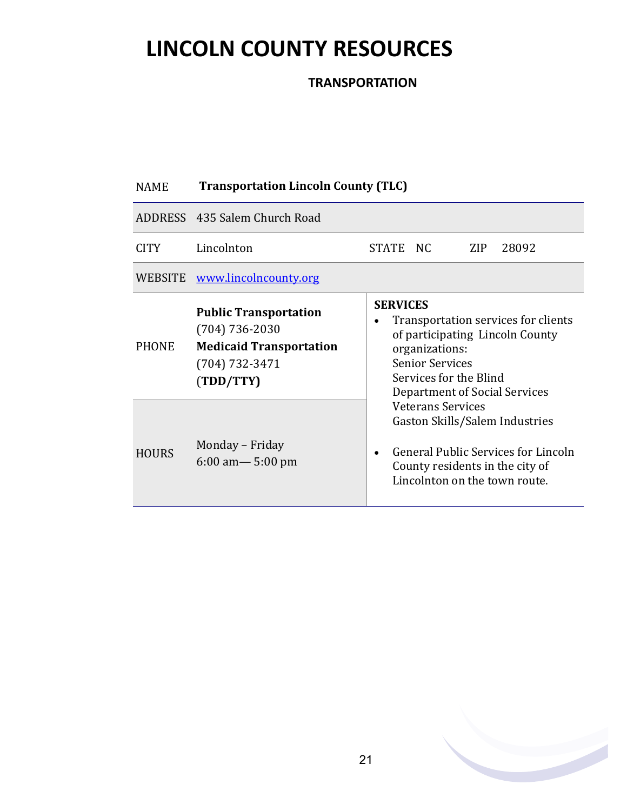**TRANSPORTATION**

#### NAME **Transportation Lincoln County (TLC)**

|                              | ADDRESS 435 Salem Church Road                                                                                                                                  |                                                                                                                                                                                                                                                                                                                                                                                                     |  |  |  |  |
|------------------------------|----------------------------------------------------------------------------------------------------------------------------------------------------------------|-----------------------------------------------------------------------------------------------------------------------------------------------------------------------------------------------------------------------------------------------------------------------------------------------------------------------------------------------------------------------------------------------------|--|--|--|--|
| <b>CITY</b>                  | Lincolnton                                                                                                                                                     | STATE NC<br>ZIP<br>28092                                                                                                                                                                                                                                                                                                                                                                            |  |  |  |  |
|                              | WEBSITE www.lincolncounty.org                                                                                                                                  |                                                                                                                                                                                                                                                                                                                                                                                                     |  |  |  |  |
| <b>PHONE</b><br><b>HOURS</b> | <b>Public Transportation</b><br>$(704) 736 - 2030$<br><b>Medicaid Transportation</b><br>(704) 732-3471<br>(TDD/TTY)<br>Monday – Friday<br>$6:00$ am $-5:00$ pm | <b>SERVICES</b><br>Transportation services for clients<br>$\bullet$<br>of participating Lincoln County<br>organizations:<br><b>Senior Services</b><br>Services for the Blind<br>Department of Social Services<br><b>Veterans Services</b><br>Gaston Skills/Salem Industries<br>General Public Services for Lincoln<br>$\bullet$<br>County residents in the city of<br>Lincolnton on the town route. |  |  |  |  |

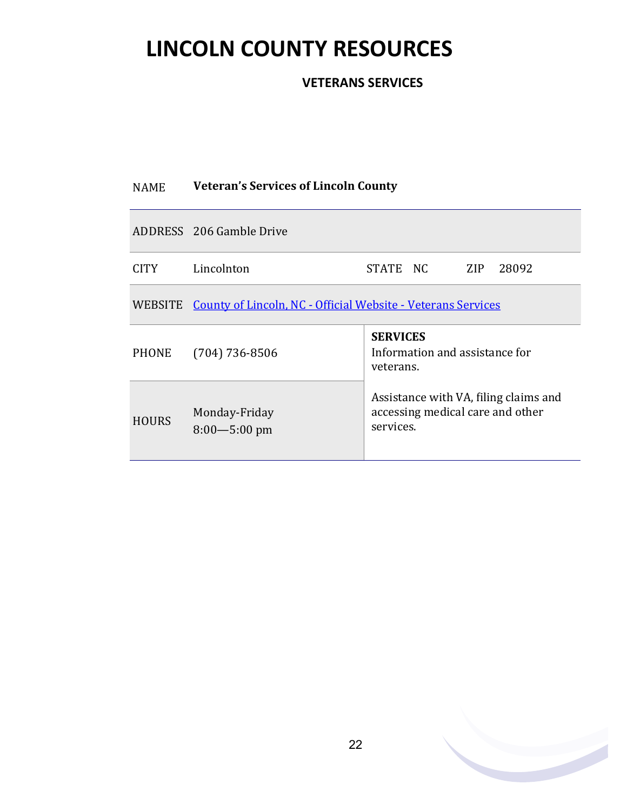**VETERANS SERVICES**

| <b>NAME</b>  | <b>Veteran's Services of Lincoln County</b>                          |                                                                                        |  |  |
|--------------|----------------------------------------------------------------------|----------------------------------------------------------------------------------------|--|--|
|              | ADDRESS 206 Gamble Drive                                             |                                                                                        |  |  |
| CITY         | Lincolnton                                                           | STATE NC<br>ZIP<br>28092                                                               |  |  |
|              | WEBSITE County of Lincoln, NC - Official Website - Veterans Services |                                                                                        |  |  |
| PHONE        | $(704)$ 736-8506                                                     | <b>SERVICES</b><br>Information and assistance for<br>veterans.                         |  |  |
| <b>HOURS</b> | Monday-Friday<br>$8:00 - 5:00$ pm                                    | Assistance with VA, filing claims and<br>accessing medical care and other<br>services. |  |  |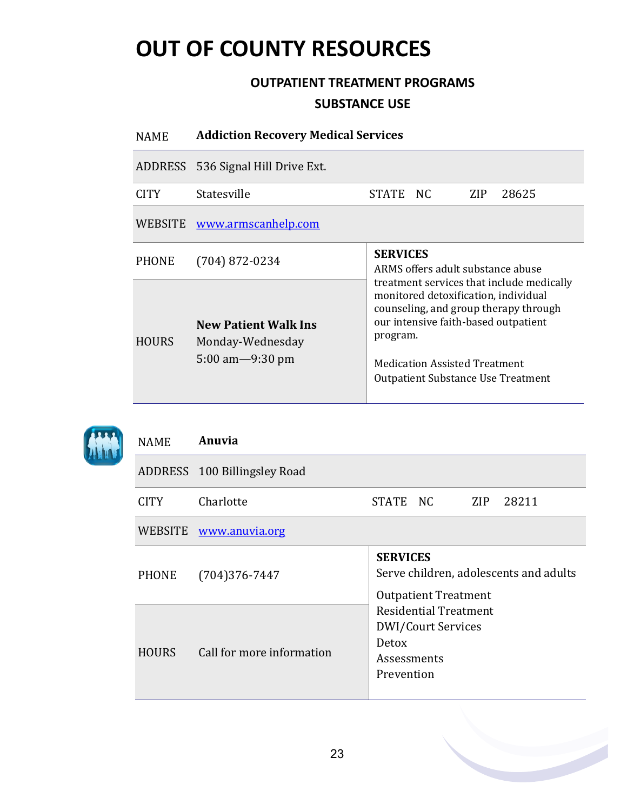### **OUTPATIENT TREATMENT PROGRAMS SUBSTANCE USE**

| <b>NAME</b>  | <b>Addiction Recovery Medical Services</b>                                             |                                                                                                                                                                                                                                                                     |  |      |       |
|--------------|----------------------------------------------------------------------------------------|---------------------------------------------------------------------------------------------------------------------------------------------------------------------------------------------------------------------------------------------------------------------|--|------|-------|
|              | ADDRESS 536 Signal Hill Drive Ext.                                                     |                                                                                                                                                                                                                                                                     |  |      |       |
| <b>CITY</b>  | Statesville                                                                            | STATE NC                                                                                                                                                                                                                                                            |  | ZIP. | 28625 |
| WEBSITE      | www.armscanhelp.com                                                                    |                                                                                                                                                                                                                                                                     |  |      |       |
| <b>PHONE</b> | $(704)$ 872-0234                                                                       | <b>SERVICES</b><br>ARMS offers adult substance abuse                                                                                                                                                                                                                |  |      |       |
| <b>HOURS</b> | <b>New Patient Walk Ins</b><br>Monday-Wednesday<br>$5:00 \text{ am} - 9:30 \text{ pm}$ | treatment services that include medically<br>monitored detoxification, individual<br>counseling, and group therapy through<br>our intensive faith-based outpatient<br>program.<br><b>Medication Assisted Treatment</b><br><b>Outpatient Substance Use Treatment</b> |  |      |       |



| <b>NAME</b>  | Anuvia                       |                                                                                          |  |     |       |
|--------------|------------------------------|------------------------------------------------------------------------------------------|--|-----|-------|
|              | ADDRESS 100 Billingsley Road |                                                                                          |  |     |       |
| CITY         | Charlotte                    | STATE NC                                                                                 |  | ZIP | 28211 |
|              | WEBSITE www.anuvia.org       |                                                                                          |  |     |       |
| PHONE        | $(704)376 - 7447$            | <b>SERVICES</b><br>Serve children, adolescents and adults<br><b>Outpatient Treatment</b> |  |     |       |
| <b>HOURS</b> | Call for more information    | <b>Residential Treatment</b><br>DWI/Court Services<br>Detox<br>Assessments<br>Prevention |  |     |       |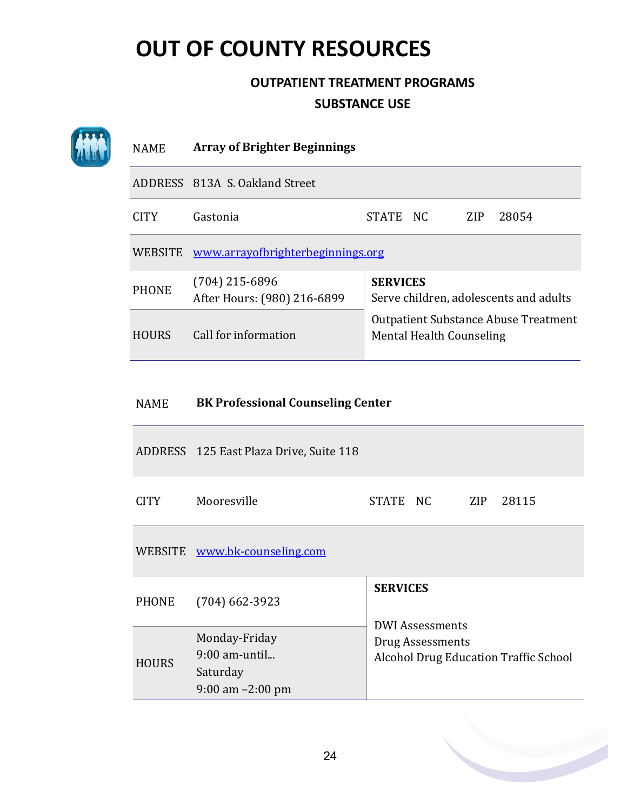### **OUTPATIENT TREATMENT PROGRAMS SUBSTANCE USE**

| <b>NAME</b>  | <b>Array of Brighter Beginnings</b>             |                                                                             |  |
|--------------|-------------------------------------------------|-----------------------------------------------------------------------------|--|
|              |                                                 |                                                                             |  |
| <b>CITY</b>  | Gastonia                                        | 28054<br><b>STATE</b><br>NC.<br>ZIP.                                        |  |
|              |                                                 |                                                                             |  |
| <b>PHONE</b> | $(704)$ 215-6896<br>After Hours: (980) 216-6899 | <b>SERVICES</b><br>Serve children, adolescents and adults                   |  |
| <b>HOURS</b> | Call for information                            | <b>Outpatient Substance Abuse Treatment</b><br>Mental Health Counseling     |  |
|              |                                                 | ADDRESS 813A S. Oakland Street<br>WEBSITE www.arrayofbrighterbeginnings.org |  |

### NAME **BK Professional Counseling Center**

|              | ADDRESS 125 East Plaza Drive, Suite 118                              |                                                                                                               |  |  |           |
|--------------|----------------------------------------------------------------------|---------------------------------------------------------------------------------------------------------------|--|--|-----------|
| CITY         | Mooresville                                                          | STATE NC                                                                                                      |  |  | ZIP 28115 |
|              | WEBSITE www.bk-counseling.com                                        |                                                                                                               |  |  |           |
| PHONE        | $(704)$ 662-3923                                                     | <b>SERVICES</b><br><b>DWI Assessments</b><br>Drug Assessments<br><b>Alcohol Drug Education Traffic School</b> |  |  |           |
| <b>HOURS</b> | Monday-Friday<br>$9:00$ am-until<br>Saturday<br>$9:00$ am $-2:00$ pm |                                                                                                               |  |  |           |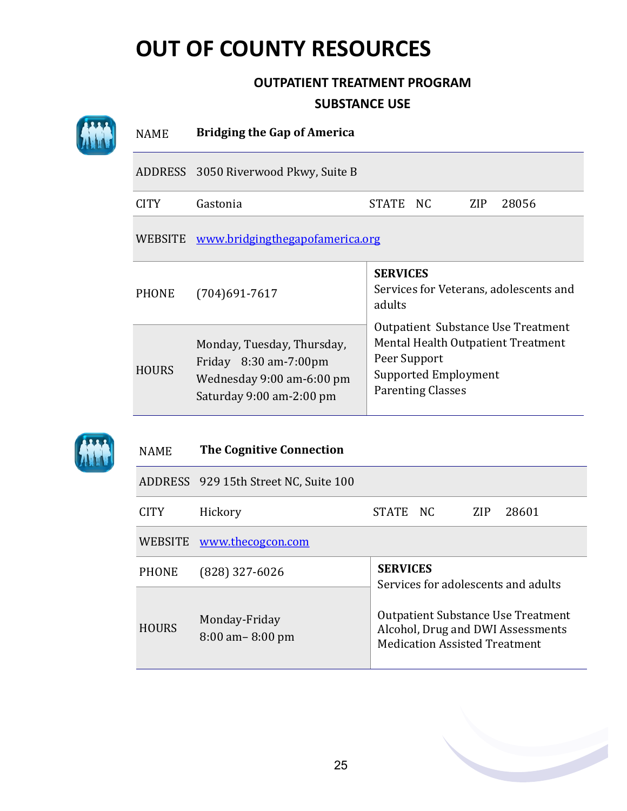### **OUTPATIENT TREATMENT PROGRAM SUBSTANCE USE**

|  | <b>NAME</b>                          | <b>Bridging the Gap of America</b>                                                                           |                                                                                                                                                     |  |  |  |  |
|--|--------------------------------------|--------------------------------------------------------------------------------------------------------------|-----------------------------------------------------------------------------------------------------------------------------------------------------|--|--|--|--|
|  | ADDRESS 3050 Riverwood Pkwy, Suite B |                                                                                                              |                                                                                                                                                     |  |  |  |  |
|  | <b>CITY</b>                          | Gastonia                                                                                                     | <b>STATE</b><br>NC<br>28056<br><b>ZIP</b>                                                                                                           |  |  |  |  |
|  | <b>WEBSITE</b>                       | www.bridgingthegapofamerica.org                                                                              |                                                                                                                                                     |  |  |  |  |
|  | <b>PHONE</b>                         | $(704)691 - 7617$                                                                                            | <b>SERVICES</b><br>Services for Veterans, adolescents and<br>adults                                                                                 |  |  |  |  |
|  | <b>HOURS</b>                         | Monday, Tuesday, Thursday,<br>Friday 8:30 am-7:00pm<br>Wednesday 9:00 am-6:00 pm<br>Saturday 9:00 am-2:00 pm | Outpatient Substance Use Treatment<br>Mental Health Outpatient Treatment<br>Peer Support<br><b>Supported Employment</b><br><b>Parenting Classes</b> |  |  |  |  |
|  | <b>NAME</b>                          | <b>The Cognitive Connection</b>                                                                              |                                                                                                                                                     |  |  |  |  |
|  |                                      | ADDRESS 929 15th Street NC, Suite 100                                                                        |                                                                                                                                                     |  |  |  |  |
|  | <b>CITY</b>                          | Hickory                                                                                                      | <b>STATE</b><br>28601<br>NC<br><b>ZIP</b>                                                                                                           |  |  |  |  |
|  | <b>WEBSITE</b>                       | www.thecogcon.com                                                                                            |                                                                                                                                                     |  |  |  |  |
|  | <b>PHONE</b>                         | (828) 327-6026                                                                                               | <b>SERVICES</b><br>Services for adolescents and adults                                                                                              |  |  |  |  |
|  | <b>HOURS</b>                         | Monday-Friday<br>8:00 am-8:00 pm                                                                             | <b>Outpatient Substance Use Treatment</b><br>Alcohol, Drug and DWI Assessments<br><b>Medication Assisted Treatment</b>                              |  |  |  |  |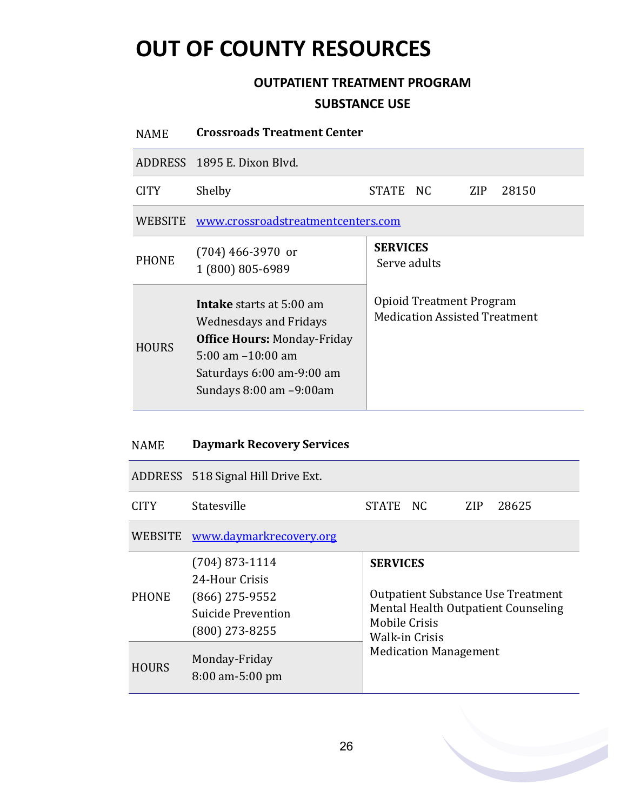### **OUTPATIENT TREATMENT PROGRAM SUBSTANCE USE**

| <b>NAME</b>    | <b>Crossroads Treatment Center</b>                                                                                                                                                    |                                                                  |  |  |  |  |
|----------------|---------------------------------------------------------------------------------------------------------------------------------------------------------------------------------------|------------------------------------------------------------------|--|--|--|--|
|                | ADDRESS 1895 E. Dixon Blvd.                                                                                                                                                           |                                                                  |  |  |  |  |
| <b>CITY</b>    | Shelby<br>STATE NC<br>ZIP<br>28150                                                                                                                                                    |                                                                  |  |  |  |  |
| <b>WEBSITE</b> | www.crossroadstreatmentcenters.com                                                                                                                                                    |                                                                  |  |  |  |  |
| <b>PHONE</b>   | $(704)$ 466-3970 or<br>1 (800) 805-6989                                                                                                                                               | <b>SERVICES</b><br>Serve adults                                  |  |  |  |  |
| <b>HOURS</b>   | <b>Intake</b> starts at 5:00 am<br>Wednesdays and Fridays<br><b>Office Hours: Monday-Friday</b><br>$5:00$ am $-10:00$ am<br>Saturdays 6:00 am-9:00 am<br>Sundays $8:00$ am $-9:00$ am | Opioid Treatment Program<br><b>Medication Assisted Treatment</b> |  |  |  |  |

#### NAME **Daymark Recovery Services**

|                | ADDRESS 518 Signal Hill Drive Ext.                                                               |                                                                                                                                               |                              |      |       |  |
|----------------|--------------------------------------------------------------------------------------------------|-----------------------------------------------------------------------------------------------------------------------------------------------|------------------------------|------|-------|--|
| CITY.          | Statesville                                                                                      | STATE NC                                                                                                                                      |                              | ZIP. | 28625 |  |
| <b>WEBSITE</b> | www.daymarkrecovery.org                                                                          |                                                                                                                                               |                              |      |       |  |
| <b>PHONE</b>   | $(704)$ 873-1114<br>24-Hour Crisis<br>$(866)$ 275-9552<br>Suicide Prevention<br>$(800)$ 273-8255 | <b>SERVICES</b><br><b>Outpatient Substance Use Treatment</b><br>Mental Health Outpatient Counseling<br>Mobile Crisis<br><b>Walk-in Crisis</b> |                              |      |       |  |
| <b>HOURS</b>   | Monday-Friday<br>$8:00$ am-5:00 pm                                                               |                                                                                                                                               | <b>Medication Management</b> |      |       |  |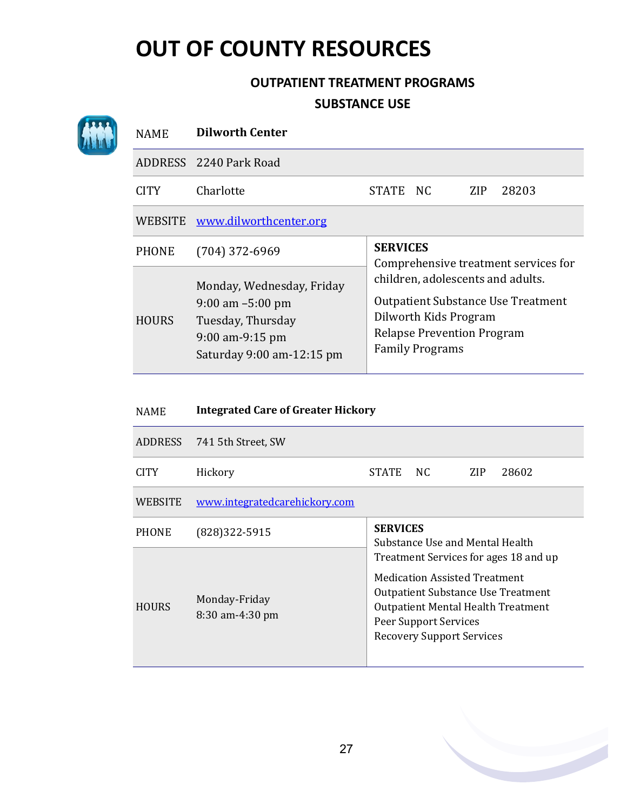AN

### **OUTPATIENT TREATMENT PROGRAMS**

#### **SUBSTANCE USE**

| <b>NAME</b>  | <b>Dilworth Center</b>                                                                                                   |                                                                                                                                                                        |
|--------------|--------------------------------------------------------------------------------------------------------------------------|------------------------------------------------------------------------------------------------------------------------------------------------------------------------|
|              | ADDRESS 2240 Park Road                                                                                                   |                                                                                                                                                                        |
| CITY.        | Charlotte                                                                                                                | <b>ZIP</b><br>28203<br>STATE<br>NC.                                                                                                                                    |
| WEBSITE      | www.dilworthcenter.org                                                                                                   |                                                                                                                                                                        |
| <b>PHONE</b> | $(704)$ 372-6969                                                                                                         | <b>SERVICES</b><br>Comprehensive treatment services for                                                                                                                |
| <b>HOURS</b> | Monday, Wednesday, Friday<br>$9:00$ am $-5:00$ pm<br>Tuesday, Thursday<br>$9:00$ am-9:15 pm<br>Saturday 9:00 am-12:15 pm | children, adolescents and adults.<br><b>Outpatient Substance Use Treatment</b><br>Dilworth Kids Program<br><b>Relapse Prevention Program</b><br><b>Family Programs</b> |

| <b>NAME</b>    | <b>Integrated Care of Greater Hickory</b> |                                                                                                                                                                                                                               |     |     |       |  |  |
|----------------|-------------------------------------------|-------------------------------------------------------------------------------------------------------------------------------------------------------------------------------------------------------------------------------|-----|-----|-------|--|--|
| ADDRESS        | 741 5th Street, SW                        |                                                                                                                                                                                                                               |     |     |       |  |  |
| <b>CITY</b>    | Hickory                                   | <b>STATE</b>                                                                                                                                                                                                                  | NC. | ZIP | 28602 |  |  |
| <b>WEBSITE</b> | www.integratedcarehickory.com             |                                                                                                                                                                                                                               |     |     |       |  |  |
| <b>PHONE</b>   | (828) 322-5915                            | <b>SERVICES</b><br>Substance Use and Mental Health                                                                                                                                                                            |     |     |       |  |  |
| <b>HOURS</b>   | Monday-Friday<br>$8:30$ am-4:30 pm        | Treatment Services for ages 18 and up<br><b>Medication Assisted Treatment</b><br>Outpatient Substance Use Treatment<br><b>Outpatient Mental Health Treatment</b><br>Peer Support Services<br><b>Recovery Support Services</b> |     |     |       |  |  |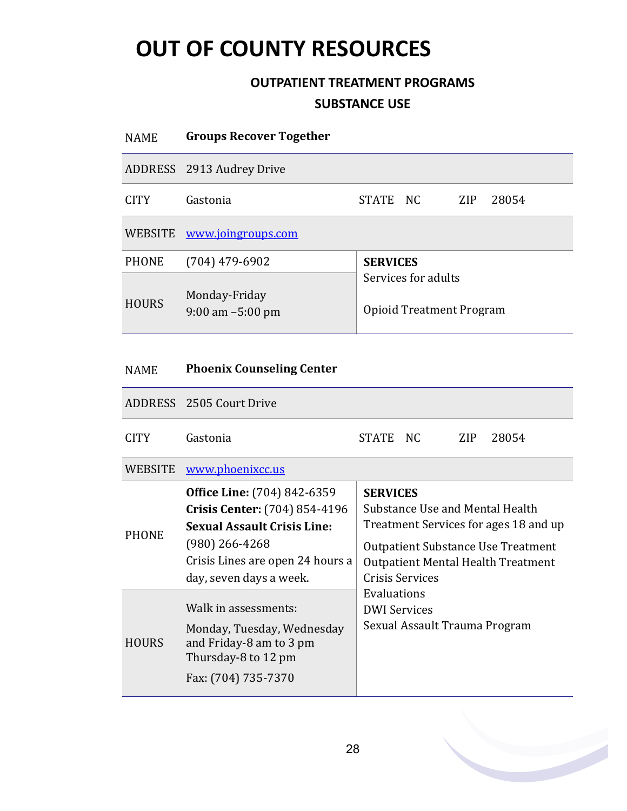### **OUTPATIENT TREATMENT PROGRAMS SUBSTANCE USE**

| <b>NAME</b>    | <b>Groups Recover Together</b>        |                                                 |  |     |       |
|----------------|---------------------------------------|-------------------------------------------------|--|-----|-------|
|                | ADDRESS 2913 Audrey Drive             |                                                 |  |     |       |
| <b>CITY</b>    | Gastonia                              | STATE NC                                        |  | ZIP | 28054 |
| <b>WEBSITE</b> | www.joingroups.com                    |                                                 |  |     |       |
| <b>PHONE</b>   | $(704)$ 479-6902                      | <b>SERVICES</b>                                 |  |     |       |
| <b>HOURS</b>   | Monday-Friday<br>$9:00$ am $-5:00$ pm | Services for adults<br>Opioid Treatment Program |  |     |       |
|                |                                       |                                                 |  |     |       |
| <b>NAME</b>    | <b>Phoenix Counseling Center</b>      |                                                 |  |     |       |
|                | ADDRESS 2505 Court Drive              |                                                 |  |     |       |

| <b>CITY</b>    | Gastonia                                                                                                                                                                                     | STATE NC                                                                                                                                                                                                                                                                 |  | ZIP. | 28054 |  |
|----------------|----------------------------------------------------------------------------------------------------------------------------------------------------------------------------------------------|--------------------------------------------------------------------------------------------------------------------------------------------------------------------------------------------------------------------------------------------------------------------------|--|------|-------|--|
| <b>WEBSITE</b> | www.phoenixcc.us                                                                                                                                                                             |                                                                                                                                                                                                                                                                          |  |      |       |  |
| <b>PHONE</b>   | <b>Office Line:</b> (704) 842-6359<br>Crisis Center: (704) 854-4196<br><b>Sexual Assault Crisis Line:</b><br>$(980)$ 266-4268<br>Crisis Lines are open 24 hours a<br>day, seven days a week. | <b>SERVICES</b><br>Substance Use and Mental Health<br>Treatment Services for ages 18 and up<br><b>Outpatient Substance Use Treatment</b><br>Outpatient Mental Health Treatment<br>Crisis Services<br>Evaluations<br><b>DWI</b> Services<br>Sexual Assault Trauma Program |  |      |       |  |
| <b>HOURS</b>   | Walk in assessments:<br>Monday, Tuesday, Wednesday<br>and Friday-8 am to 3 pm<br>Thursday-8 to 12 pm<br>Fax: (704) 735-7370                                                                  |                                                                                                                                                                                                                                                                          |  |      |       |  |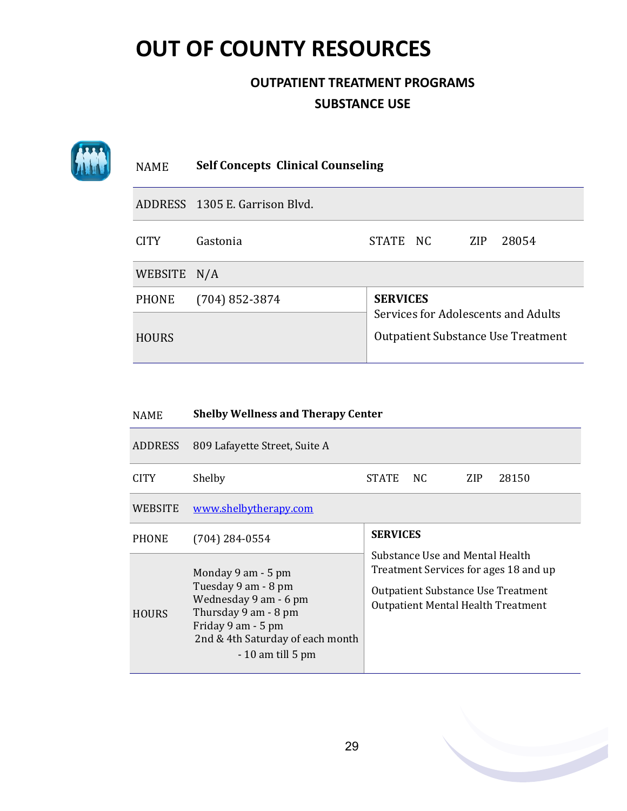### **OUTPATIENT TREATMENT PROGRAMS SUBSTANCE USE**

| <b>NAME</b>  | <b>Self Concepts Clinical Counseling</b> |                                           |  |     |                                     |
|--------------|------------------------------------------|-------------------------------------------|--|-----|-------------------------------------|
|              | ADDRESS 1305 E. Garrison Blyd.           |                                           |  |     |                                     |
| <b>CITY</b>  | Gastonia                                 | STATE NC                                  |  | ZIP | 28054                               |
| WEBSITE N/A  |                                          |                                           |  |     |                                     |
| <b>PHONE</b> | $(704)$ 852-3874                         | <b>SERVICES</b>                           |  |     | Services for Adolescents and Adults |
| <b>HOURS</b> |                                          | <b>Outpatient Substance Use Treatment</b> |  |     |                                     |

| <b>NAME</b>    | <b>Shelby Wellness and Therapy Center</b>                                                                                                                                  |                 |                                                                                                                                                                    |     |       |  |
|----------------|----------------------------------------------------------------------------------------------------------------------------------------------------------------------------|-----------------|--------------------------------------------------------------------------------------------------------------------------------------------------------------------|-----|-------|--|
| <b>ADDRESS</b> | 809 Lafayette Street, Suite A                                                                                                                                              |                 |                                                                                                                                                                    |     |       |  |
| <b>CITY</b>    | Shelby                                                                                                                                                                     | <b>STATE</b>    | NC.                                                                                                                                                                | ZIP | 28150 |  |
| WEBSITE        | www.shelbytherapy.com                                                                                                                                                      |                 |                                                                                                                                                                    |     |       |  |
| <b>PHONE</b>   | $(704)$ 284-0554                                                                                                                                                           | <b>SERVICES</b> |                                                                                                                                                                    |     |       |  |
| <b>HOURS</b>   | Monday 9 am - 5 pm<br>Tuesday 9 am - 8 pm<br>Wednesday 9 am - 6 pm<br>Thursday 9 am - 8 pm<br>Friday 9 am - 5 pm<br>2nd & 4th Saturday of each month<br>$-10$ am till 5 pm |                 | Substance Use and Mental Health<br>Treatment Services for ages 18 and up<br><b>Outpatient Substance Use Treatment</b><br><b>Outpatient Mental Health Treatment</b> |     |       |  |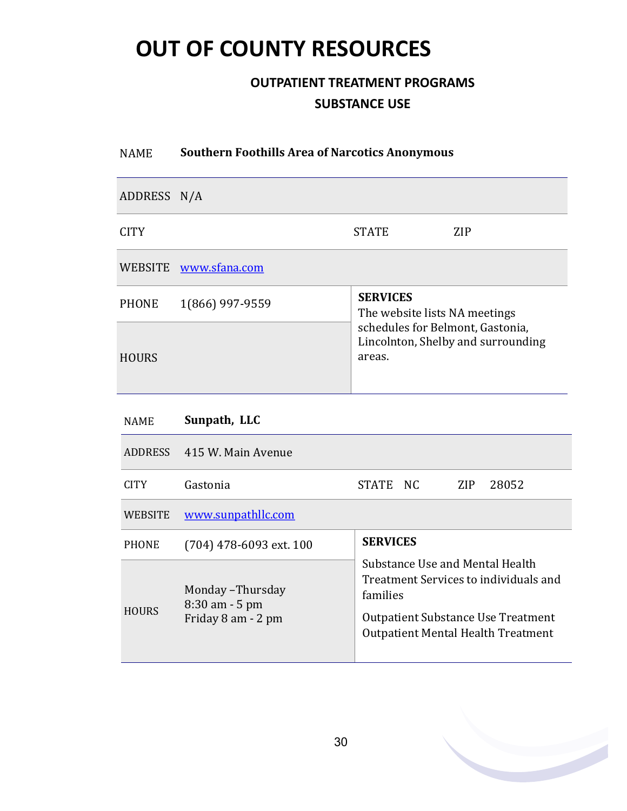### **OUTPATIENT TREATMENT PROGRAMS SUBSTANCE USE**

# NAME **Southern Foothills Area of Narcotics Anonymous** ADDRESS N/A CITY STATE STATE SIDES WEBSITE [www.sfana.com](http://www.sfana.com/) PHONE 1(866) 997-<sup>9559</sup> **SERVICES** The website lists NA meetings schedules for Belmont, Gastonia, Lincolnton, Shelby and surrounding HOURS areas. NAME **Sunpath, LLC** ADDRESS 415 W. Main Avenue CITY Gastonia STATE NC ZIP 28052

| WEBSITE      | www.sunpathllc.com                                           |                                                                                                                                                                                |
|--------------|--------------------------------------------------------------|--------------------------------------------------------------------------------------------------------------------------------------------------------------------------------|
| <b>PHONE</b> | $(704)$ 478-6093 ext. 100                                    | <b>SERVICES</b>                                                                                                                                                                |
| <b>HOURS</b> | Monday - Thursday<br>$8:30$ am $-5$ pm<br>Friday 8 am - 2 pm | Substance Use and Mental Health<br>Treatment Services to individuals and<br>families<br><b>Outpatient Substance Use Treatment</b><br><b>Outpatient Mental Health Treatment</b> |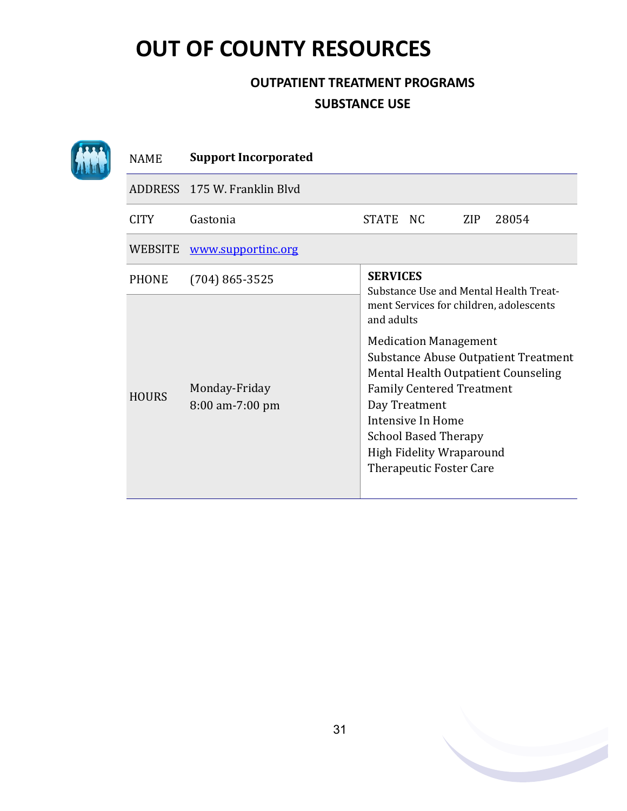### **OUTPATIENT TREATMENT PROGRAMS SUBSTANCE USE**

|  | <b>NAME</b>  | <b>Support Incorporated</b>      |                                                                                                                                                                                                                                                                                                                                                    |  |  |  |  |  |
|--|--------------|----------------------------------|----------------------------------------------------------------------------------------------------------------------------------------------------------------------------------------------------------------------------------------------------------------------------------------------------------------------------------------------------|--|--|--|--|--|
|  |              | ADDRESS 175 W. Franklin Blyd     |                                                                                                                                                                                                                                                                                                                                                    |  |  |  |  |  |
|  | <b>CITY</b>  | Gastonia                         | STATE NC<br>ZIP<br>28054                                                                                                                                                                                                                                                                                                                           |  |  |  |  |  |
|  | WEBSITE      | www.supportinc.org               |                                                                                                                                                                                                                                                                                                                                                    |  |  |  |  |  |
|  | <b>PHONE</b> | $(704) 865 - 3525$               | <b>SERVICES</b><br>Substance Use and Mental Health Treat-                                                                                                                                                                                                                                                                                          |  |  |  |  |  |
|  |              |                                  | ment Services for children, adolescents<br>and adults<br><b>Medication Management</b><br>Substance Abuse Outpatient Treatment<br>Mental Health Outpatient Counseling<br><b>Family Centered Treatment</b><br>Day Treatment<br>Intensive In Home<br><b>School Based Therapy</b><br><b>High Fidelity Wraparound</b><br><b>Therapeutic Foster Care</b> |  |  |  |  |  |
|  | <b>HOURS</b> | Monday-Friday<br>8:00 am-7:00 pm |                                                                                                                                                                                                                                                                                                                                                    |  |  |  |  |  |

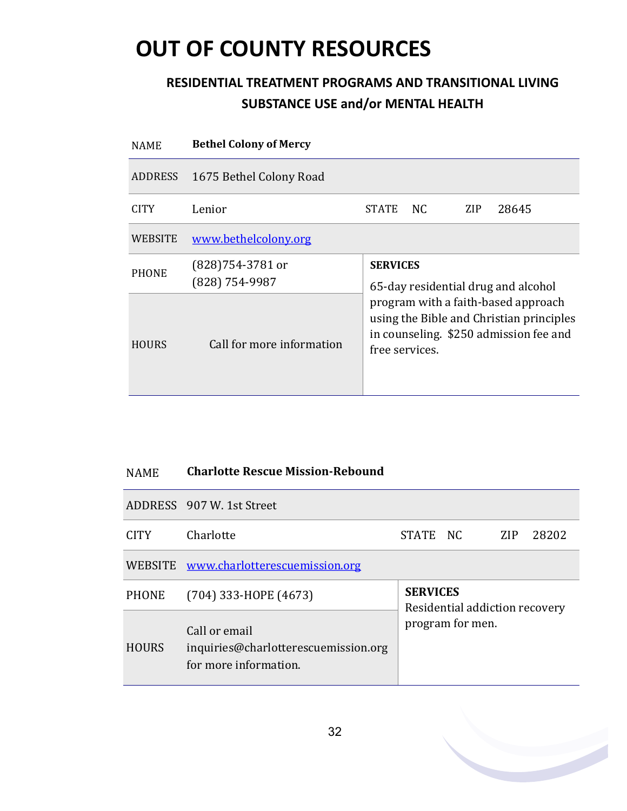| <b>NAME</b>    | <b>Bethel Colony of Mercy</b>        |                                                                                                                                                                                    |     |     |       |  |  |
|----------------|--------------------------------------|------------------------------------------------------------------------------------------------------------------------------------------------------------------------------------|-----|-----|-------|--|--|
| <b>ADDRESS</b> | 1675 Bethel Colony Road              |                                                                                                                                                                                    |     |     |       |  |  |
| <b>CITY</b>    | Lenior                               | <b>STATE</b>                                                                                                                                                                       | NC. | ZIP | 28645 |  |  |
| WEBSITE        | www.bethelcolony.org                 |                                                                                                                                                                                    |     |     |       |  |  |
| <b>PHONE</b>   | $(828)754-3781$ or<br>(828) 754-9987 | <b>SERVICES</b>                                                                                                                                                                    |     |     |       |  |  |
| <b>HOURS</b>   | Call for more information            | 65-day residential drug and alcohol<br>program with a faith-based approach<br>using the Bible and Christian principles<br>in counseling. \$250 admission fee and<br>free services. |     |     |       |  |  |

| <b>NAME</b> | <b>Charlotte Rescue Mission-Rebound</b> |
|-------------|-----------------------------------------|
|-------------|-----------------------------------------|

|                   | ADDRESS 907 W. 1st Street                                                      |                                                   |  |     |       |
|-------------------|--------------------------------------------------------------------------------|---------------------------------------------------|--|-----|-------|
| CITY <sup>1</sup> | Charlotte                                                                      | STATE NC                                          |  | ZIP | 28202 |
|                   | WEBSITE www.charlotterescuemission.org                                         |                                                   |  |     |       |
| <b>PHONE</b>      | $(704)$ 333-HOPE $(4673)$                                                      | <b>SERVICES</b><br>Residential addiction recovery |  |     |       |
| <b>HOURS</b>      | Call or email<br>inquiries@charlotterescuemission.org<br>for more information. | program for men.                                  |  |     |       |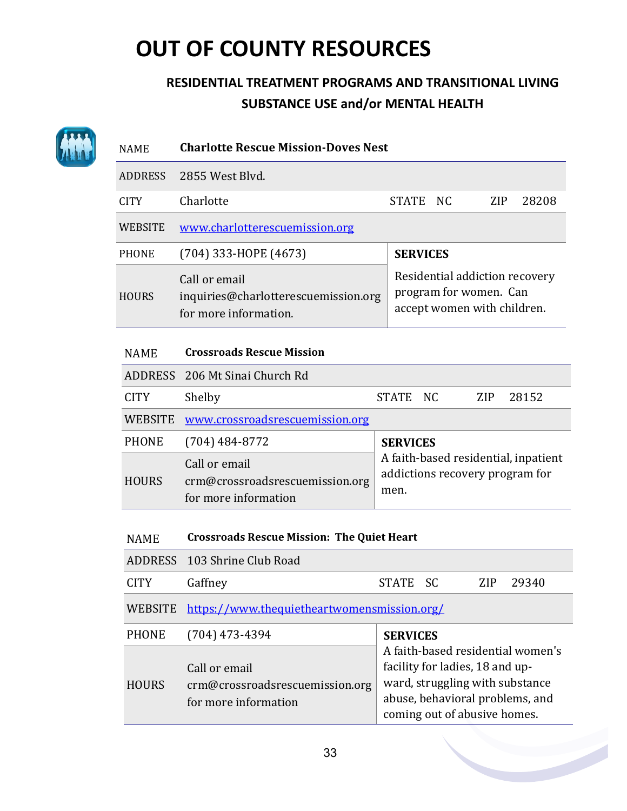| <b>NAME</b>    | <b>Charlotte Rescue Mission-Doves Nest</b>                                     |                                                                                                                                                                            |
|----------------|--------------------------------------------------------------------------------|----------------------------------------------------------------------------------------------------------------------------------------------------------------------------|
| <b>ADDRESS</b> | 2855 West Blyd.                                                                |                                                                                                                                                                            |
| <b>CITY</b>    | Charlotte                                                                      | <b>STATE</b><br><b>NC</b><br><b>ZIP</b><br>28208                                                                                                                           |
| <b>WEBSITE</b> | www.charlotterescuemission.org                                                 |                                                                                                                                                                            |
| <b>PHONE</b>   | (704) 333-HOPE (4673)                                                          | <b>SERVICES</b>                                                                                                                                                            |
| <b>HOURS</b>   | Call or email<br>inquiries@charlotterescuemission.org<br>for more information. | Residential addiction recovery<br>program for women. Can<br>accept women with children.                                                                                    |
| <b>NAME</b>    | <b>Crossroads Rescue Mission</b>                                               |                                                                                                                                                                            |
| <b>ADDRESS</b> | 206 Mt Sinai Church Rd                                                         |                                                                                                                                                                            |
| <b>CITY</b>    | Shelby                                                                         | <b>STATE</b><br><b>NC</b><br><b>ZIP</b><br>28152                                                                                                                           |
| <b>WEBSITE</b> | www.crossroadsrescuemission.org                                                |                                                                                                                                                                            |
| <b>PHONE</b>   | $(704)$ 484-8772                                                               | <b>SERVICES</b>                                                                                                                                                            |
| <b>HOURS</b>   | Call or email<br>crm@crossroadsrescuemission.org<br>for more information       | A faith-based residential, inpatient<br>addictions recovery program for<br>men.                                                                                            |
| <b>NAME</b>    | <b>Crossroads Rescue Mission: The Quiet Heart</b>                              |                                                                                                                                                                            |
| <b>ADDRESS</b> | 103 Shrine Club Road                                                           |                                                                                                                                                                            |
| <b>CITY</b>    | Gaffney                                                                        | <b>STATE</b><br><b>SC</b><br><b>ZIP</b><br>29340                                                                                                                           |
| <b>WEBSITE</b> | https://www.thequietheartwomensmission.org/                                    |                                                                                                                                                                            |
| <b>PHONE</b>   | $(704)$ 473-4394                                                               | <b>SERVICES</b>                                                                                                                                                            |
| <b>HOURS</b>   | Call or email<br>crm@crossroadsrescuemission.org<br>for more information       | A faith-based residential women's<br>facility for ladies, 18 and up-<br>ward, struggling with substance<br>abuse, behavioral problems, and<br>coming out of abusive homes. |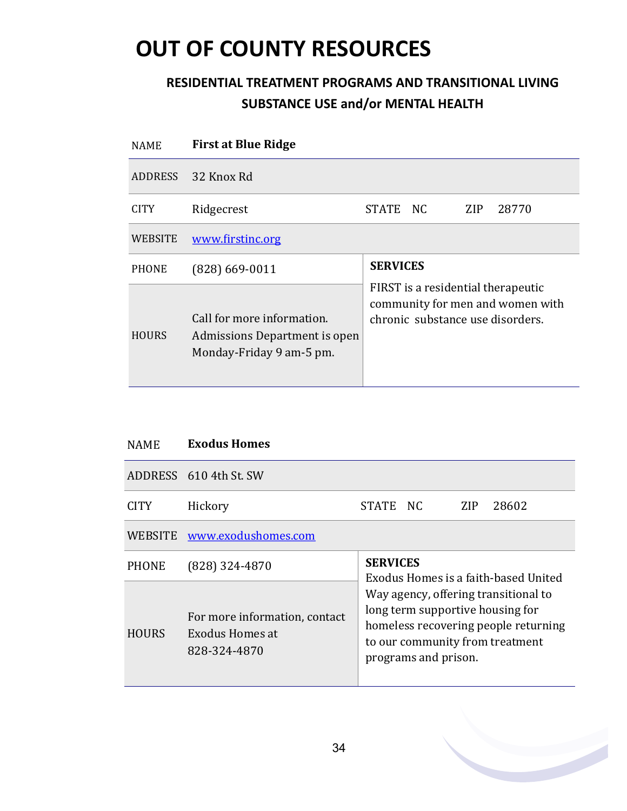| <b>NAME</b>    | <b>First at Blue Ridge</b>                                                              |                                                                                                            |
|----------------|-----------------------------------------------------------------------------------------|------------------------------------------------------------------------------------------------------------|
| <b>ADDRESS</b> | 32 Knox Rd                                                                              |                                                                                                            |
| <b>CITY</b>    | Ridgecrest                                                                              | <b>STATE</b><br>NC.<br>ZIP<br>28770                                                                        |
| <b>WEBSITE</b> | www.firstinc.org                                                                        |                                                                                                            |
| <b>PHONE</b>   | $(828)$ 669-0011                                                                        | <b>SERVICES</b>                                                                                            |
| <b>HOURS</b>   | Call for more information.<br>Admissions Department is open<br>Monday-Friday 9 am-5 pm. | FIRST is a residential therapeutic<br>community for men and women with<br>chronic substance use disorders. |

| <b>NAME</b>    | <b>Exodus Homes</b>                                              |                                                                                                                                                                             |  |     |       |  |
|----------------|------------------------------------------------------------------|-----------------------------------------------------------------------------------------------------------------------------------------------------------------------------|--|-----|-------|--|
|                | ADDRESS 610 4th St. SW                                           |                                                                                                                                                                             |  |     |       |  |
| <b>CITY</b>    | Hickory                                                          | STATE NC                                                                                                                                                                    |  | ZIP | 28602 |  |
| <b>WEBSITE</b> | www.exodushomes.com                                              |                                                                                                                                                                             |  |     |       |  |
| <b>PHONE</b>   | $(828)$ 324-4870                                                 | <b>SERVICES</b><br>Exodus Homes is a faith-based United                                                                                                                     |  |     |       |  |
| <b>HOURS</b>   | For more information, contact<br>Exodus Homes at<br>828-324-4870 | Way agency, offering transitional to<br>long term supportive housing for<br>homeless recovering people returning<br>to our community from treatment<br>programs and prison. |  |     |       |  |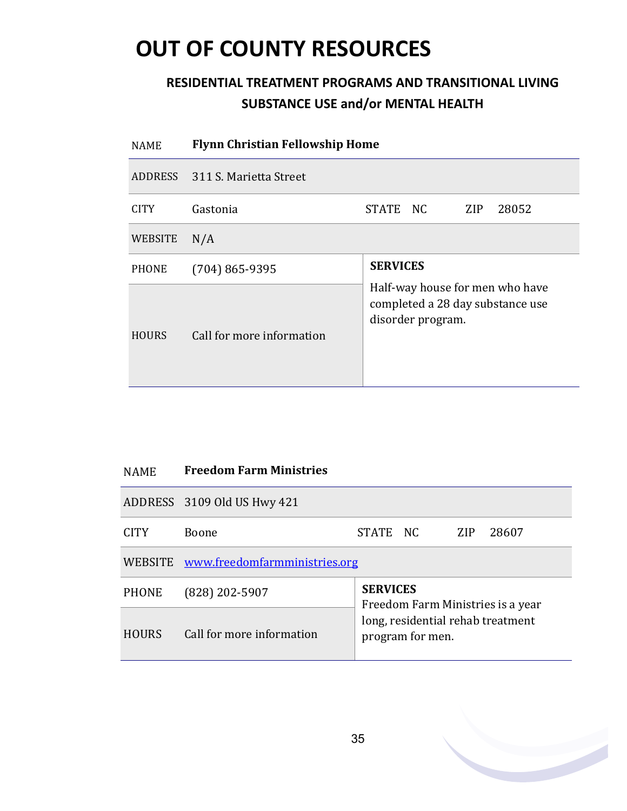| <b>NAME</b>  | <b>Flynn Christian Fellowship Home</b> |                                                                                          |  |  |  |  |
|--------------|----------------------------------------|------------------------------------------------------------------------------------------|--|--|--|--|
| ADDRESS      | 311 S. Marietta Street                 |                                                                                          |  |  |  |  |
| <b>CITY</b>  | Gastonia                               | STATE NC<br>ZIP<br>28052                                                                 |  |  |  |  |
| WEBSITE      | N/A                                    |                                                                                          |  |  |  |  |
| <b>PHONE</b> | $(704) 865 - 9395$                     | <b>SERVICES</b>                                                                          |  |  |  |  |
| <b>HOURS</b> | Call for more information              | Half-way house for men who have<br>completed a 28 day substance use<br>disorder program. |  |  |  |  |

| <b>NAME</b>  | <b>Freedom Farm Ministries</b>        |                 |                                |     |       |
|--------------|---------------------------------------|-----------------|--------------------------------|-----|-------|
|              | ADDRESS 3109 Old US Hwy 421           |                 |                                |     |       |
| <b>CITY</b>  | Boone                                 | STATE NC        |                                | ZIP | 28607 |
|              | WEBSITE www.freedomfarmministries.org |                 |                                |     |       |
| <b>PHONE</b> | (828) 202-5907                        | <b>SERVICES</b> | Freedom Farm Ministries is a v |     |       |

| PHONE  | (828) 202-5907            | <b>SERVICES</b><br>Freedom Farm Ministries is a year  |  |  |
|--------|---------------------------|-------------------------------------------------------|--|--|
| HOURS. | Call for more information | long, residential rehab treatment<br>program for men. |  |  |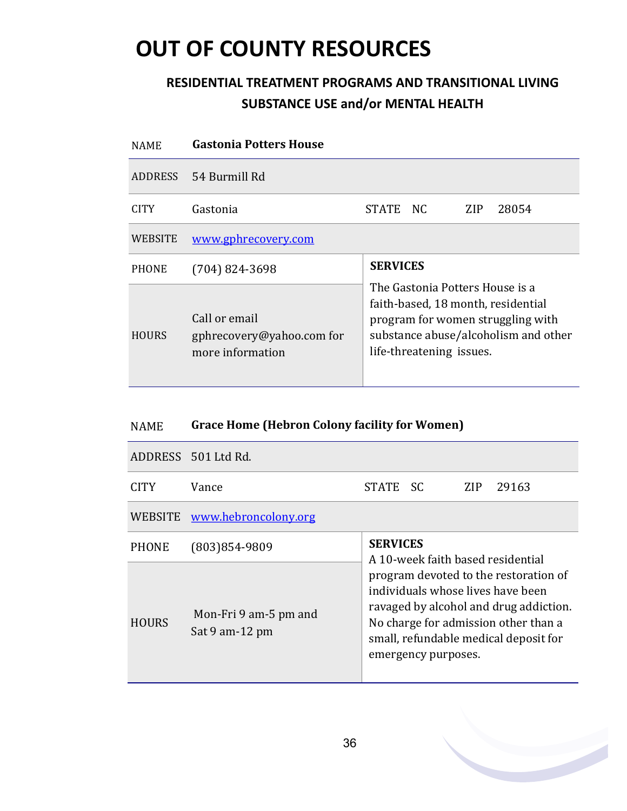### **RESIDENTIAL TREATMENT PROGRAMS AND TRANSITIONAL LIVING SUBSTANCE USE and/or MENTAL HEALTH**

| <b>NAME</b>    | <b>Gastonia Potters House</b>                                  |                                                                                                                                                                                |  |  |  |
|----------------|----------------------------------------------------------------|--------------------------------------------------------------------------------------------------------------------------------------------------------------------------------|--|--|--|
| <b>ADDRESS</b> | 54 Burmill Rd                                                  |                                                                                                                                                                                |  |  |  |
| CITY.          | Gastonia                                                       | STATE NC<br>28054<br>ZIP.                                                                                                                                                      |  |  |  |
| <b>WEBSITE</b> | www.gphrecovery.com                                            |                                                                                                                                                                                |  |  |  |
| <b>PHONE</b>   | $(704)$ 824-3698                                               | <b>SERVICES</b>                                                                                                                                                                |  |  |  |
| <b>HOURS</b>   | Call or email<br>gphrecovery@yahoo.com for<br>more information | The Gastonia Potters House is a<br>faith-based, 18 month, residential<br>program for women struggling with<br>substance abuse/alcoholism and other<br>life-threatening issues. |  |  |  |

### NAME **Grace Home (Hebron Colony facility for Women)**

|              | ADDRESS 501 Ltd Rd.                     |                                                                                                                                                                                                                              |  |     |       |
|--------------|-----------------------------------------|------------------------------------------------------------------------------------------------------------------------------------------------------------------------------------------------------------------------------|--|-----|-------|
| CITY.        | Vance                                   | STATE SC                                                                                                                                                                                                                     |  | ZIP | 29163 |
| WEBSITE      | www.hebroncolony.org                    |                                                                                                                                                                                                                              |  |     |       |
| <b>PHONE</b> | (803) 854-9809                          | <b>SERVICES</b><br>A 10-week faith based residential                                                                                                                                                                         |  |     |       |
| <b>HOURS</b> | Mon-Fri 9 am-5 pm and<br>Sat 9 am-12 pm | program devoted to the restoration of<br>individuals whose lives have been<br>ravaged by alcohol and drug addiction.<br>No charge for admission other than a<br>small, refundable medical deposit for<br>emergency purposes. |  |     |       |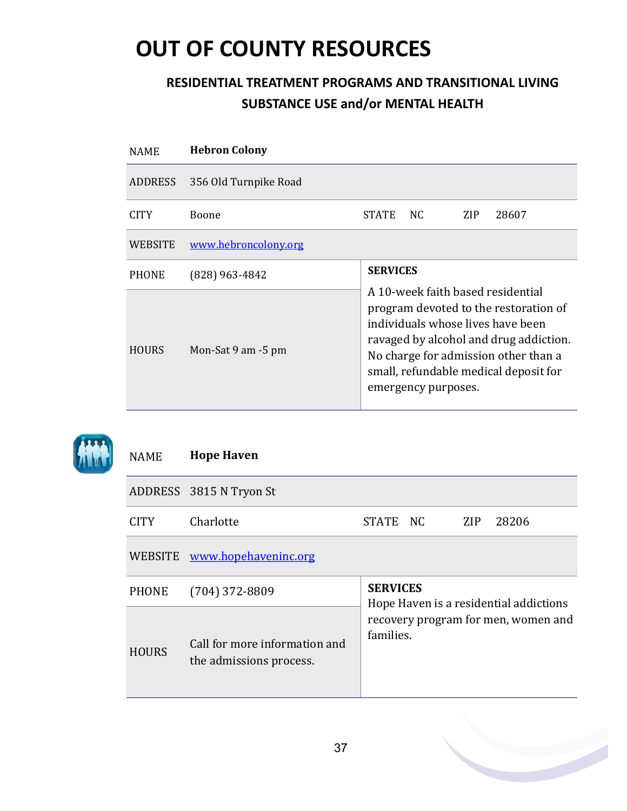### **RESIDENTIAL TREATMENT PROGRAMS AND TRANSITIONAL LIVING SUBSTANCE USE and/or MENTAL HEALTH**

| <b>NAME</b>  | <b>Hebron Colony</b>  |                                                                                                                                                                                                                                                                   |     |     |       |  |
|--------------|-----------------------|-------------------------------------------------------------------------------------------------------------------------------------------------------------------------------------------------------------------------------------------------------------------|-----|-----|-------|--|
| ADDRESS      | 356 Old Turnpike Road |                                                                                                                                                                                                                                                                   |     |     |       |  |
| <b>CITY</b>  | <b>Boone</b>          | <b>STATE</b>                                                                                                                                                                                                                                                      | NC. | ZIP | 28607 |  |
| WEBSITE      | www.hebroncolony.org  |                                                                                                                                                                                                                                                                   |     |     |       |  |
| <b>PHONE</b> | $(828)$ 963-4842      | <b>SERVICES</b>                                                                                                                                                                                                                                                   |     |     |       |  |
| <b>HOURS</b> | Mon-Sat 9 am -5 pm    | A 10-week faith based residential<br>program devoted to the restoration of<br>individuals whose lives have been<br>ravaged by alcohol and drug addiction.<br>No charge for admission other than a<br>small, refundable medical deposit for<br>emergency purposes. |     |     |       |  |



#### NAME **Hope Haven**

|              | ADDRESS 3815 N Tryon St                                  |                                                                                            |  |            |       |  |
|--------------|----------------------------------------------------------|--------------------------------------------------------------------------------------------|--|------------|-------|--|
| <b>CITY</b>  | Charlotte                                                | STATE NC                                                                                   |  | <b>ZIP</b> | 28206 |  |
|              | WEBSITE www.hopehaveninc.org                             |                                                                                            |  |            |       |  |
| PHONE        | $(704)$ 372-8809                                         | <b>SERVICES</b>                                                                            |  |            |       |  |
| <b>HOURS</b> | Call for more information and<br>the admissions process. | Hope Haven is a residential addictions<br>recovery program for men, women and<br>families. |  |            |       |  |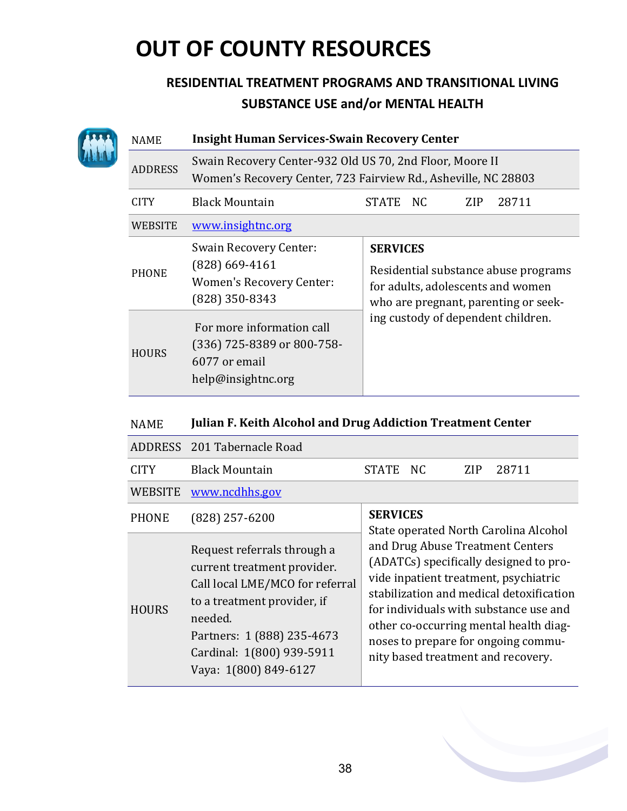|  | <b>NAME</b>    | <b>Insight Human Services-Swain Recovery Center</b>                                                                        |                                                                                                                                      |  |  |  |
|--|----------------|----------------------------------------------------------------------------------------------------------------------------|--------------------------------------------------------------------------------------------------------------------------------------|--|--|--|
|  | <b>ADDRESS</b> | Swain Recovery Center-932 Old US 70, 2nd Floor, Moore II<br>Women's Recovery Center, 723 Fairview Rd., Asheville, NC 28803 |                                                                                                                                      |  |  |  |
|  | <b>CITY</b>    | <b>Black Mountain</b>                                                                                                      | 28711<br><b>STATE</b><br>NC.<br><b>ZIP</b>                                                                                           |  |  |  |
|  | <b>WEBSITE</b> | www.insightnc.org                                                                                                          |                                                                                                                                      |  |  |  |
|  | <b>PHONE</b>   | <b>Swain Recovery Center:</b><br>$(828)$ 669-4161<br><b>Women's Recovery Center:</b><br>$(828)$ 350-8343                   | <b>SERVICES</b><br>Residential substance abuse programs<br>for adults, adolescents and women<br>who are pregnant, parenting or seek- |  |  |  |
|  | <b>HOURS</b>   | For more information call<br>(336) 725-8389 or 800-758-<br>6077 or email<br>help@insightnc.org                             | ing custody of dependent children.                                                                                                   |  |  |  |

| NAME | <b>Julian F. Keith Alcohol and Drug Addiction Treatment Center</b> |
|------|--------------------------------------------------------------------|
|------|--------------------------------------------------------------------|

|                | ADDRESS 201 Tabernacle Road                                                                                                                                                                                                 |                                                                                                                                                                                                                                                                                                                                  |
|----------------|-----------------------------------------------------------------------------------------------------------------------------------------------------------------------------------------------------------------------------|----------------------------------------------------------------------------------------------------------------------------------------------------------------------------------------------------------------------------------------------------------------------------------------------------------------------------------|
| <b>CITY</b>    | <b>Black Mountain</b>                                                                                                                                                                                                       | 28711<br>STATE NC<br>ZIP                                                                                                                                                                                                                                                                                                         |
| <b>WEBSITE</b> | www.ncdhhs.gov                                                                                                                                                                                                              |                                                                                                                                                                                                                                                                                                                                  |
| <b>PHONE</b>   | $(828)$ 257-6200                                                                                                                                                                                                            | <b>SERVICES</b><br>State operated North Carolina Alcohol                                                                                                                                                                                                                                                                         |
| <b>HOURS</b>   | Request referrals through a<br>current treatment provider.<br>Call local LME/MCO for referral<br>to a treatment provider, if<br>needed.<br>Partners: 1 (888) 235-4673<br>Cardinal: 1(800) 939-5911<br>Vaya: 1(800) 849-6127 | and Drug Abuse Treatment Centers<br>(ADATCs) specifically designed to pro-<br>vide inpatient treatment, psychiatric<br>stabilization and medical detoxification<br>for individuals with substance use and<br>other co-occurring mental health diag-<br>noses to prepare for ongoing commu-<br>nity based treatment and recovery. |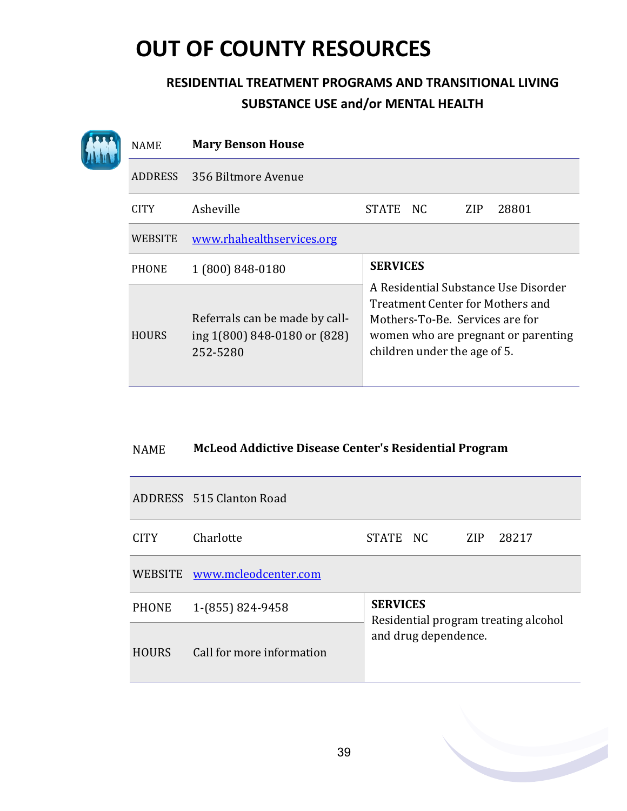### **RESIDENTIAL TREATMENT PROGRAMS AND TRANSITIONAL LIVING SUBSTANCE USE and/or MENTAL HEALTH**

| <b>NAME</b>    | <b>Mary Benson House</b>                                                   |                                                                                                                                                                                    |
|----------------|----------------------------------------------------------------------------|------------------------------------------------------------------------------------------------------------------------------------------------------------------------------------|
| <b>ADDRESS</b> | 356 Biltmore Avenue                                                        |                                                                                                                                                                                    |
| <b>CITY</b>    | Asheville                                                                  | 28801<br>STATE<br>NC.<br><b>ZIP</b>                                                                                                                                                |
| <b>WEBSITE</b> | www.rhahealthservices.org                                                  |                                                                                                                                                                                    |
| <b>PHONE</b>   | 1 (800) 848-0180                                                           | <b>SERVICES</b>                                                                                                                                                                    |
| <b>HOURS</b>   | Referrals can be made by call-<br>ing 1(800) 848-0180 or (828)<br>252-5280 | A Residential Substance Use Disorder<br>Treatment Center for Mothers and<br>Mothers-To-Be, Services are for<br>women who are pregnant or parenting<br>children under the age of 5. |

#### NAME **McLeod Addictive Disease Center's Residential Program**

|              | ADDRESS 515 Clanton Road     |                                                              |  |     |       |  |  |
|--------------|------------------------------|--------------------------------------------------------------|--|-----|-------|--|--|
| <b>CITY</b>  | Charlotte                    | STATE NC                                                     |  | ZIP | 28217 |  |  |
|              | WEBSITE www.mcleodcenter.com |                                                              |  |     |       |  |  |
| <b>PHONE</b> | 1-(855) 824-9458             | <b>SERVICES</b>                                              |  |     |       |  |  |
| <b>HOURS</b> | Call for more information    | Residential program treating alcohol<br>and drug dependence. |  |     |       |  |  |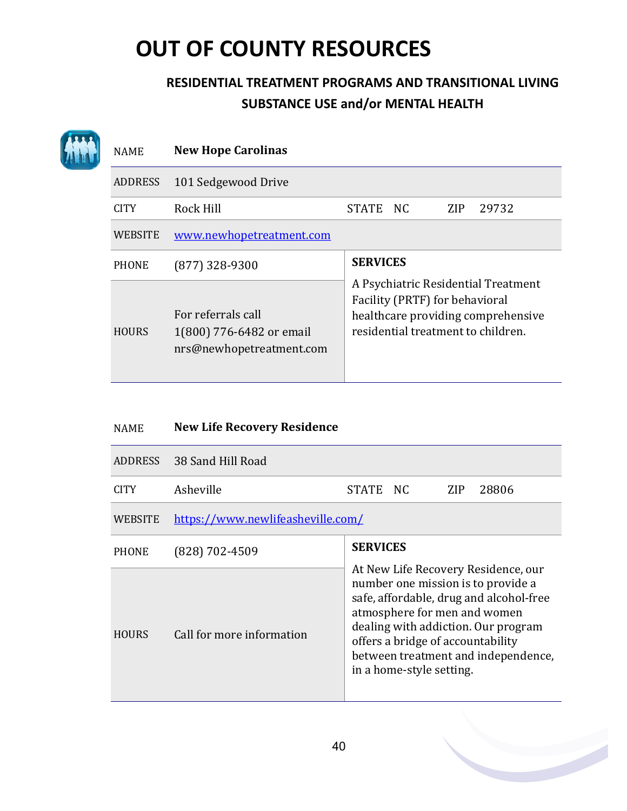| <b>NAME</b>    | <b>New Hope Carolinas</b>                                                  |                                                                                                                                                   |
|----------------|----------------------------------------------------------------------------|---------------------------------------------------------------------------------------------------------------------------------------------------|
| <b>ADDRESS</b> | 101 Sedgewood Drive                                                        |                                                                                                                                                   |
| <b>CITY</b>    | Rock Hill                                                                  | <b>STATE</b><br>NC.<br><b>ZIP</b><br>29732                                                                                                        |
| <b>WEBSITE</b> | www.newhopetreatment.com                                                   |                                                                                                                                                   |
| <b>PHONE</b>   | $(877)$ 328-9300                                                           | <b>SERVICES</b>                                                                                                                                   |
| <b>HOURS</b>   | For referrals call<br>1(800) 776-6482 or email<br>nrs@newhopetreatment.com | A Psychiatric Residential Treatment<br>Facility (PRTF) for behavioral<br>healthcare providing comprehensive<br>residential treatment to children. |

| <b>NAME</b>    | <b>New Life Recovery Residence</b> |                                                                                                                                                                                                                                                                                                     |
|----------------|------------------------------------|-----------------------------------------------------------------------------------------------------------------------------------------------------------------------------------------------------------------------------------------------------------------------------------------------------|
| <b>ADDRESS</b> | 38 Sand Hill Road                  |                                                                                                                                                                                                                                                                                                     |
| <b>CITY</b>    | Asheville                          | STATE NC<br>ZIP<br>28806                                                                                                                                                                                                                                                                            |
| WEBSITE        | https://www.newlifeasheville.com/  |                                                                                                                                                                                                                                                                                                     |
| <b>PHONE</b>   | (828) 702-4509                     | <b>SERVICES</b>                                                                                                                                                                                                                                                                                     |
| <b>HOURS</b>   | Call for more information          | At New Life Recovery Residence, our<br>number one mission is to provide a<br>safe, affordable, drug and alcohol-free<br>atmosphere for men and women<br>dealing with addiction. Our program<br>offers a bridge of accountability<br>between treatment and independence,<br>in a home-style setting. |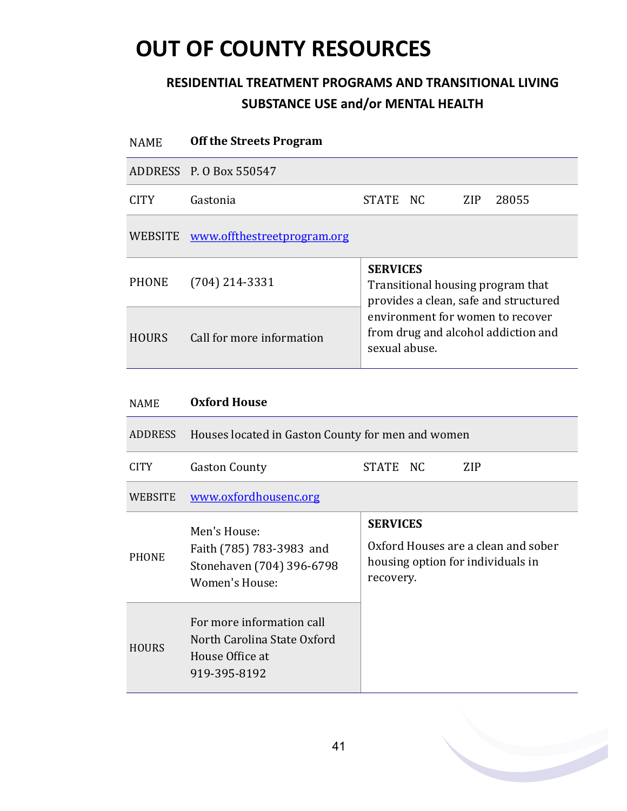### **RESIDENTIAL TREATMENT PROGRAMS AND TRANSITIONAL LIVING SUBSTANCE USE and/or MENTAL HEALTH**

| <b>NAME</b>      | <b>Off the Streets Program</b>      |                                                                                               |  |      |       |  |  |  |
|------------------|-------------------------------------|-----------------------------------------------------------------------------------------------|--|------|-------|--|--|--|
|                  | ADDRESS P. O Box 550547             |                                                                                               |  |      |       |  |  |  |
| CITY <sup></sup> | Gastonia                            | STATE NC                                                                                      |  | ZIP. | 28055 |  |  |  |
|                  | WEBSITE www.offthestreetprogram.org |                                                                                               |  |      |       |  |  |  |
| <b>PHONE</b>     | $(704)$ 214-3331                    | <b>SERVICES</b><br>Transitional housing program that<br>provides a clean, safe and structured |  |      |       |  |  |  |
| <b>HOURS</b>     | Call for more information           | environment for women to recover<br>from drug and alcohol addiction and<br>sexual abuse.      |  |      |       |  |  |  |
|                  |                                     |                                                                                               |  |      |       |  |  |  |

#### NAME **Oxford House**

| ADDRESS        | Houses located in Gaston County for men and women                                           |                                                                                                          |  |  |  |
|----------------|---------------------------------------------------------------------------------------------|----------------------------------------------------------------------------------------------------------|--|--|--|
| <b>CITY</b>    | <b>Gaston County</b>                                                                        | STATE NC<br>ZIP                                                                                          |  |  |  |
| <b>WEBSITE</b> | www.oxfordhousenc.org                                                                       |                                                                                                          |  |  |  |
| <b>PHONE</b>   | Men's House:<br>Faith (785) 783-3983 and<br>Stonehaven (704) 396-6798<br>Women's House:     | <b>SERVICES</b><br>Oxford Houses are a clean and sober<br>housing option for individuals in<br>recovery. |  |  |  |
| <b>HOURS</b>   | For more information call<br>North Carolina State Oxford<br>House Office at<br>919-395-8192 |                                                                                                          |  |  |  |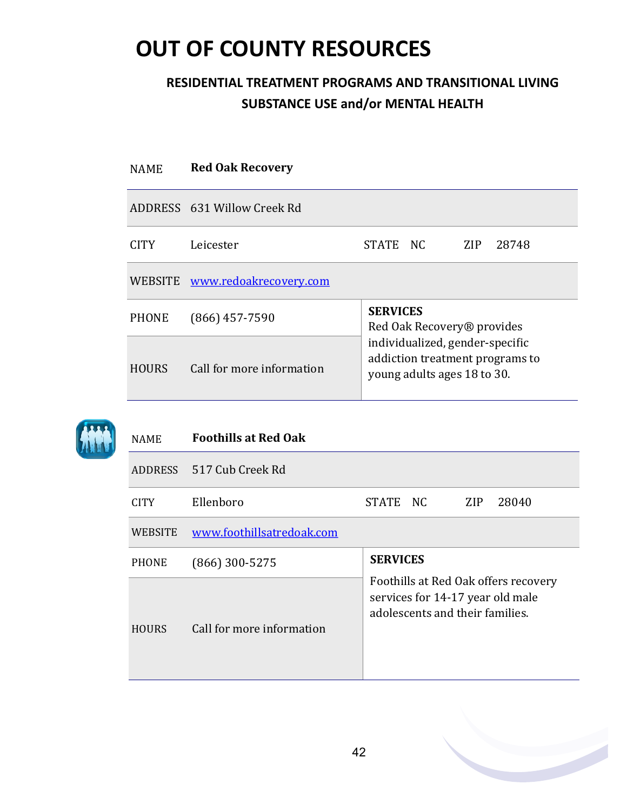### **RESIDENTIAL TREATMENT PROGRAMS AND TRANSITIONAL LIVING SUBSTANCE USE and/or MENTAL HEALTH**

| <b>NAME</b>  | <b>Red Oak Recovery</b>        |                                                                                                   |                                        |     |       |  |  |
|--------------|--------------------------------|---------------------------------------------------------------------------------------------------|----------------------------------------|-----|-------|--|--|
|              | ADDRESS 631 Willow Creek Rd    |                                                                                                   |                                        |     |       |  |  |
| <b>CITY</b>  | Leicester                      | STATE NC                                                                                          |                                        | ZIP | 28748 |  |  |
|              | WEBSITE www.redoakrecovery.com |                                                                                                   |                                        |     |       |  |  |
| <b>PHONE</b> | $(866)$ 457-7590               | <b>SERVICES</b>                                                                                   | Red Oak Recovery <sup>®</sup> provides |     |       |  |  |
| <b>HOURS</b> | Call for more information      | individualized, gender-specific<br>addiction treatment programs to<br>young adults ages 18 to 30. |                                        |     |       |  |  |



#### NAME **Foothills at Red Oak**

|                | ADDRESS 517 Cub Creek Rd  |                                                                                                             |  |            |       |  |
|----------------|---------------------------|-------------------------------------------------------------------------------------------------------------|--|------------|-------|--|
| <b>CITY</b>    | Ellenboro                 | STATE NC                                                                                                    |  | <b>ZIP</b> | 28040 |  |
| <b>WEBSITE</b> | www.foothillsatredoak.com |                                                                                                             |  |            |       |  |
| <b>PHONE</b>   | $(866)$ 300-5275          | <b>SERVICES</b>                                                                                             |  |            |       |  |
| <b>HOURS</b>   | Call for more information | Foothills at Red Oak offers recovery<br>services for 14-17 year old male<br>adolescents and their families. |  |            |       |  |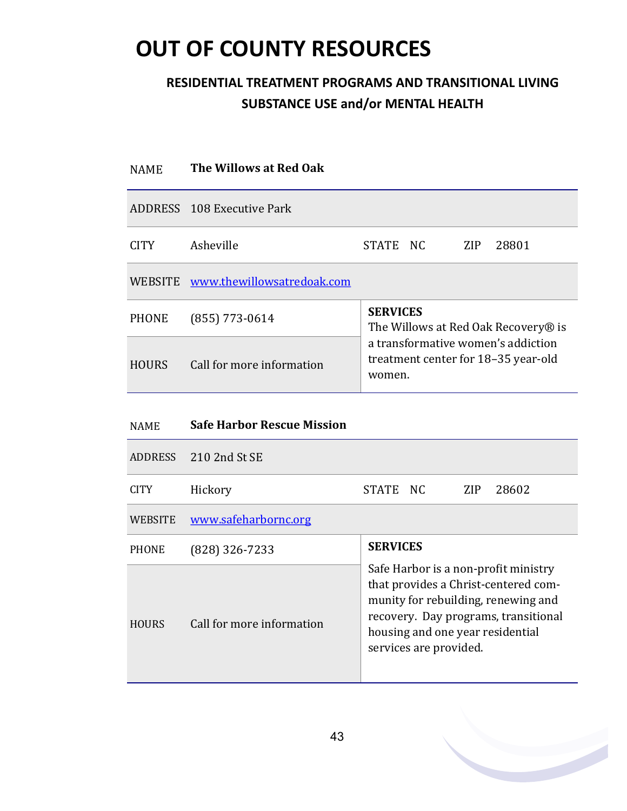### **RESIDENTIAL TREATMENT PROGRAMS AND TRANSITIONAL LIVING SUBSTANCE USE and/or MENTAL HEALTH**

| <b>NAME</b>    | The Willows at Red Oak                             |                                                                                                                                                             |
|----------------|----------------------------------------------------|-------------------------------------------------------------------------------------------------------------------------------------------------------------|
|                | ADDRESS 108 Executive Park                         |                                                                                                                                                             |
| <b>CITY</b>    | Asheville                                          | <b>STATE</b><br>NC<br><b>ZIP</b><br>28801                                                                                                                   |
| <b>WEBSITE</b> | www.thewillowsatredoak.com                         |                                                                                                                                                             |
| <b>PHONE</b>   | $(855)$ 773-0614                                   | <b>SERVICES</b><br>The Willows at Red Oak Recovery® is                                                                                                      |
| <b>HOURS</b>   | Call for more information                          | a transformative women's addiction<br>treatment center for 18-35 year-old<br>women.                                                                         |
| <b>NAME</b>    | <b>Safe Harbor Rescue Mission</b>                  |                                                                                                                                                             |
| <b>ADDRESS</b> | 210 2nd St SE                                      |                                                                                                                                                             |
| <b>CITY</b>    | Hickory                                            | <b>STATE</b><br>N <sub>C</sub><br>ZIP<br>28602                                                                                                              |
| <b>WEBSITE</b> | www.safeharbornc.org                               |                                                                                                                                                             |
| <b>PHONE</b>   | $(828)$ 326-7233                                   | <b>SERVICES</b>                                                                                                                                             |
| IIQIIDQ        | $\overline{C}$ if $\overline{C}$ if $\overline{C}$ | Safe Harbor is a non-profit ministry<br>that provides a Christ-centered com-<br>munity for rebuilding, renewing and<br>recovery. Day programs, transitional |

HOURS Call for more information

housing and one year residential

services are provided.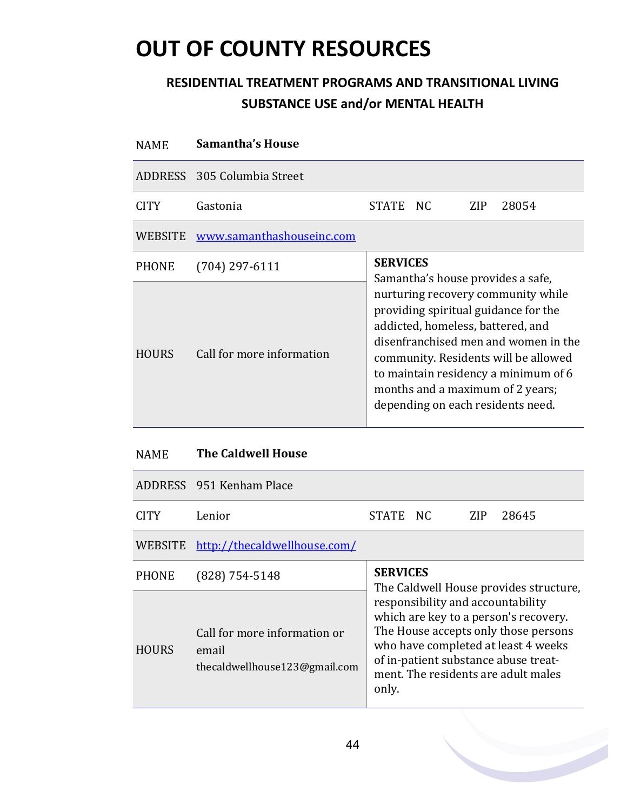### **RESIDENTIAL TREATMENT PROGRAMS AND TRANSITIONAL LIVING SUBSTANCE USE and/or MENTAL HEALTH**

| <b>NAME</b>  | <b>Samantha's House</b>     |                 |     |                                                                                                                                                                                                                                                                                                                  |
|--------------|-----------------------------|-----------------|-----|------------------------------------------------------------------------------------------------------------------------------------------------------------------------------------------------------------------------------------------------------------------------------------------------------------------|
|              | ADDRESS 305 Columbia Street |                 |     |                                                                                                                                                                                                                                                                                                                  |
| CITY         | Gastonia                    | STATE NC        | ZIP | 28054                                                                                                                                                                                                                                                                                                            |
| WEBSITE      | www.samanthashouseinc.com   |                 |     |                                                                                                                                                                                                                                                                                                                  |
| <b>PHONE</b> | $(704)$ 297-6111            | <b>SERVICES</b> |     | Samantha's house provides a safe,                                                                                                                                                                                                                                                                                |
| <b>HOURS</b> | Call for more information   |                 |     | nurturing recovery community while<br>providing spiritual guidance for the<br>addicted, homeless, battered, and<br>disenfranchised men and women in the<br>community. Residents will be allowed<br>to maintain residency a minimum of 6<br>months and a maximum of 2 years;<br>depending on each residents need. |

#### NAME **The Caldwell House**

|              | ADDRESS 951 Kenham Place                                               |                                                                                                                                                                                                                                                                                             |  |     |       |  |  |
|--------------|------------------------------------------------------------------------|---------------------------------------------------------------------------------------------------------------------------------------------------------------------------------------------------------------------------------------------------------------------------------------------|--|-----|-------|--|--|
| <b>CITY</b>  | Lenior                                                                 | STATE NC                                                                                                                                                                                                                                                                                    |  | ZIP | 28645 |  |  |
| WEBSITE      | http://thecaldwellhouse.com/                                           |                                                                                                                                                                                                                                                                                             |  |     |       |  |  |
| <b>PHONE</b> | $(828)$ 754-5148                                                       | <b>SERVICES</b>                                                                                                                                                                                                                                                                             |  |     |       |  |  |
| <b>HOURS</b> | Call for more information or<br>email<br>thecaldwellhouse123@gmail.com | The Caldwell House provides structure,<br>responsibility and accountability<br>which are key to a person's recovery.<br>The House accepts only those persons<br>who have completed at least 4 weeks<br>of in-patient substance abuse treat-<br>ment. The residents are adult males<br>only. |  |     |       |  |  |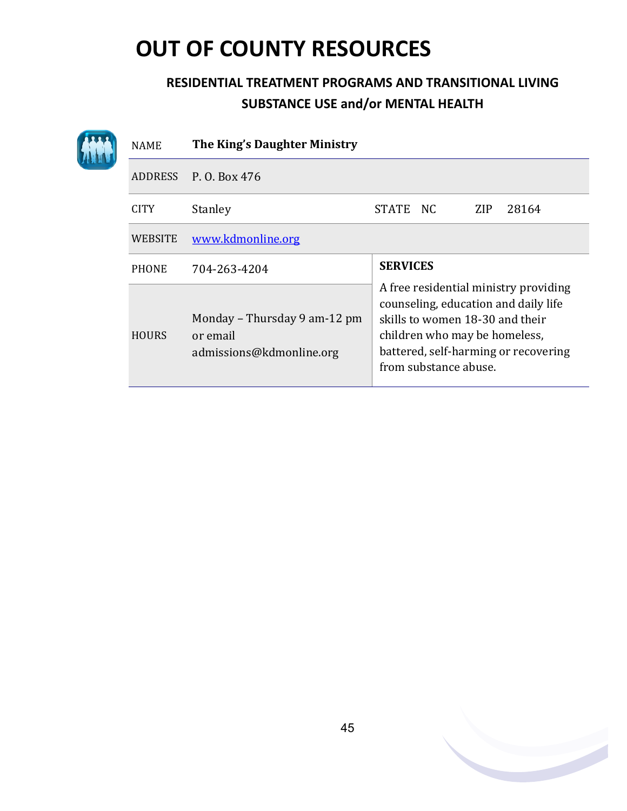|  | <b>NAME</b>  | The King's Daughter Ministry                                         |                                                                                                                                                                                                                    |  |  |  |  |  |
|--|--------------|----------------------------------------------------------------------|--------------------------------------------------------------------------------------------------------------------------------------------------------------------------------------------------------------------|--|--|--|--|--|
|  |              | ADDRESS P. O. Box 476                                                |                                                                                                                                                                                                                    |  |  |  |  |  |
|  | <b>CITY</b>  | Stanley                                                              | 28164<br>STATE NC<br>ZIP                                                                                                                                                                                           |  |  |  |  |  |
|  | WEBSITE      | www.kdmonline.org                                                    |                                                                                                                                                                                                                    |  |  |  |  |  |
|  | <b>PHONE</b> | 704-263-4204                                                         | <b>SERVICES</b>                                                                                                                                                                                                    |  |  |  |  |  |
|  | <b>HOURS</b> | Monday – Thursday 9 am-12 pm<br>or email<br>admissions@kdmonline.org | A free residential ministry providing<br>counseling, education and daily life<br>skills to women 18-30 and their<br>children who may be homeless,<br>battered, self-harming or recovering<br>from substance abuse. |  |  |  |  |  |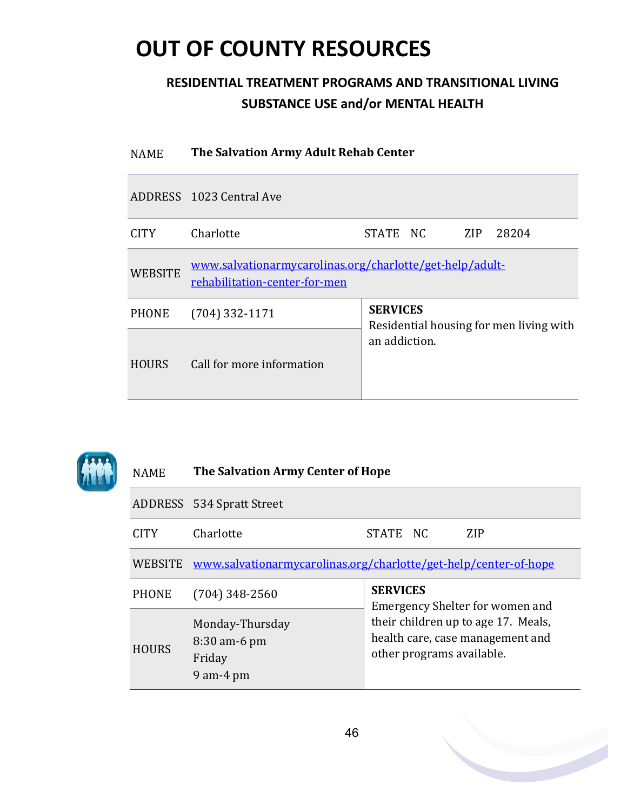### **RESIDENTIAL TREATMENT PROGRAMS AND TRANSITIONAL LIVING SUBSTANCE USE and/or MENTAL HEALTH**

| <b>NAME</b>    | The Salvation Army Adult Rehab Center                                                     |                                                          |  |      |       |  |  |
|----------------|-------------------------------------------------------------------------------------------|----------------------------------------------------------|--|------|-------|--|--|
|                | ADDRESS 1023 Central Ave                                                                  |                                                          |  |      |       |  |  |
| CITY.          | Charlotte                                                                                 | STATE NC                                                 |  | ZIP- | 28204 |  |  |
| <b>WEBSITE</b> | www.salvationarmycarolinas.org/charlotte/get-help/adult-<br>rehabilitation-center-for-men |                                                          |  |      |       |  |  |
| <b>PHONE</b>   | $(704)$ 332-1171                                                                          | <b>SERVICES</b>                                          |  |      |       |  |  |
| <b>HOURS</b>   | Call for more information                                                                 | Residential housing for men living with<br>an addiction. |  |      |       |  |  |



### NAME **The Salvation Army Center of Hope**

|              | ADDRESS 534 Spratt Street                                                |                                                                                                      |  |  |  |  |
|--------------|--------------------------------------------------------------------------|------------------------------------------------------------------------------------------------------|--|--|--|--|
| CITY.        | Charlotte                                                                | ZIP<br>STATE NC                                                                                      |  |  |  |  |
|              | WEBSITE www.salvationarmycarolinas.org/charlotte/get-help/center-of-hope |                                                                                                      |  |  |  |  |
| <b>PHONE</b> | $(704)$ 348-2560                                                         | <b>SERVICES</b><br>Emergency Shelter for women and                                                   |  |  |  |  |
| <b>HOURS</b> | Monday-Thursday<br>$8:30$ am-6 pm<br>Friday<br>$9$ am- $4$ pm            | their children up to age 17. Meals,<br>health care, case management and<br>other programs available. |  |  |  |  |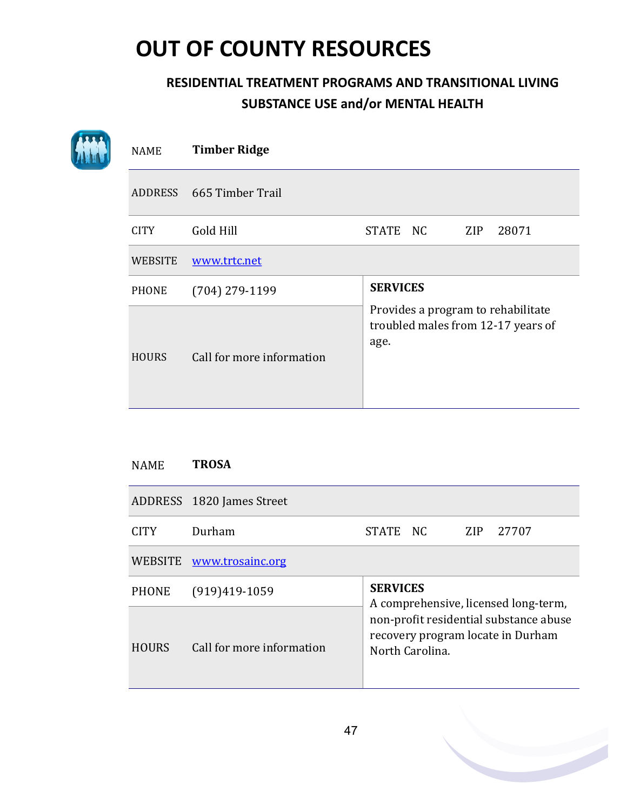### **RESIDENTIAL TREATMENT PROGRAMS AND TRANSITIONAL LIVING SUBSTANCE USE and/or MENTAL HEALTH**

| <b>NAME</b>    | <b>Timber Ridge</b>       |                                                                                  |
|----------------|---------------------------|----------------------------------------------------------------------------------|
|                | ADDRESS 665 Timber Trail  |                                                                                  |
| <b>CITY</b>    | Gold Hill                 | STATE NC<br>ZIP<br>28071                                                         |
| <b>WEBSITE</b> | www.trtc.net              |                                                                                  |
| <b>PHONE</b>   | $(704)$ 279-1199          | <b>SERVICES</b>                                                                  |
| <b>HOURS</b>   | Call for more information | Provides a program to rehabilitate<br>troubled males from 12-17 years of<br>age. |

#### NAME **TROSA**

|              | ADDRESS 1820 James Street |                                                                                                                                                           |  |     |       |  |  |
|--------------|---------------------------|-----------------------------------------------------------------------------------------------------------------------------------------------------------|--|-----|-------|--|--|
| <b>CITY</b>  | Durham                    | STATE NC                                                                                                                                                  |  | ZIP | 27707 |  |  |
| WEBSITE      | www.trosainc.org          |                                                                                                                                                           |  |     |       |  |  |
| <b>PHONE</b> | $(919)419-1059$           | <b>SERVICES</b><br>A comprehensive, licensed long-term,<br>non-profit residential substance abuse<br>recovery program locate in Durham<br>North Carolina. |  |     |       |  |  |
| <b>HOURS</b> | Call for more information |                                                                                                                                                           |  |     |       |  |  |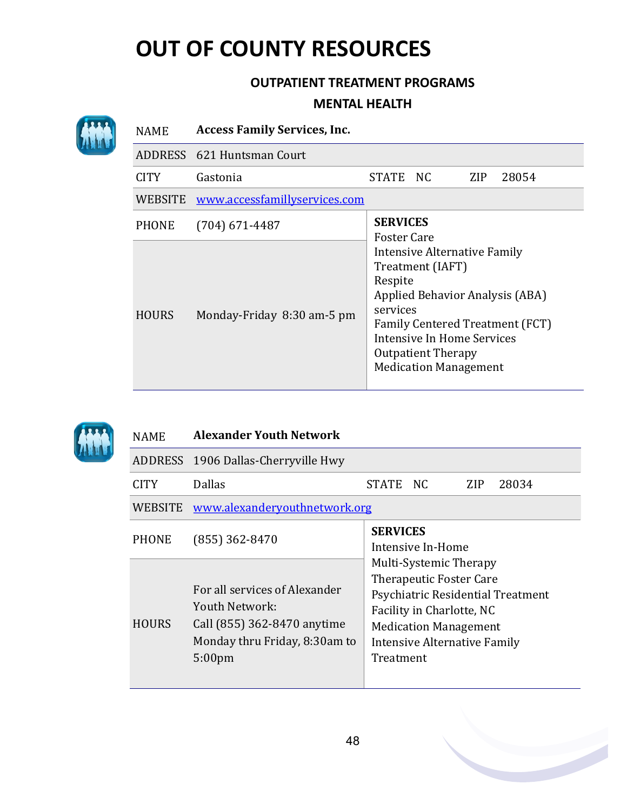#### **OUTPATIENT TREATMENT PROGRAMS**

#### **MENTAL HEALTH**

|  | <b>NAME</b>  | <b>Access Family Services, Inc.</b> |                                                                                                                                                                                                                                                                |  |     |       |  |  |
|--|--------------|-------------------------------------|----------------------------------------------------------------------------------------------------------------------------------------------------------------------------------------------------------------------------------------------------------------|--|-----|-------|--|--|
|  |              | ADDRESS 621 Huntsman Court          |                                                                                                                                                                                                                                                                |  |     |       |  |  |
|  | <b>CITY</b>  | Gastonia                            | STATE NC                                                                                                                                                                                                                                                       |  | ZIP | 28054 |  |  |
|  | WEBSITE      | www.accessfamillyservices.com       |                                                                                                                                                                                                                                                                |  |     |       |  |  |
|  | <b>PHONE</b> | $(704)$ 671-4487                    | <b>SERVICES</b>                                                                                                                                                                                                                                                |  |     |       |  |  |
|  | <b>HOURS</b> | Monday-Friday 8:30 am-5 pm          | <b>Foster Care</b><br>Intensive Alternative Family<br>Treatment (IAFT)<br>Respite<br>Applied Behavior Analysis (ABA)<br>services<br>Family Centered Treatment (FCT)<br>Intensive In Home Services<br><b>Outpatient Therapy</b><br><b>Medication Management</b> |  |     |       |  |  |



#### NAME **Alexander Youth Network**

|              | ADDRESS 1906 Dallas-Cherryville Hwy                                                                                                   |                                                                                                                                                                                                         |  |  |  |  |  |  |
|--------------|---------------------------------------------------------------------------------------------------------------------------------------|---------------------------------------------------------------------------------------------------------------------------------------------------------------------------------------------------------|--|--|--|--|--|--|
| <b>CITY</b>  | <b>Dallas</b>                                                                                                                         | STATE NC<br>ZIP<br>28034                                                                                                                                                                                |  |  |  |  |  |  |
| WEBSITE      | www.alexanderyouthnetwork.org                                                                                                         |                                                                                                                                                                                                         |  |  |  |  |  |  |
| <b>PHONE</b> | $(855)$ 362-8470                                                                                                                      | <b>SERVICES</b><br>Intensive In-Home                                                                                                                                                                    |  |  |  |  |  |  |
| <b>HOURS</b> | For all services of Alexander<br>Youth Network:<br>Call (855) 362-8470 anytime<br>Monday thru Friday, 8:30am to<br>5:00 <sub>pm</sub> | Multi-Systemic Therapy<br><b>Therapeutic Foster Care</b><br>Psychiatric Residential Treatment<br>Facility in Charlotte, NC<br><b>Medication Management</b><br>Intensive Alternative Family<br>Treatment |  |  |  |  |  |  |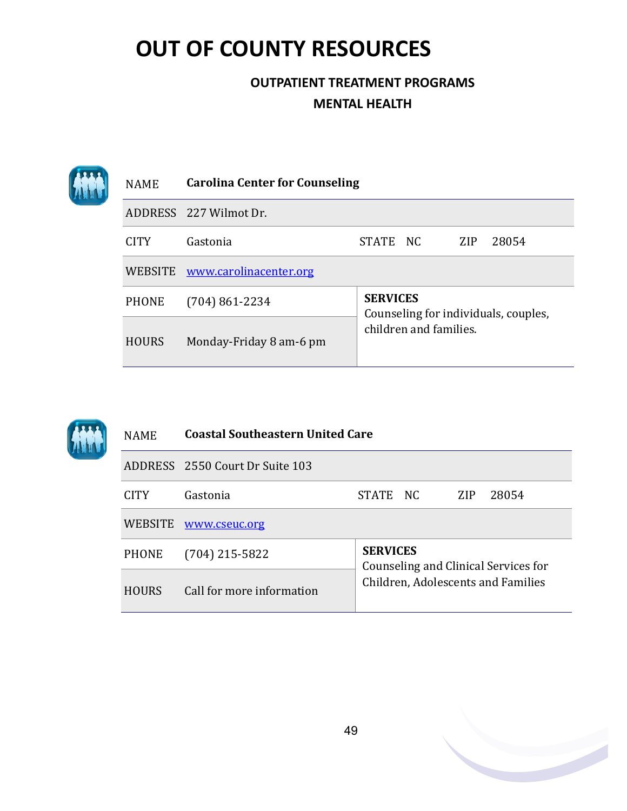| <b>NAME</b>  | <b>Carolina Center for Counseling</b> |                                                         |  |            |       |  |
|--------------|---------------------------------------|---------------------------------------------------------|--|------------|-------|--|
|              | ADDRESS 227 Wilmot Dr.                |                                                         |  |            |       |  |
| <b>CITY</b>  | Gastonia                              | STATE NC                                                |  | <b>ZIP</b> | 28054 |  |
| WEBSITE      | www.carolinacenter.org                |                                                         |  |            |       |  |
| <b>PHONE</b> | $(704) 861 - 2234$                    | <b>SERVICES</b><br>Counseling for individuals, couples, |  |            |       |  |
| <b>HOURS</b> | Monday-Friday 8 am-6 pm               | children and families.                                  |  |            |       |  |

|  | <b>NAME</b>  | <b>Coastal Southeastern United Care</b> |                                                         |                                    |            |       |
|--|--------------|-----------------------------------------|---------------------------------------------------------|------------------------------------|------------|-------|
|  |              | ADDRESS 2550 Court Dr Suite 103         |                                                         |                                    |            |       |
|  | <b>CITY</b>  | Gastonia                                | <b>STATE</b>                                            | NC.                                | <b>ZIP</b> | 28054 |
|  | WEBSITE      | www.cseuc.org                           |                                                         |                                    |            |       |
|  | <b>PHONE</b> | $(704)$ 215-5822                        | <b>SERVICES</b><br>Counseling and Clinical Services for |                                    |            |       |
|  | <b>HOURS</b> | Call for more information               |                                                         | Children, Adolescents and Families |            |       |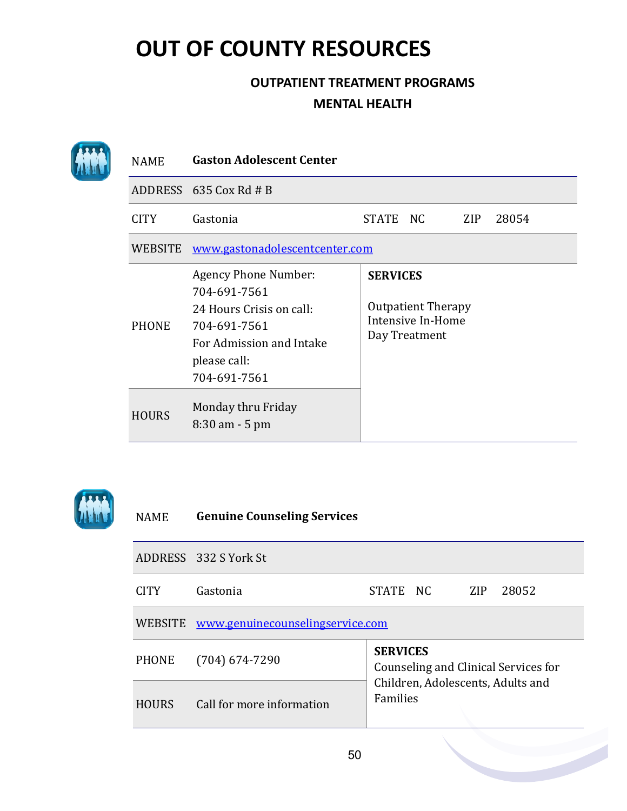### **OUTPATIENT TREATMENT PROGRAMS MENTAL HEALTH**

| <b>NAME</b>    | <b>Gaston Adolescent Center</b>                                                                                                                     |                 |                                                                 |     |       |
|----------------|-----------------------------------------------------------------------------------------------------------------------------------------------------|-----------------|-----------------------------------------------------------------|-----|-------|
|                | ADDRESS $635 \cos Rd \# B$                                                                                                                          |                 |                                                                 |     |       |
| <b>CITY</b>    | Gastonia                                                                                                                                            | STATE NC        |                                                                 | ZIP | 28054 |
| <b>WEBSITE</b> | www.gastonadolescentcenter.com                                                                                                                      |                 |                                                                 |     |       |
| <b>PHONE</b>   | <b>Agency Phone Number:</b><br>704-691-7561<br>24 Hours Crisis on call:<br>704-691-7561<br>For Admission and Intake<br>please call:<br>704-691-7561 | <b>SERVICES</b> | <b>Outpatient Therapy</b><br>Intensive In-Home<br>Day Treatment |     |       |
| <b>HOURS</b>   | Monday thru Friday<br>$8:30$ am $-5$ pm                                                                                                             |                 |                                                                 |     |       |



### NAME **Genuine Counseling Services**

|              | ADDRESS 332 S York St            |                                                         |  |            |       |  |  |  |
|--------------|----------------------------------|---------------------------------------------------------|--|------------|-------|--|--|--|
| <b>CITY</b>  | Gastonia                         | STATE NC                                                |  | <b>ZIP</b> | 28052 |  |  |  |
| WEBSITE      | www.genuinecounselingservice.com |                                                         |  |            |       |  |  |  |
| <b>PHONE</b> | $(704)$ 674-7290                 | <b>SERVICES</b><br>Counseling and Clinical Services for |  |            |       |  |  |  |
| <b>HOURS</b> | Call for more information        | Children, Adolescents, Adults and<br>Families           |  |            |       |  |  |  |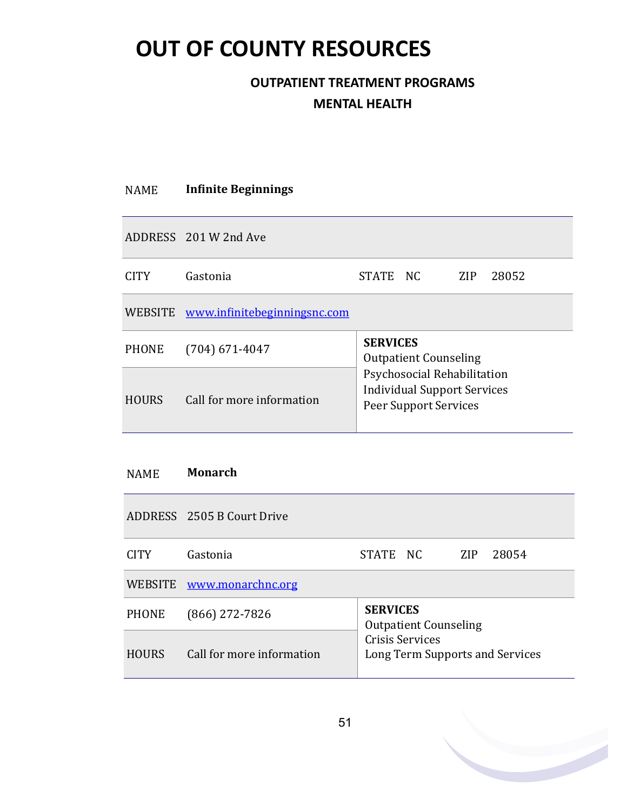### **OUTPATIENT TREATMENT PROGRAMS MENTAL HEALTH**

| <b>NAME</b>  | <b>Infinite Beginnings</b>           |                                                                                                                                               |  |     |       |  |  |
|--------------|--------------------------------------|-----------------------------------------------------------------------------------------------------------------------------------------------|--|-----|-------|--|--|
|              | ADDRESS 201 W 2nd Ave                |                                                                                                                                               |  |     |       |  |  |
| <b>CITY</b>  | Gastonia                             | STATE NC                                                                                                                                      |  | ZIP | 28052 |  |  |
|              | WEBSITE www.infinitebeginningsnc.com |                                                                                                                                               |  |     |       |  |  |
| <b>PHONE</b> | $(704)$ 671-4047                     | <b>SERVICES</b><br><b>Outpatient Counseling</b><br>Psychosocial Rehabilitation<br><b>Individual Support Services</b><br>Peer Support Services |  |     |       |  |  |
| <b>HOURS</b> | Call for more information            |                                                                                                                                               |  |     |       |  |  |

#### NAME **Monarch**

|              | ADDRESS 2505 B Court Drive |                                                    |  |            |       |  |
|--------------|----------------------------|----------------------------------------------------|--|------------|-------|--|
| <b>CITY</b>  | Gastonia                   | STATE NC                                           |  | <b>ZIP</b> | 28054 |  |
|              | WEBSITE www.monarchnc.org  |                                                    |  |            |       |  |
| <b>PHONE</b> | $(866)$ 272-7826           | <b>SERVICES</b><br><b>Outpatient Counseling</b>    |  |            |       |  |
| <b>HOURS</b> | Call for more information  | Crisis Services<br>Long Term Supports and Services |  |            |       |  |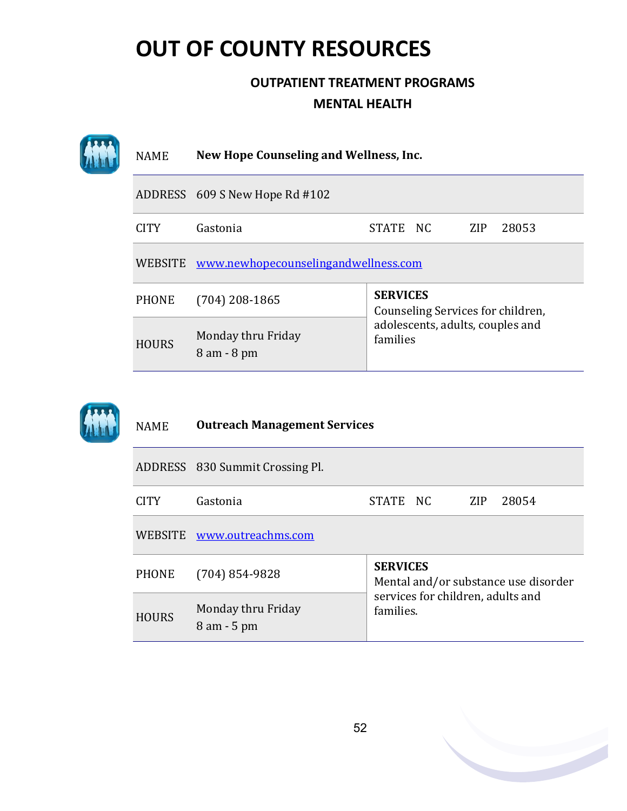| <b>NAME</b>  | New Hope Counseling and Wellness, Inc. |                                                      |  |  |  |
|--------------|----------------------------------------|------------------------------------------------------|--|--|--|
|              | ADDRESS 609 S New Hope Rd #102         |                                                      |  |  |  |
| <b>CITY</b>  | Gastonia                               | 28053<br>STATE NC<br>ZIP                             |  |  |  |
| WEBSITE      | www.newhopecounselingandwellness.com   |                                                      |  |  |  |
| <b>PHONE</b> | $(704)$ 208-1865                       | <b>SERVICES</b><br>Counseling Services for children, |  |  |  |
| <b>HOURS</b> | Monday thru Friday<br>$8$ am $-8$ pm   | adolescents, adults, couples and<br>families         |  |  |  |

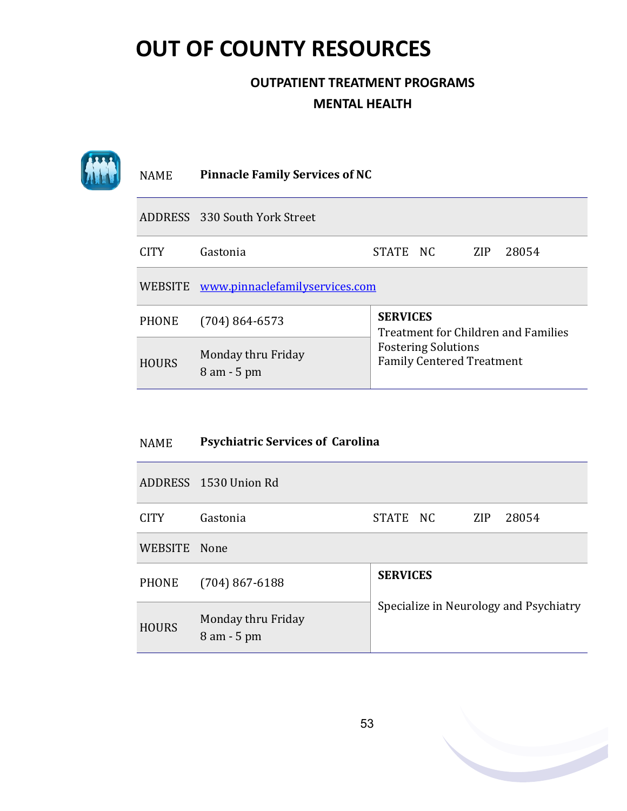### **OUTPATIENT TREATMENT PROGRAMS MENTAL HEALTH**

| <b>NAME</b>  | <b>Pinnacle Family Services of NC</b>  |                                                                                                                          |  |            |       |
|--------------|----------------------------------------|--------------------------------------------------------------------------------------------------------------------------|--|------------|-------|
|              | ADDRESS 330 South York Street          |                                                                                                                          |  |            |       |
| <b>CITY</b>  | Gastonia                               | STATE NC                                                                                                                 |  | <b>ZIP</b> | 28054 |
|              | WEBSITE www.pinnaclefamilyservices.com |                                                                                                                          |  |            |       |
| <b>PHONE</b> | $(704) 864 - 6573$                     | <b>SERVICES</b><br>Treatment for Children and Families<br><b>Fostering Solutions</b><br><b>Family Centered Treatment</b> |  |            |       |
| <b>HOURS</b> | Monday thru Friday<br>$8$ am $-5$ pm   |                                                                                                                          |  |            |       |

#### NAME **Psychiatric Services of Carolina**

|              | ADDRESS 1530 Union Rd                |                                                           |  |            |       |  |  |
|--------------|--------------------------------------|-----------------------------------------------------------|--|------------|-------|--|--|
| <b>CITY</b>  | Gastonia                             | STATE NC                                                  |  | <b>ZIP</b> | 28054 |  |  |
| WEBSITE None |                                      |                                                           |  |            |       |  |  |
| <b>PHONE</b> | $(704) 867 - 6188$                   | <b>SERVICES</b><br>Specialize in Neurology and Psychiatry |  |            |       |  |  |
| <b>HOURS</b> | Monday thru Friday<br>$8$ am $-5$ pm |                                                           |  |            |       |  |  |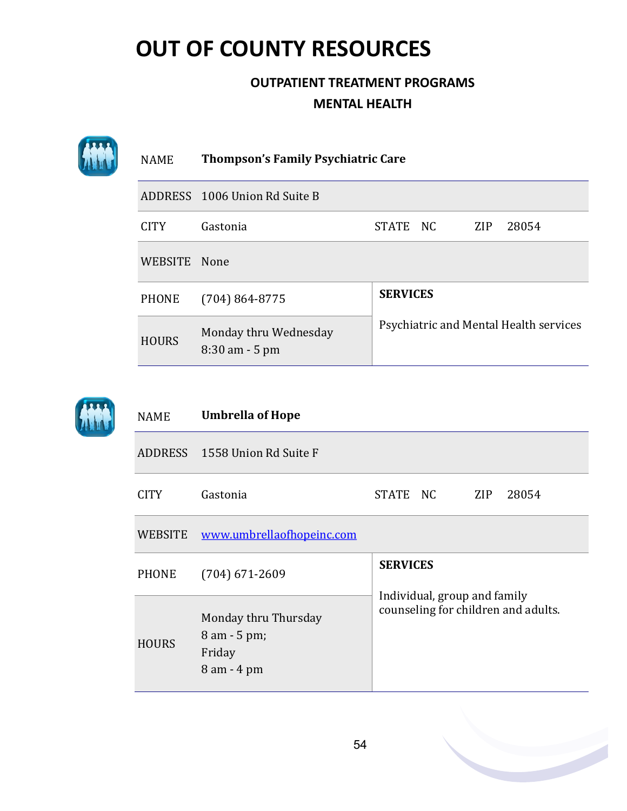|  | <b>NAME</b>  | <b>Thompson's Family Psychiatric Care</b>  |                                        |  |     |       |
|--|--------------|--------------------------------------------|----------------------------------------|--|-----|-------|
|  |              | ADDRESS 1006 Union Rd Suite B              |                                        |  |     |       |
|  | <b>CITY</b>  | Gastonia                                   | STATE NC                               |  | ZIP | 28054 |
|  | WEBSITE None |                                            |                                        |  |     |       |
|  | <b>PHONE</b> | $(704) 864 - 8775$                         | <b>SERVICES</b>                        |  |     |       |
|  | <b>HOURS</b> | Monday thru Wednesday<br>$8:30$ am $-5$ pm | Psychiatric and Mental Health services |  |     |       |



| <b>NAME</b>  | <b>Umbrella of Hope</b>                                       |                                                                     |  |     |       |  |  |
|--------------|---------------------------------------------------------------|---------------------------------------------------------------------|--|-----|-------|--|--|
|              | ADDRESS 1558 Union Rd Suite F                                 |                                                                     |  |     |       |  |  |
| <b>CITY</b>  | Gastonia                                                      | STATE NC                                                            |  | ZIP | 28054 |  |  |
| WEBSITE      | www.umbrellaofhopeinc.com                                     |                                                                     |  |     |       |  |  |
| PHONE        | $(704)$ 671-2609                                              | <b>SERVICES</b>                                                     |  |     |       |  |  |
| <b>HOURS</b> | Monday thru Thursday<br>8 am - 5 pm;<br>Friday<br>8 am - 4 pm | Individual, group and family<br>counseling for children and adults. |  |     |       |  |  |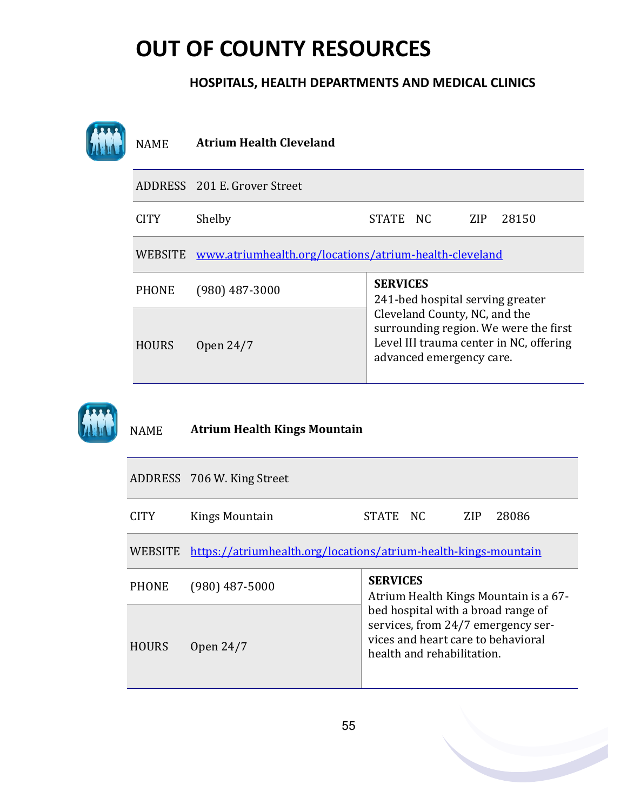#### **HOSPITALS, HEALTH DEPARTMENTS AND MEDICAL CLINICS**

| <b>NAME</b>    | <b>Atrium Health Cleveland</b>                                  |                                                                                                                                               |  |  |  |
|----------------|-----------------------------------------------------------------|-----------------------------------------------------------------------------------------------------------------------------------------------|--|--|--|
|                | ADDRESS 201 E. Grover Street                                    |                                                                                                                                               |  |  |  |
| <b>CITY</b>    | Shelby                                                          | STATE NC<br>ZIP<br>28150                                                                                                                      |  |  |  |
| <b>WEBSITE</b> | www.atriumhealth.org/locations/atrium-health-cleveland          |                                                                                                                                               |  |  |  |
| <b>PHONE</b>   | $(980)$ 487-3000                                                | <b>SERVICES</b><br>241-bed hospital serving greater                                                                                           |  |  |  |
| <b>HOURS</b>   | Open 24/7                                                       | Cleveland County, NC, and the<br>surrounding region. We were the first<br>Level III trauma center in NC, offering<br>advanced emergency care. |  |  |  |
| <b>NAME</b>    | <b>Atrium Health Kings Mountain</b>                             |                                                                                                                                               |  |  |  |
|                | ADDRESS 706 W. King Street                                      |                                                                                                                                               |  |  |  |
| <b>CITY</b>    | <b>Kings Mountain</b>                                           | <b>STATE</b><br>NC<br>ZIP<br>28086                                                                                                            |  |  |  |
| <b>WEBSITE</b> | https://atriumhealth.org/locations/atrium-health-kings-mountain |                                                                                                                                               |  |  |  |
| <b>PHONE</b>   | $(980)$ 487-5000                                                | <b>SERVICES</b><br>Atrium Health Kings Mountain is a 67-                                                                                      |  |  |  |
| <b>HOURS</b>   | Open 24/7                                                       | bed hospital with a broad range of<br>services, from 24/7 emergency ser-<br>vices and heart care to behavioral<br>health and rehabilitation.  |  |  |  |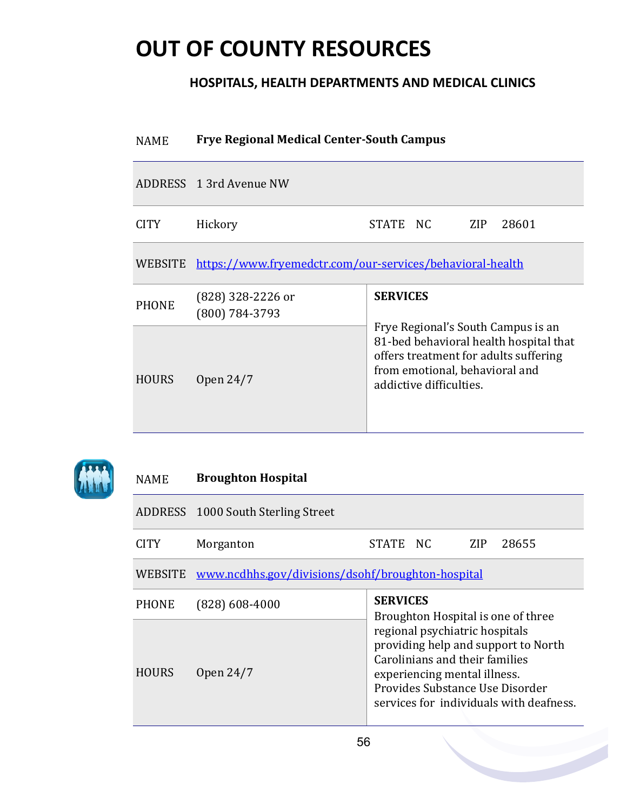#### **HOSPITALS, HEALTH DEPARTMENTS AND MEDICAL CLINICS**

| <b>NAME</b>  | <b>Frye Regional Medical Center-South Campus</b>                  |                                                                                                                                                                                                       |       |  |  |  |
|--------------|-------------------------------------------------------------------|-------------------------------------------------------------------------------------------------------------------------------------------------------------------------------------------------------|-------|--|--|--|
|              | ADDRESS 1 3rd Avenue NW                                           |                                                                                                                                                                                                       |       |  |  |  |
| <b>CITY</b>  | Hickory                                                           | STATE NC<br>ZIP                                                                                                                                                                                       | 28601 |  |  |  |
|              | WEBSITE https://www.fryemedctr.com/our-services/behavioral-health |                                                                                                                                                                                                       |       |  |  |  |
| <b>PHONE</b> | $(828)$ 328-2226 or<br>(800) 784-3793                             | <b>SERVICES</b><br>Frye Regional's South Campus is an<br>81-bed behavioral health hospital that<br>offers treatment for adults suffering<br>from emotional, behavioral and<br>addictive difficulties. |       |  |  |  |
| <b>HOURS</b> | Open 24/7                                                         |                                                                                                                                                                                                       |       |  |  |  |



### NAME **Broughton Hospital** ADDRESS 1000 South Sterling Street CITY Morganton STATE NC ZIP 28655 WEBSITE [www.ncdhhs.gov/divisions/dsohf/broughton](https://www.ncdhhs.gov/divisions/dsohf/broughton-hospital)-hospital PHONE (828) 608-4000 **SERVICES** Broughton Hospital is one of three regional psychiatric hospitals providing help and support to North Carolinians and their families experiencing mental illness. Provides Substance Use Disorder services for individuals with deafness. HOURS Open 24/7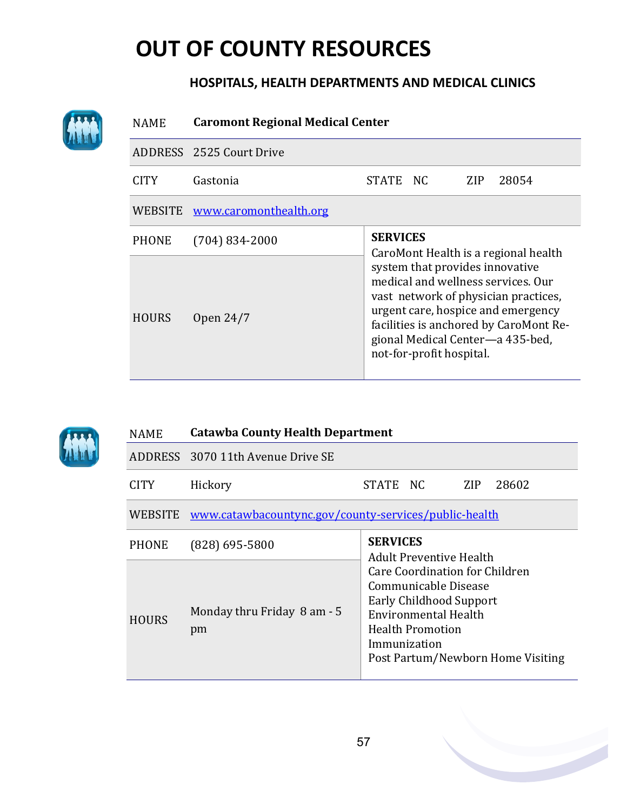#### **HOSPITALS, HEALTH DEPARTMENTS AND MEDICAL CLINICS**

| <b>NAME</b>  | <b>Caromont Regional Medical Center</b> |                                                                                                                                                                                                                                                                                                       |  |     |       |  |
|--------------|-----------------------------------------|-------------------------------------------------------------------------------------------------------------------------------------------------------------------------------------------------------------------------------------------------------------------------------------------------------|--|-----|-------|--|
|              | ADDRESS 2525 Court Drive                |                                                                                                                                                                                                                                                                                                       |  |     |       |  |
| <b>CITY</b>  | Gastonia                                | STATE NC                                                                                                                                                                                                                                                                                              |  | ZIP | 28054 |  |
| WEBSITE      | www.caromonthealth.org                  |                                                                                                                                                                                                                                                                                                       |  |     |       |  |
| <b>PHONE</b> | $(704) 834 - 2000$                      | <b>SERVICES</b>                                                                                                                                                                                                                                                                                       |  |     |       |  |
| <b>HOURS</b> | Open 24/7                               | CaroMont Health is a regional health<br>system that provides innovative<br>medical and wellness services. Our<br>vast network of physician practices,<br>urgent care, hospice and emergency<br>facilities is anchored by CaroMont Re-<br>gional Medical Center-a 435-bed,<br>not-for-profit hospital. |  |     |       |  |



AW

| NAME  | <b>Catawba County Health Department</b>                       |                                                                                                                                                                                                  |  |  |  |  |  |
|-------|---------------------------------------------------------------|--------------------------------------------------------------------------------------------------------------------------------------------------------------------------------------------------|--|--|--|--|--|
|       | ADDRESS 3070 11th Avenue Drive SE                             |                                                                                                                                                                                                  |  |  |  |  |  |
| CITY  | Hickory                                                       | STATE NC<br><b>ZIP</b><br>28602                                                                                                                                                                  |  |  |  |  |  |
|       | WEBSITE www.catawbacountync.gov/county-services/public-health |                                                                                                                                                                                                  |  |  |  |  |  |
| PHONE | $(828)$ 695-5800                                              | <b>SERVICES</b><br><b>Adult Preventive Health</b>                                                                                                                                                |  |  |  |  |  |
| HOURS | Monday thru Friday 8 am - 5<br>pm                             | Care Coordination for Children<br>Communicable Disease<br><b>Early Childhood Support</b><br>Environmental Health<br><b>Health Promotion</b><br>Immunization<br>Post Partum/Newborn Home Visiting |  |  |  |  |  |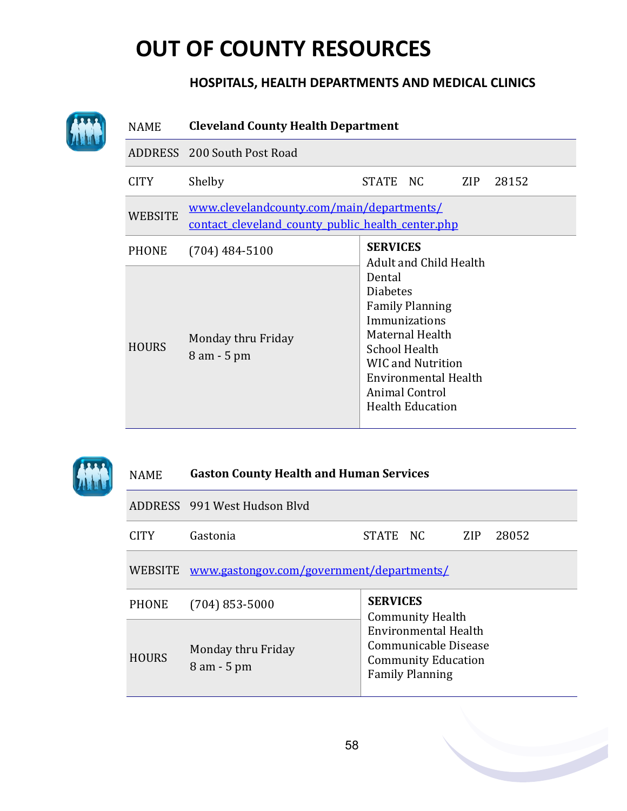#### **HOSPITALS, HEALTH DEPARTMENTS AND MEDICAL CLINICS**

| <b>NAME</b>    | <b>Cleveland County Health Department</b>                                                      |                                                                                                                                                                                                                  |  |  |  |  |
|----------------|------------------------------------------------------------------------------------------------|------------------------------------------------------------------------------------------------------------------------------------------------------------------------------------------------------------------|--|--|--|--|
|                | ADDRESS 200 South Post Road                                                                    |                                                                                                                                                                                                                  |  |  |  |  |
| <b>CITY</b>    | Shelby                                                                                         | STATE NC<br>ZIP<br>28152                                                                                                                                                                                         |  |  |  |  |
| <b>WEBSITE</b> | www.clevelandcounty.com/main/departments/<br>contact cleveland county public health center.php |                                                                                                                                                                                                                  |  |  |  |  |
| <b>PHONE</b>   | $(704)$ 484-5100                                                                               | <b>SERVICES</b><br>Adult and Child Health                                                                                                                                                                        |  |  |  |  |
| <b>HOURS</b>   | Monday thru Friday<br>8 am - 5 pm                                                              | Dental<br><b>Diabetes</b><br><b>Family Planning</b><br>Immunizations<br>Maternal Health<br><b>School Health</b><br><b>WIC and Nutrition</b><br>Environmental Health<br>Animal Control<br><b>Health Education</b> |  |  |  |  |



### NAME **Gaston County Health and Human Services** ADDRESS 991 West Hudson Blvd CITY Gastonia STATE NC ZIP 28052 WEBSITE [www.gastongov.com/government/departments/](http://www.gastongov.com/government/departments/health_and_human_services/public_health/_assets_/images/favicon.ico) PHONE (704) 853-5000 **SERVICES** Community Health Environmental Health Communicable Disease Community Education Family Planning **HOURS** Monday thru Friday 8 am - 5 pm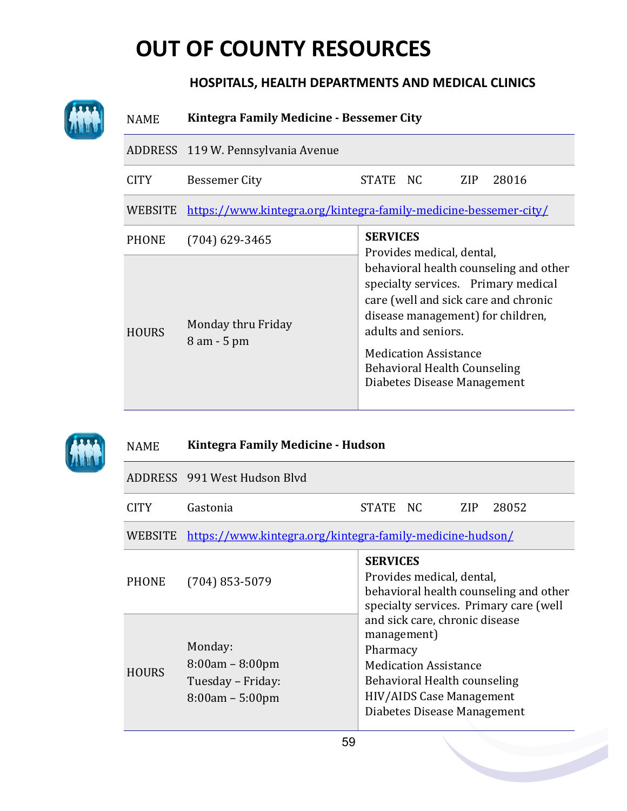### **HOSPITALS, HEALTH DEPARTMENTS AND MEDICAL CLINICS**

| <b>NAME</b>  | Kintegra Family Medicine - Bessemer City                         |                                                                                                                                                                                                                                                                                         |     |       |  |  |
|--------------|------------------------------------------------------------------|-----------------------------------------------------------------------------------------------------------------------------------------------------------------------------------------------------------------------------------------------------------------------------------------|-----|-------|--|--|
|              | ADDRESS 119 W. Pennsylvania Avenue                               |                                                                                                                                                                                                                                                                                         |     |       |  |  |
| <b>CITY</b>  | <b>Bessemer City</b>                                             | STATE NC                                                                                                                                                                                                                                                                                | ZIP | 28016 |  |  |
| WEBSITE      | https://www.kintegra.org/kintegra-family-medicine-bessemer-city/ |                                                                                                                                                                                                                                                                                         |     |       |  |  |
| <b>PHONE</b> | $(704)$ 629-3465                                                 | <b>SERVICES</b><br>Provides medical, dental,                                                                                                                                                                                                                                            |     |       |  |  |
| <b>HOURS</b> | Monday thru Friday<br>$8$ am $-5$ pm                             | behavioral health counseling and other<br>specialty services. Primary medical<br>care (well and sick care and chronic<br>disease management) for children,<br>adults and seniors.<br><b>Medication Assistance</b><br><b>Behavioral Health Counseling</b><br>Diabetes Disease Management |     |       |  |  |

| <b>NAME</b>  | Kintegra Family Medicine - Hudson                                      |                                                                                                                                                                                                                                                                                                                                 |  |  |  |  |
|--------------|------------------------------------------------------------------------|---------------------------------------------------------------------------------------------------------------------------------------------------------------------------------------------------------------------------------------------------------------------------------------------------------------------------------|--|--|--|--|
|              | ADDRESS 991 West Hudson Blyd                                           |                                                                                                                                                                                                                                                                                                                                 |  |  |  |  |
| <b>CITY</b>  | Gastonia                                                               | STATE NC<br>28052<br>ZIP                                                                                                                                                                                                                                                                                                        |  |  |  |  |
| WEBSITE      | https://www.kintegra.org/kintegra-family-medicine-hudson/              |                                                                                                                                                                                                                                                                                                                                 |  |  |  |  |
| <b>PHONE</b> | $(704)$ 853-5079                                                       | <b>SERVICES</b><br>Provides medical, dental,<br>behavioral health counseling and other<br>specialty services. Primary care (well<br>and sick care, chronic disease<br>management)<br>Pharmacy<br><b>Medication Assistance</b><br>Behavioral Health counseling<br><b>HIV/AIDS Case Management</b><br>Diabetes Disease Management |  |  |  |  |
| <b>HOURS</b> | Monday:<br>$8:00am - 8:00pm$<br>Tuesday - Friday:<br>$8:00am - 5:00pm$ |                                                                                                                                                                                                                                                                                                                                 |  |  |  |  |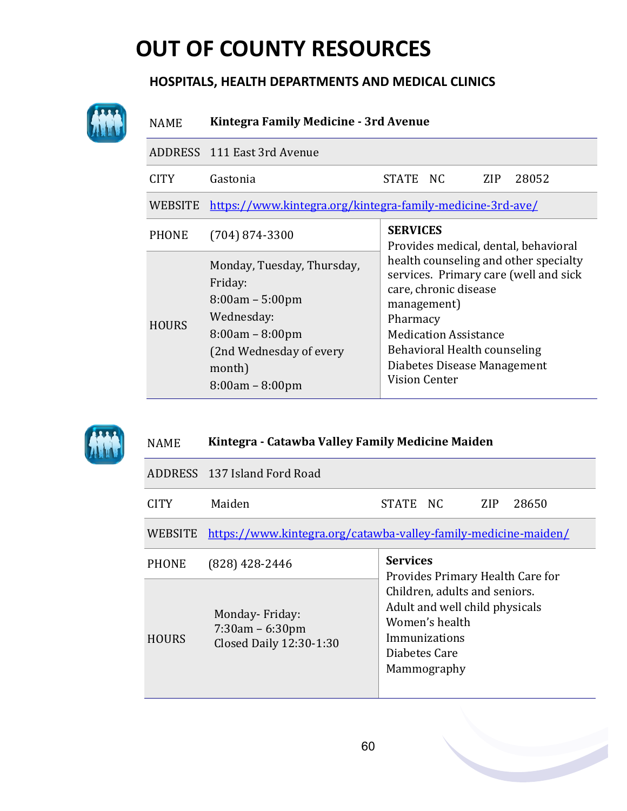#### **HOSPITALS, HEALTH DEPARTMENTS AND MEDICAL CLINICS**

| <b>NAME</b>  | Kintegra Family Medicine - 3rd Avenue                                                                                                                   |                                                                                                                                                                                                                                                           |  |  |  |  |  |
|--------------|---------------------------------------------------------------------------------------------------------------------------------------------------------|-----------------------------------------------------------------------------------------------------------------------------------------------------------------------------------------------------------------------------------------------------------|--|--|--|--|--|
|              | ADDRESS 111 East 3rd Avenue                                                                                                                             |                                                                                                                                                                                                                                                           |  |  |  |  |  |
| <b>CITY</b>  | STATE NC<br>Gastonia<br>ZIP<br>28052                                                                                                                    |                                                                                                                                                                                                                                                           |  |  |  |  |  |
|              | WEBSITE https://www.kintegra.org/kintegra-family-medicine-3rd-ave/                                                                                      |                                                                                                                                                                                                                                                           |  |  |  |  |  |
| <b>PHONE</b> | $(704) 874 - 3300$                                                                                                                                      | <b>SERVICES</b><br>Provides medical, dental, behavioral                                                                                                                                                                                                   |  |  |  |  |  |
| <b>HOURS</b> | Monday, Tuesday, Thursday,<br>Friday:<br>$8:00am - 5:00pm$<br>Wednesday:<br>$8:00am - 8:00pm$<br>(2nd Wednesday of every<br>month)<br>$8:00am - 8:00pm$ | health counseling and other specialty<br>services. Primary care (well and sick<br>care, chronic disease<br>management)<br>Pharmacy<br><b>Medication Assistance</b><br>Behavioral Health counseling<br>Diabetes Disease Management<br><b>Vision Center</b> |  |  |  |  |  |



#### NAME **Kintegra - Catawba Valley Family Medicine Maiden**

|              | ADDRESS 137 Island Ford Road                                   |                                                                                                                                    |  |  |  |  |  |
|--------------|----------------------------------------------------------------|------------------------------------------------------------------------------------------------------------------------------------|--|--|--|--|--|
| <b>CITY</b>  | Maiden                                                         | STATE NC<br>ZIP.<br>28650                                                                                                          |  |  |  |  |  |
| WEBSITE      |                                                                | https://www.kintegra.org/catawba-valley-family-medicine-maiden/                                                                    |  |  |  |  |  |
| <b>PHONE</b> | (828) 428-2446                                                 | <b>Services</b><br>Provides Primary Health Care for                                                                                |  |  |  |  |  |
| <b>HOURS</b> | Monday-Friday:<br>$7:30am - 6:30pm$<br>Closed Daily 12:30-1:30 | Children, adults and seniors.<br>Adult and well child physicals<br>Women's health<br>Immunizations<br>Diabetes Care<br>Mammography |  |  |  |  |  |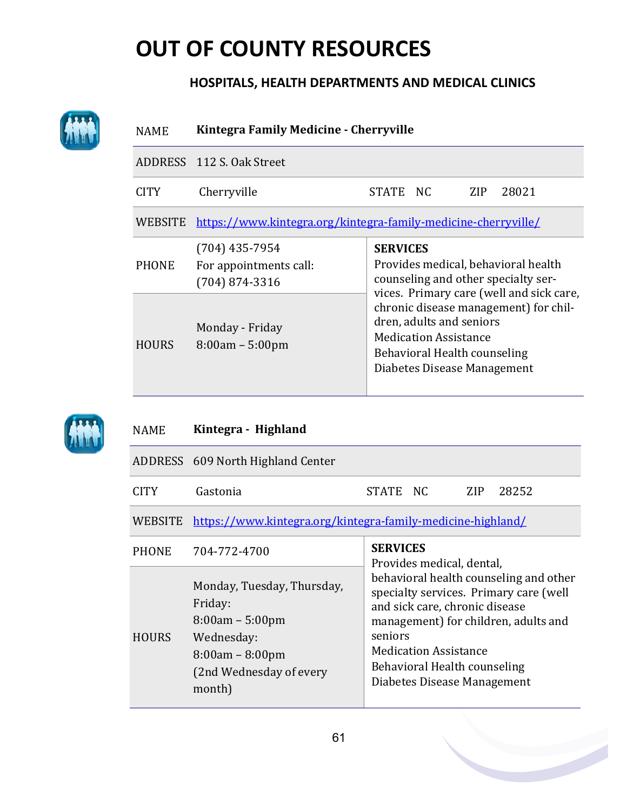#### **HOSPITALS, HEALTH DEPARTMENTS AND MEDICAL CLINICS**

|              | ADDRESS 112 S. Oak Street                                      |                                                                                                                                                                                                              |  |  |  |  |
|--------------|----------------------------------------------------------------|--------------------------------------------------------------------------------------------------------------------------------------------------------------------------------------------------------------|--|--|--|--|
| <b>CITY</b>  | Cherryville                                                    | STATE NC<br><b>ZIP</b><br>28021                                                                                                                                                                              |  |  |  |  |
| WEBSITE      |                                                                | https://www.kintegra.org/kintegra-family-medicine-cherryville/                                                                                                                                               |  |  |  |  |
| <b>PHONE</b> | $(704)$ 435-7954<br>For appointments call:<br>$(704)$ 874-3316 | <b>SERVICES</b><br>Provides medical, behavioral health<br>counseling and other specialty ser-                                                                                                                |  |  |  |  |
| <b>HOURS</b> | Monday - Friday<br>$8:00am - 5:00pm$                           | vices. Primary care (well and sick care,<br>chronic disease management) for chil-<br>dren, adults and seniors<br><b>Medication Assistance</b><br>Behavioral Health counseling<br>Diabetes Disease Management |  |  |  |  |

NAME **Kintegra - Highland** 

|             | ADDRESS 609 North Highland Center |          |  |           |
|-------------|-----------------------------------|----------|--|-----------|
| <b>CITY</b> | Gastonia                          | STATE NC |  | ZIP 28252 |

WEBSITE [https://www.kintegra.org/kintegra](https://www.kintegra.org/kintegra-family-medicine-highland/)-family-medicine-highland/

| <b>PHONE</b> | 704-772-4700                                                                                                                       | <b>SERVICES</b><br>Provides medical, dental,                                                                                                                                                                                                                         |
|--------------|------------------------------------------------------------------------------------------------------------------------------------|----------------------------------------------------------------------------------------------------------------------------------------------------------------------------------------------------------------------------------------------------------------------|
| <b>HOURS</b> | Monday, Tuesday, Thursday,<br>Friday:<br>$8:00am - 5:00pm$<br>Wednesday:<br>$8:00am - 8:00pm$<br>(2nd Wednesday of every<br>month) | behavioral health counseling and other<br>specialty services. Primary care (well<br>and sick care, chronic disease<br>management) for children, adults and<br>seniors<br><b>Medication Assistance</b><br>Behavioral Health counseling<br>Diabetes Disease Management |
|              |                                                                                                                                    |                                                                                                                                                                                                                                                                      |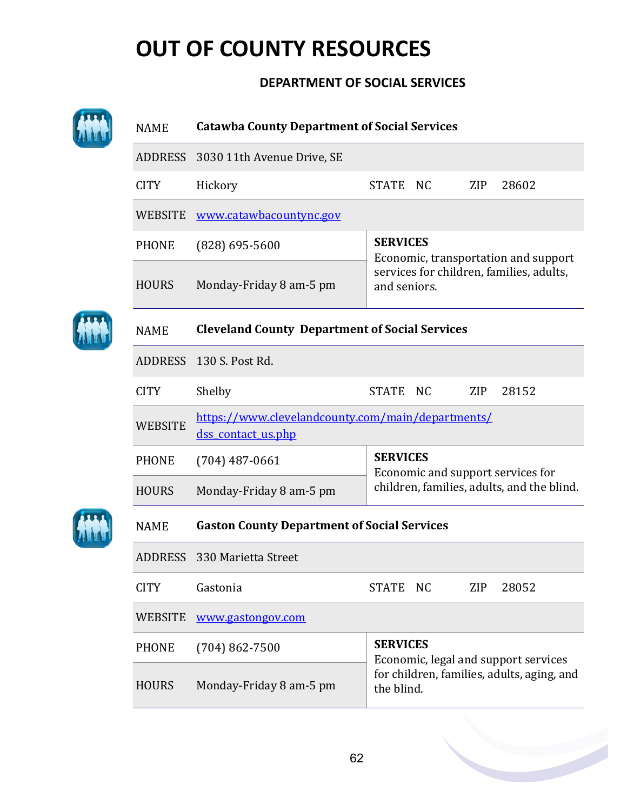#### **DEPARTMENT OF SOCIAL SERVICES**

| <b>NAME</b>    | <b>Catawba County Department of Social Services</b>                     |                                                          |  |  |  |  |  |
|----------------|-------------------------------------------------------------------------|----------------------------------------------------------|--|--|--|--|--|
|                | ADDRESS 3030 11th Avenue Drive, SE                                      |                                                          |  |  |  |  |  |
| <b>CITY</b>    | Hickory                                                                 | <b>STATE</b><br>N <sub>C</sub><br><b>ZIP</b><br>28602    |  |  |  |  |  |
| <b>WEBSITE</b> | www.catawbacountync.gov                                                 |                                                          |  |  |  |  |  |
| <b>PHONE</b>   | $(828)$ 695-5600                                                        | <b>SERVICES</b><br>Economic, transportation and support  |  |  |  |  |  |
| <b>HOURS</b>   | Monday-Friday 8 am-5 pm                                                 | services for children, families, adults,<br>and seniors. |  |  |  |  |  |
| <b>NAME</b>    | <b>Cleveland County Department of Social Services</b>                   |                                                          |  |  |  |  |  |
| <b>ADDRESS</b> | 130 S. Post Rd.                                                         |                                                          |  |  |  |  |  |
| <b>CITY</b>    | Shelby                                                                  | <b>STATE</b><br><b>ZIP</b><br>28152<br>NC.               |  |  |  |  |  |
| <b>WEBSITE</b> | https://www.clevelandcounty.com/main/departments/<br>dss_contact_us.php |                                                          |  |  |  |  |  |
| <b>PHONE</b>   | $(704)$ 487-0661                                                        | <b>SERVICES</b><br>Economic and support services for     |  |  |  |  |  |
| <b>HOURS</b>   | Monday-Friday 8 am-5 pm                                                 | children, families, adults, and the blind.               |  |  |  |  |  |
| <b>NAME</b>    | <b>Gaston County Department of Social Services</b>                      |                                                          |  |  |  |  |  |
| <b>ADDRESS</b> | 330 Marietta Street                                                     |                                                          |  |  |  |  |  |
| <b>CITY</b>    | Gastonia                                                                | <b>STATE</b><br>NC<br><b>ZIP</b><br>28052                |  |  |  |  |  |
| <b>WEBSITE</b> | www.gastongov.com                                                       |                                                          |  |  |  |  |  |
| <b>PHONE</b>   | $(704)862 - 7500$                                                       | <b>SERVICES</b><br>Economic, legal and support services  |  |  |  |  |  |
| <b>HOURS</b>   | Monday-Friday 8 am-5 pm                                                 | for children, families, adults, aging, and<br>the blind. |  |  |  |  |  |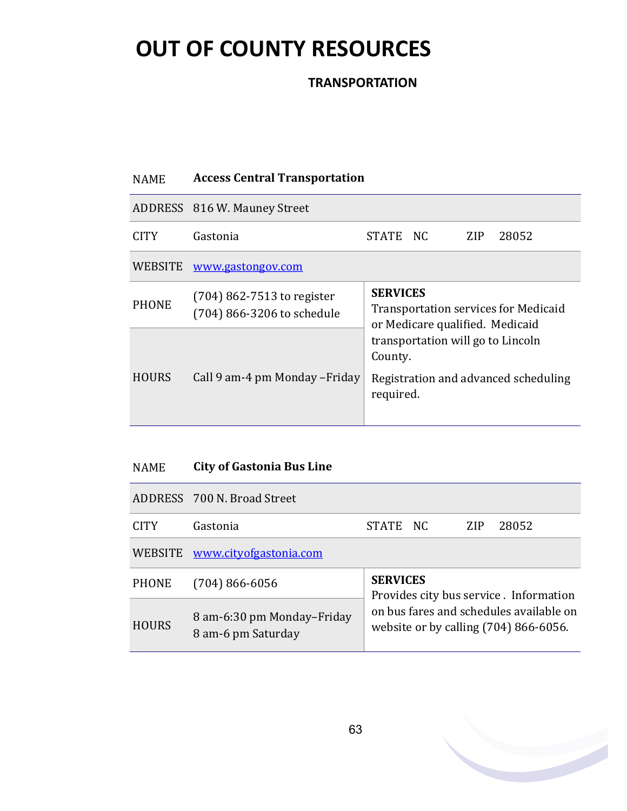**TRANSPORTATION**

### NAME **Access Central Transportation** ADDRESS 816 W. Mauney Street CITY Gastonia STATE NC ZIP 28052 WEBSITE [www.gastongov.com](http://www.gastongov.com/government/departments/health_and_human_services/social_services/access.php) PHONE (704) 862-7513 to register (704) 866-3206 to schedule **SERVICES** Transportation services for Medicaid or Medicare qualified. Medicaid transportation will go to Lincoln County. Registration and advanced scheduling required. HOURS Call 9 am-4 pm Monday –Friday

#### NAME **City of Gastonia Bus Line**

|              | ADDRESS 700 N. Broad Street                      |                                                                                                                              |  |            |       |  |
|--------------|--------------------------------------------------|------------------------------------------------------------------------------------------------------------------------------|--|------------|-------|--|
| <b>CITY</b>  | Gastonia                                         | STATE NC                                                                                                                     |  | <b>ZIP</b> | 28052 |  |
|              | WEBSITE www.cityofgastonia.com                   |                                                                                                                              |  |            |       |  |
| <b>PHONE</b> | $(704) 866 - 6056$                               | <b>SERVICES</b>                                                                                                              |  |            |       |  |
| <b>HOURS</b> | 8 am-6:30 pm Monday-Friday<br>8 am-6 pm Saturday | Provides city bus service. Information<br>on bus fares and schedules available on<br>website or by calling $(704)$ 866-6056. |  |            |       |  |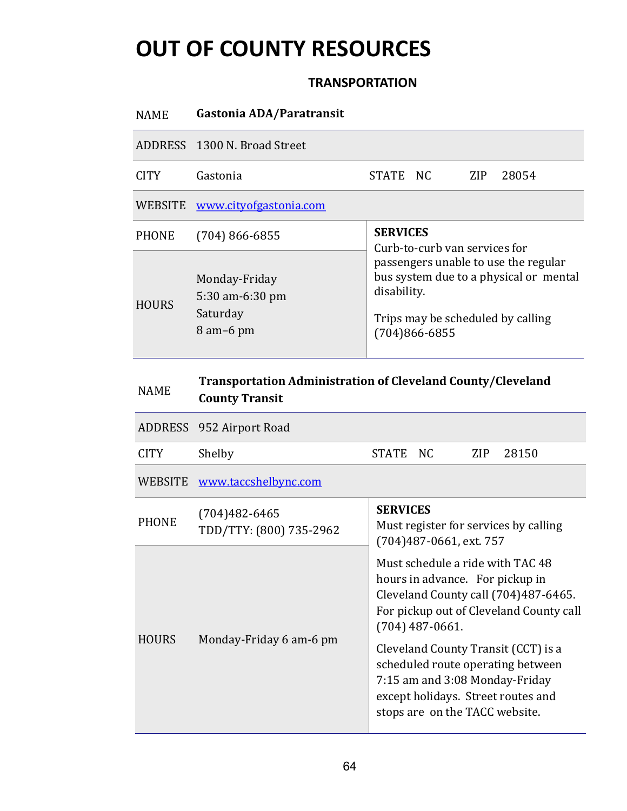#### **TRANSPORTATION**

| <b>NAME</b>  | Gastonia ADA/Paratransit                                    |                                                                                                                                                                                          |  |      |       |  |  |
|--------------|-------------------------------------------------------------|------------------------------------------------------------------------------------------------------------------------------------------------------------------------------------------|--|------|-------|--|--|
|              | ADDRESS 1300 N. Broad Street                                |                                                                                                                                                                                          |  |      |       |  |  |
| <b>CITY</b>  | Gastonia                                                    | STATE NC                                                                                                                                                                                 |  | ZIP. | 28054 |  |  |
|              | WEBSITE www.cityofgastonia.com                              |                                                                                                                                                                                          |  |      |       |  |  |
| <b>PHONE</b> | $(704) 866 - 6855$                                          | <b>SERVICES</b>                                                                                                                                                                          |  |      |       |  |  |
| <b>HOURS</b> | Monday-Friday<br>5:30 am-6:30 pm<br>Saturday<br>$8$ am-6 pm | Curb-to-curb van services for<br>passengers unable to use the regular<br>bus system due to a physical or mental<br>disability.<br>Trips may be scheduled by calling<br>$(704)866 - 6855$ |  |      |       |  |  |

| <b>NAME</b>    | <b>County Transit</b>                        | <b>Transportation Administration of Cleveland County/Cleveland</b>                                                                                                                 |  |  |  |
|----------------|----------------------------------------------|------------------------------------------------------------------------------------------------------------------------------------------------------------------------------------|--|--|--|
|                | ADDRESS 952 Airport Road                     |                                                                                                                                                                                    |  |  |  |
| <b>CITY</b>    | Shelby                                       | <b>STATE</b><br>NC<br><b>ZIP</b><br>28150                                                                                                                                          |  |  |  |
| <b>WEBSITE</b> | www.taccshelbync.com                         |                                                                                                                                                                                    |  |  |  |
| <b>PHONE</b>   | $(704)482 - 6465$<br>TDD/TTY: (800) 735-2962 | <b>SERVICES</b><br>Must register for services by calling<br>(704)487-0661, ext. 757                                                                                                |  |  |  |
| <b>HOURS</b>   | Monday-Friday 6 am-6 pm                      | Must schedule a ride with TAC 48<br>hours in advance. For pickup in<br>Cleveland County call (704)487-6465.<br>For pickup out of Cleveland County call<br>$(704)$ 487-0661.        |  |  |  |
|                |                                              | Cleveland County Transit (CCT) is a<br>scheduled route operating between<br>7:15 am and 3:08 Monday-Friday<br>except holidays. Street routes and<br>stops are on the TACC website. |  |  |  |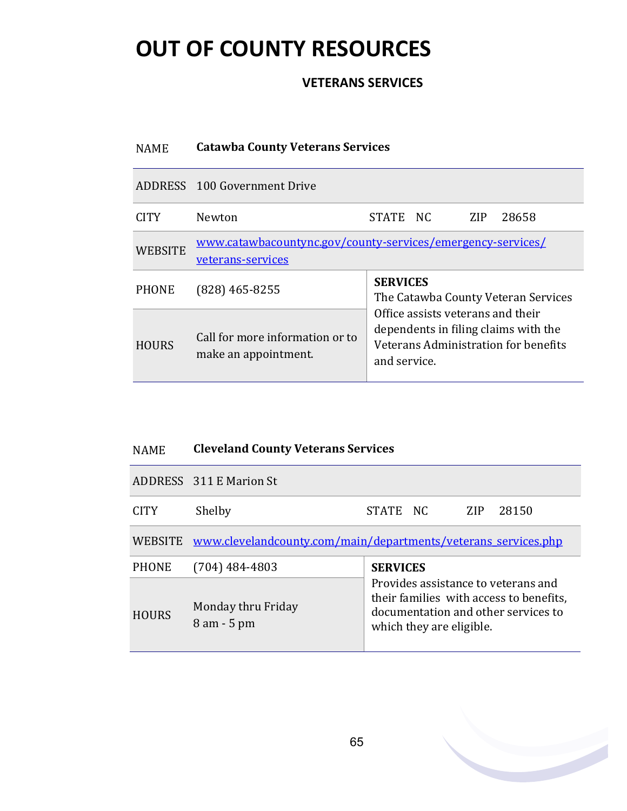#### **VETERANS SERVICES**

#### NAME **Catawba County Veterans Services**

|                | ADDRESS 100 Government Drive                                                     |                                                                                                                                                                                             |  |      |       |  |
|----------------|----------------------------------------------------------------------------------|---------------------------------------------------------------------------------------------------------------------------------------------------------------------------------------------|--|------|-------|--|
| CITY           | Newton                                                                           | STATE NC                                                                                                                                                                                    |  | ZIP. | 28658 |  |
| <b>WEBSITE</b> | www.catawbacountync.gov/county-services/emergency-services/<br>veterans-services |                                                                                                                                                                                             |  |      |       |  |
| <b>PHONE</b>   | $(828)$ 465-8255                                                                 | <b>SERVICES</b><br>The Catawba County Veteran Services<br>Office assists veterans and their<br>dependents in filing claims with the<br>Veterans Administration for benefits<br>and service. |  |      |       |  |
| <b>HOURS</b>   | Call for more information or to<br>make an appointment.                          |                                                                                                                                                                                             |  |      |       |  |

#### NAME **Cleveland County Veterans Services**

|              | ADDRESS 311 E Marion St                                        |                                                                                                                                                   |  |     |       |
|--------------|----------------------------------------------------------------|---------------------------------------------------------------------------------------------------------------------------------------------------|--|-----|-------|
| <b>CITY</b>  | Shelby                                                         | STATE NC                                                                                                                                          |  | ZIP | 28150 |
| WEBSITE      | www.clevelandcounty.com/main/departments/veterans services.php |                                                                                                                                                   |  |     |       |
| <b>PHONE</b> | $(704)$ 484-4803                                               | <b>SERVICES</b>                                                                                                                                   |  |     |       |
| <b>HOURS</b> | Monday thru Friday<br>$8 \text{ am} - 5 \text{ pm}$            | Provides assistance to veterans and<br>their families with access to benefits,<br>documentation and other services to<br>which they are eligible. |  |     |       |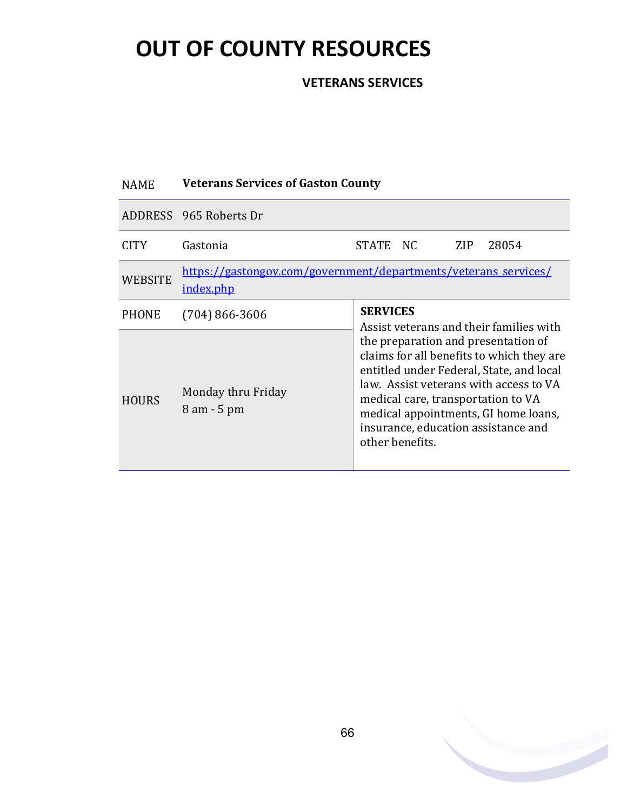#### **VETERANS SERVICES**

### NAME **Veterans Services of Gaston County**

|              | ADDRESS 965 Roberts Dr                                                       |                                                                                                                                                                                                                                                                                                                                                                              |  |     |       |
|--------------|------------------------------------------------------------------------------|------------------------------------------------------------------------------------------------------------------------------------------------------------------------------------------------------------------------------------------------------------------------------------------------------------------------------------------------------------------------------|--|-----|-------|
| CITY.        | Gastonia                                                                     | STATE NC                                                                                                                                                                                                                                                                                                                                                                     |  | ZIP | 28054 |
| WEBSITE      | https://gastongov.com/government/departments/veterans_services/<br>index.php |                                                                                                                                                                                                                                                                                                                                                                              |  |     |       |
| <b>PHONE</b> | $(704)$ 866-3606                                                             | <b>SERVICES</b><br>Assist veterans and their families with<br>the preparation and presentation of<br>claims for all benefits to which they are<br>entitled under Federal, State, and local<br>law. Assist veterans with access to VA<br>medical care, transportation to VA<br>medical appointments, GI home loans,<br>insurance, education assistance and<br>other benefits. |  |     |       |
| <b>HOURS</b> | Monday thru Friday<br>$8$ am $-5$ pm                                         |                                                                                                                                                                                                                                                                                                                                                                              |  |     |       |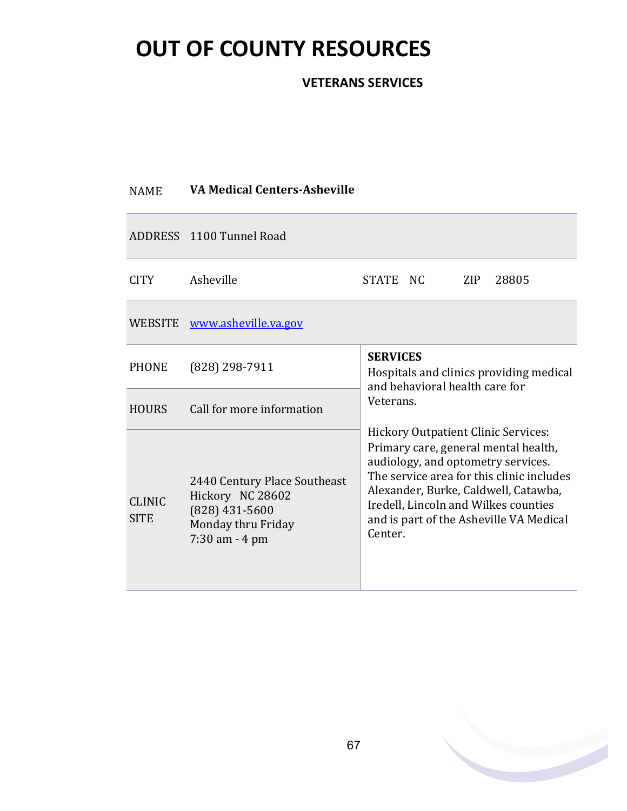#### **VETERANS SERVICES**

| <b>NAME</b>                  | <b>VA Medical Centers-Asheville</b>                                                                             |                                                                                                                                                                                                                                                                                                                                                                                                                          |  |     |       |  |
|------------------------------|-----------------------------------------------------------------------------------------------------------------|--------------------------------------------------------------------------------------------------------------------------------------------------------------------------------------------------------------------------------------------------------------------------------------------------------------------------------------------------------------------------------------------------------------------------|--|-----|-------|--|
|                              | ADDRESS 1100 Tunnel Road                                                                                        |                                                                                                                                                                                                                                                                                                                                                                                                                          |  |     |       |  |
| <b>CITY</b>                  | Asheville                                                                                                       | STATE NC                                                                                                                                                                                                                                                                                                                                                                                                                 |  | ZIP | 28805 |  |
|                              | WEBSITE www.asheville.va.gov                                                                                    |                                                                                                                                                                                                                                                                                                                                                                                                                          |  |     |       |  |
| <b>PHONE</b>                 | $(828)$ 298-7911                                                                                                | <b>SERVICES</b><br>Hospitals and clinics providing medical<br>and behavioral health care for<br>Veterans.<br><b>Hickory Outpatient Clinic Services:</b><br>Primary care, general mental health,<br>audiology, and optometry services.<br>The service area for this clinic includes<br>Alexander, Burke, Caldwell, Catawba,<br>Iredell, Lincoln and Wilkes counties<br>and is part of the Asheville VA Medical<br>Center. |  |     |       |  |
| <b>HOURS</b>                 | Call for more information                                                                                       |                                                                                                                                                                                                                                                                                                                                                                                                                          |  |     |       |  |
| <b>CLINIC</b><br><b>SITE</b> | 2440 Century Place Southeast<br>Hickory NC 28602<br>$(828)$ 431-5600<br>Monday thru Friday<br>$7:30$ am $-4$ pm |                                                                                                                                                                                                                                                                                                                                                                                                                          |  |     |       |  |